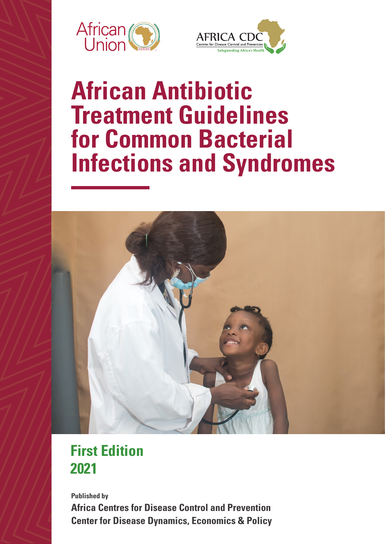



# **African Antibiotic Treatment Guidelines for Common Bacterial Infections and Syndromes**



# **First Edition 2021**

**Center for Disease Dynamics, Economics & Policy Published by Africa Centres for Disease Control and Prevention**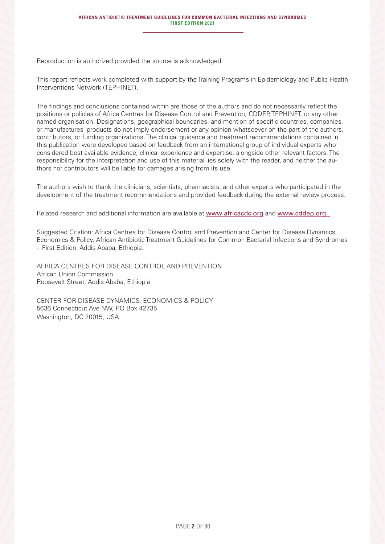Reproduction is authorized provided the source is acknowledged.

This report reflects work completed with support by the Training Programs in Epidemiology and Public Health Interventions Network (TEPHINET).

The findings and conclusions contained within are those of the authors and do not necessarily reflect the positions or policies of Africa Centres for Disease Control and Prevention, CDDEP, TEPHINET, or any other named organisation. Designations, geographical boundaries, and mention of specific countries, companies, or manufactures' products do not imply endorsement or any opinion whatsoever on the part of the authors, contributors, or funding organizations. The clinical guidance and treatment recommendations contained in this publication were developed based on feedback from an international group of individual experts who considered best available evidence, clinical experience and expertise, alongside other relevant factors. The responsibility for the interpretation and use of this material lies solely with the reader, and neither the authors nor contributors will be liable for damages arising from its use.

The authors wish to thank the clinicians, scientists, pharmacists, and other experts who participated in the development of the treatment recommendations and provided feedback during the external review process.

Related research and additional information are available at www.africacdc.org and www.cddep.org.

Suggested Citation: Africa Centres for Disease Control and Prevention and Center for Disease Dynamics, Economics & Policy. African Antibiotic Treatment Guidelines for Common Bacterial Infections and Syndromes - First Edition. Addis Ababa, Ethiopia.

AFRICA CENTRES FOR DISEASE CONTROL AND PREVENTION African Union Commission Roosevelt Street, Addis Ababa, Ethiopia

CENTER FOR DISEASE DYNAMICS, ECONOMICS & POLICY 5636 Connecticut Ave NW, PO Box 42735 Washington, DC 20015, USA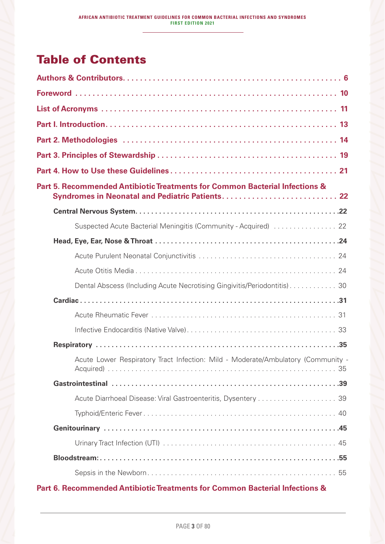# **Table of Contents**

| Part 5. Recommended Antibiotic Treatments for Common Bacterial Infections &<br>Syndromes in Neonatal and Pediatric Patients 22 |
|--------------------------------------------------------------------------------------------------------------------------------|
|                                                                                                                                |
| Suspected Acute Bacterial Meningitis (Community - Acquired)  22                                                                |
|                                                                                                                                |
|                                                                                                                                |
|                                                                                                                                |
| Dental Abscess (Including Acute Necrotising Gingivitis/Periodontitis)30                                                        |
|                                                                                                                                |
|                                                                                                                                |
|                                                                                                                                |
|                                                                                                                                |
| Acute Lower Respiratory Tract Infection: Mild - Moderate/Ambulatory (Community -                                               |
|                                                                                                                                |
|                                                                                                                                |
|                                                                                                                                |
|                                                                                                                                |
|                                                                                                                                |
|                                                                                                                                |
|                                                                                                                                |

### Part 6. Recommended Antibiotic Treatments for Common Bacterial Infections &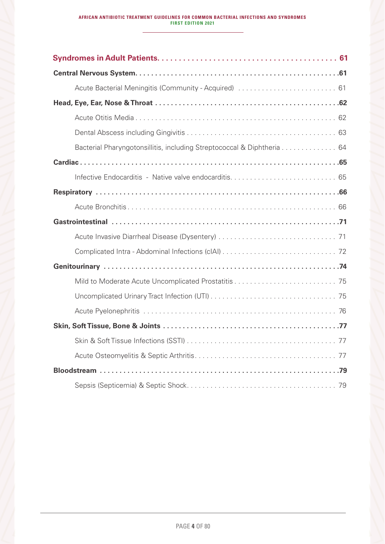| Bacterial Pharyngotonsillitis, including Streptococcal & Diphtheria 64 |
|------------------------------------------------------------------------|
|                                                                        |
|                                                                        |
|                                                                        |
|                                                                        |
|                                                                        |
|                                                                        |
|                                                                        |
|                                                                        |
|                                                                        |
|                                                                        |
|                                                                        |
|                                                                        |
|                                                                        |
|                                                                        |
|                                                                        |
|                                                                        |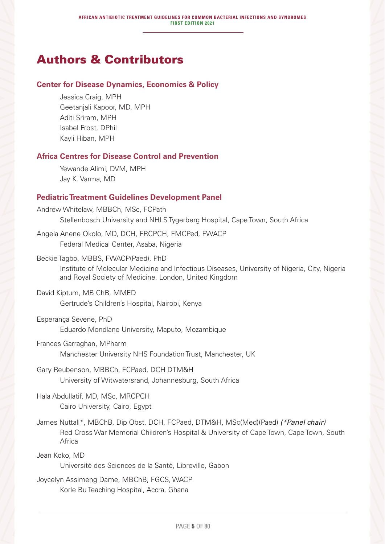## Authors & Contributors

### **Center for Disease Dynamics, Economics & Policy**

Jessica Craig, MPH Geetanjali Kapoor, MD, MPH Aditi Sriram, MPH Isabel Frost, DPhil Kayli Hiban, MPH

### **Africa Centres for Disease Control and Prevention**

Yewande Alimi, DVM, MPH Jay K. Varma, MD

### **Pediatric Treatment Guidelines Development Panel**

Andrew Whitelaw, MBBCh, MSc, FCPath Stellenbosch University and NHLS Tygerberg Hospital, Cape Town, South Africa

Angela Anene Okolo, MD, DCH, FRCPCH, FMCPed, FWACP Federal Medical Center, Asaba, Nigeria

Beckie Tagbo, MBBS, FWACP(Paed), PhD Institute of Molecular Medicine and Infectious Diseases, University of Nigeria, City, Nigeria and Royal Society of Medicine, London, United Kingdom

- David Kiptum, MB ChB, MMED Gertrude's Children's Hospital, Nairobi, Kenya
- Esperança Sevene, PhD Eduardo Mondlane University, Maputo, Mozambique
- Frances Garraghan, MPharm Manchester University NHS Foundation Trust, Manchester, UK
- Gary Reubenson, MBBCh, FCPaed, DCH DTM&H University of Witwatersrand, Johannesburg, South Africa

Hala Abdullatif, MD, MSc, MRCPCH Cairo University, Cairo, Egypt

James Nuttall\*, MBChB, Dip Obst, DCH, FCPaed, DTM&H, MSc(Med)(Paed) *(\*Panel chair)* Red Cross War Memorial Children's Hospital & University of Cape Town, Cape Town, South Africa

Jean Koko, MD

Université des Sciences de la Santé, Libreville, Gabon

Joycelyn Assimeng Dame, MBChB, FGCS, WACP Korle Bu Teaching Hospital, Accra, Ghana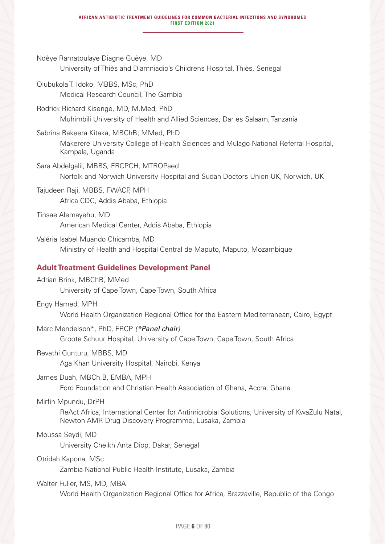Ndèye Ramatoulaye Diagne Guèye, MD University of Thiès and Diamniadio's Childrens Hospital, Thiès, Senegal Olubukola T. Idoko, MBBS, MSc, PhD Medical Research Council, The Gambia Rodrick Richard Kisenge, MD, M.Med, PhD Muhimbili University of Health and Allied Sciences, Dar es Salaam, Tanzania Sabrina Bakeera Kitaka, MBChB; MMed, PhD Makerere University College of Health Sciences and Mulago National Referral Hospital, Kampala, Uganda Sara Abdelgalil, MBBS, FRCPCH, MTROPaed Norfolk and Norwich University Hospital and Sudan Doctors Union UK, Norwich, UK Tajudeen Raji, MBBS, FWACP, MPH Africa CDC, Addis Ababa, Ethiopia Tinsae Alemayehu, MD American Medical Center, Addis Ababa, Ethiopia Valéria Isabel Muando Chicamba, MD Ministry of Health and Hospital Central de Maputo, Maputo, Mozambique **Adult Treatment Guidelines Development Panel** Adrian Brink, MBChB, MMed University of Cape Town, Cape Town, South Africa Engy Hamed, MPH World Health Organization Regional Office for the Eastern Mediterranean, Cairo, Egypt Marc Mendelson\*, PhD, FRCP *(\*Panel chair)* Groote Schuur Hospital, University of Cape Town, Cape Town, South Africa Revathi Gunturu, MBBS, MD Aga Khan University Hospital, Nairobi, Kenya James Duah, MBCh.B, EMBA, MPH Ford Foundation and Christian Health Association of Ghana, Accra, Ghana Mirfin Mpundu, DrPH ReAct Africa, International Center for Antimicrobial Solutions, University of KwaZulu Natal, Newton AMR Drug Discovery Programme, Lusaka, Zambia Moussa Seydi, MD University Cheikh Anta Diop, Dakar, Senegal Otridah Kapona, MSc Zambia National Public Health Institute, Lusaka, Zambia Walter Fuller, MS, MD, MBA World Health Organization Regional Office for Africa, Brazzaville, Republic of the Congo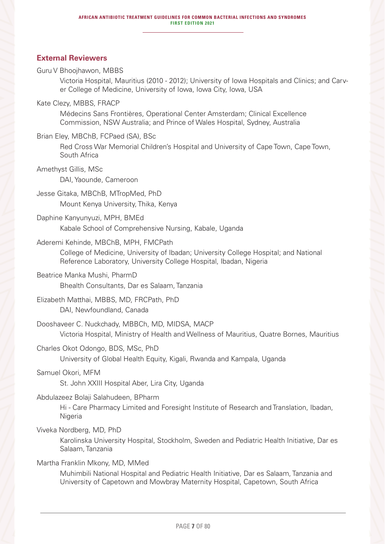### **External Reviewers**

### Guru V Bhoojhawon, MBBS

Victoria Hospital, Mauritius (2010 - 2012); University of Iowa Hospitals and Clinics; and Carver College of Medicine, University of Iowa, Iowa City, Iowa, USA

### Kate Clezy, MBBS, FRACP

Médecins Sans Frontières, Operational Center Amsterdam; Clinical Excellence Commission, NSW Australia; and Prince of Wales Hospital, Sydney, Australia

### Brian Eley, MBChB, FCPaed (SA), BSc

Red Cross War Memorial Children's Hospital and University of Cape Town, Cape Town, South Africa

### Amethyst Gillis, MSc

DAI, Yaounde, Cameroon

Jesse Gitaka, MBChB, MTropMed, PhD Mount Kenya University, Thika, Kenya

### Daphine Kanyunyuzi, MPH, BMEd

Kabale School of Comprehensive Nursing, Kabale, Uganda

### Aderemi Kehinde, MBChB, MPH, FMCPath

College of Medicine, University of Ibadan; University College Hospital; and National Reference Laboratory, University College Hospital, Ibadan, Nigeria

### Beatrice Manka Mushi, PharmD

Bhealth Consultants, Dar es Salaam, Tanzania

### Elizabeth Matthai, MBBS, MD, FRCPath, PhD

DAI, Newfoundland, Canada

### Dooshaveer C. Nuckchady, MBBCh, MD, MIDSA, MACP

Victoria Hospital, Ministry of Health and Wellness of Mauritius, Quatre Bornes, Mauritius

### Charles Okot Odongo, BDS, MSc, PhD

University of Global Health Equity, Kigali, Rwanda and Kampala, Uganda

### Samuel Okori, MFM

St. John XXIII Hospital Aber, Lira City, Uganda

### Abdulazeez Bolaji Salahudeen, BPharm

Hi - Care Pharmacy Limited and Foresight Institute of Research and Translation, Ibadan, Nigeria

### Viveka Nordberg, MD, PhD

Karolinska University Hospital, Stockholm, Sweden and Pediatric Health Initiative, Dar es Salaam, Tanzania

### Martha Franklin Mkony, MD, MMed

Muhimbili National Hospital and Pediatric Health Initiative, Dar es Salaam, Tanzania and University of Capetown and Mowbray Maternity Hospital, Capetown, South Africa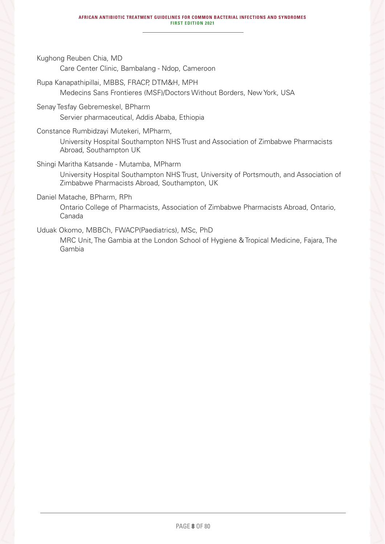Kughong Reuben Chia, MD

Care Center Clinic, Bambalang - Ndop, Cameroon

Rupa Kanapathipillai, MBBS, FRACP, DTM&H, MPH Medecins Sans Frontieres (MSF)/Doctors Without Borders, New York, USA

- Senay Tesfay Gebremeskel, BPharm Servier pharmaceutical, Addis Ababa, Ethiopia
- Constance Rumbidzayi Mutekeri, MPharm, University Hospital Southampton NHS Trust and Association of Zimbabwe Pharmacists Abroad, Southampton UK

Shingi Maritha Katsande - Mutamba, MPharm

University Hospital Southampton NHS Trust, University of Portsmouth, and Association of Zimbabwe Pharmacists Abroad, Southampton, UK

Daniel Matache, BPharm, RPh

Ontario College of Pharmacists, Association of Zimbabwe Pharmacists Abroad, Ontario, Canada

Uduak Okomo, MBBCh, FWACP(Paediatrics), MSc, PhD

MRC Unit, The Gambia at the London School of Hygiene & Tropical Medicine, Fajara, The Gambia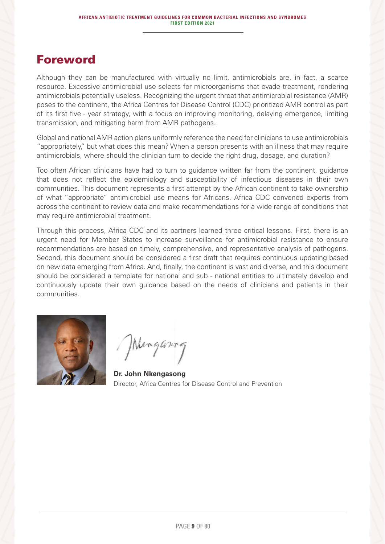### Foreword

Although they can be manufactured with virtually no limit, antimicrobials are, in fact, a scarce resource. Excessive antimicrobial use selects for microorganisms that evade treatment, rendering antimicrobials potentially useless. Recognizing the urgent threat that antimicrobial resistance (AMR) poses to the continent, the Africa Centres for Disease Control (CDC) prioritized AMR control as part of its first five - year strategy, with a focus on improving monitoring, delaying emergence, limiting transmission, and mitigating harm from AMR pathogens.

Global and national AMR action plans uniformly reference the need for clinicians to use antimicrobials "appropriately," but what does this mean? When a person presents with an illness that may require antimicrobials, where should the clinician turn to decide the right drug, dosage, and duration?

Too often African clinicians have had to turn to guidance written far from the continent, guidance that does not reflect the epidemiology and susceptibility of infectious diseases in their own communities. This document represents a first attempt by the African continent to take ownership of what "appropriate" antimicrobial use means for Africans. Africa CDC convened experts from across the continent to review data and make recommendations for a wide range of conditions that may require antimicrobial treatment.

Through this process, Africa CDC and its partners learned three critical lessons. First, there is an urgent need for Member States to increase surveillance for antimicrobial resistance to ensure recommendations are based on timely, comprehensive, and representative analysis of pathogens. Second, this document should be considered a first draft that requires continuous updating based on new data emerging from Africa. And, finally, the continent is vast and diverse, and this document should be considered a template for national and sub - national entities to ultimately develop and continuously update their own guidance based on the needs of clinicians and patients in their communities.



Menganing

**Dr. John Nkengasong**  Director, Africa Centres for Disease Control and Prevention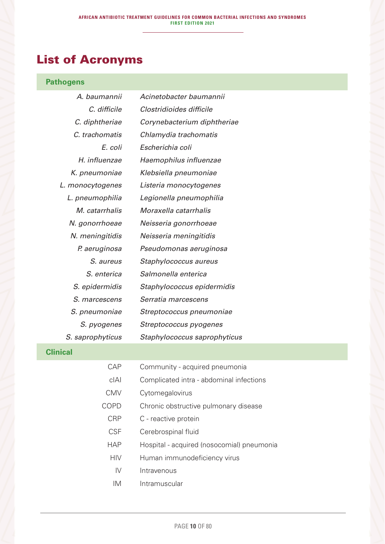# List of Acronyms

### **Pathogens**

| A. baumannii     | Acinetobacter baumannii      |
|------------------|------------------------------|
| C. difficile     | Clostridioides difficile     |
| C. diphtheriae   | Corynebacterium diphtheriae  |
| C. trachomatis   | Chlamydia trachomatis        |
| E. coli          | Escherichia coli             |
| H. influenzae    | Haemophilus influenzae       |
| K. pneumoniae    | Klebsiella pneumoniae        |
| L. monocytogenes | Listeria monocytogenes       |
| L. pneumophilia  | Legionella pneumophilia      |
| M. catarrhalis   | Moraxella catarrhalis        |
| N. gonorrhoeae   | Neisseria gonorrhoeae        |
| N. meningitidis  | Neisseria meningitidis       |
| P. aeruginosa    | Pseudomonas aeruginosa       |
| <i>S. aureus</i> | Staphylococcus aureus        |
| S. enterica      | Salmonella enterica          |
| S. epidermidis   | Staphylococcus epidermidis   |
| S. marcescens    | Serratia marcescens          |
| S. pneumoniae    | Streptococcus pneumoniae     |
| S. pyogenes      | Streptococcus pyogenes       |
| S. saprophyticus | Staphylococcus saprophyticus |

### **Clinical**

| CAP           | Community - acquired pneumonia             |
|---------------|--------------------------------------------|
| cIAL          | Complicated intra - abdominal infections   |
| <b>CMV</b>    | Cytomegalovirus                            |
| COPD          | Chronic obstructive pulmonary disease      |
| <b>CRP</b>    | C - reactive protein                       |
| <b>CSF</b>    | Cerebrospinal fluid                        |
| <b>HAP</b>    | Hospital - acquired (nosocomial) pneumonia |
| <b>HIV</b>    | Human immunodeficiency virus               |
| $\mathsf{IV}$ | Intravenous                                |
| IM            | Intramuscular                              |
|               |                                            |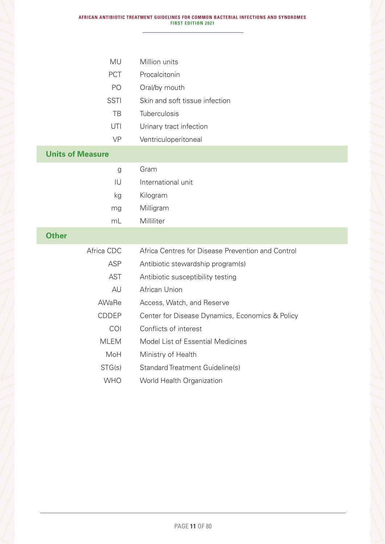| <b>MU</b>               | Million units                                     |
|-------------------------|---------------------------------------------------|
| <b>PCT</b>              | Procalcitonin                                     |
| PO                      | Oral/by mouth                                     |
| <b>SSTI</b>             | Skin and soft tissue infection                    |
| TB                      | Tuberculosis                                      |
| UTI                     | Urinary tract infection                           |
| <b>VP</b>               | Ventriculoperitoneal                              |
| <b>Units of Measure</b> |                                                   |
| g                       | Gram                                              |
| IU                      | International unit                                |
| kg                      | Kilogram                                          |
| mg                      | Milligram                                         |
| mL                      | Milliliter                                        |
| <b>Other</b>            |                                                   |
| Africa CDC              | Africa Centres for Disease Prevention and Control |
| <b>ASP</b>              | Antibiotic stewardship program(s)                 |
| <b>AST</b>              | Antibiotic susceptibility testing                 |
| AU                      | African Union                                     |
| AWaRe                   | Access, Watch, and Reserve                        |
| <b>CDDEP</b>            | Center for Disease Dynamics, Economics & Policy   |
| COI                     | Conflicts of interest                             |
| <b>MLEM</b>             | Model List of Essential Medicines                 |
| MoH                     | Ministry of Health                                |
| STG(s)                  | <b>Standard Treatment Guideline(s)</b>            |
| <b>WHO</b>              | World Health Organization                         |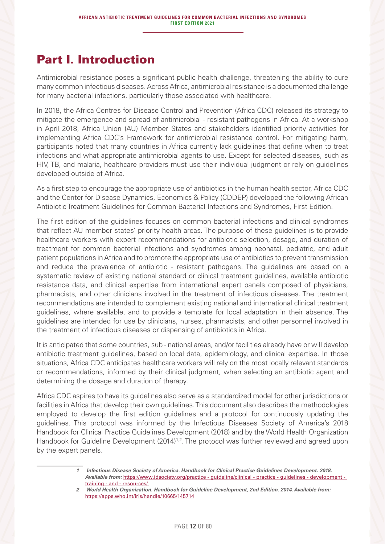### Part I. Introduction

Antimicrobial resistance poses a significant public health challenge, threatening the ability to cure many common infectious diseases. Across Africa, antimicrobial resistance is a documented challenge for many bacterial infections, particularly those associated with healthcare.

In 2018, the Africa Centres for Disease Control and Prevention (Africa CDC) released its strategy to mitigate the emergence and spread of antimicrobial - resistant pathogens in Africa. At a workshop in April 2018, Africa Union (AU) Member States and stakeholders identified priority activities for implementing Africa CDC's Framework for antimicrobial resistance control. For mitigating harm, participants noted that many countries in Africa currently lack guidelines that define when to treat infections and what appropriate antimicrobial agents to use. Except for selected diseases, such as HIV, TB, and malaria, healthcare providers must use their individual judgment or rely on guidelines developed outside of Africa.

As a first step to encourage the appropriate use of antibiotics in the human health sector, Africa CDC and the Center for Disease Dynamics, Economics & Policy (CDDEP) developed the following African Antibiotic Treatment Guidelines for Common Bacterial Infections and Syndromes, First Edition.

The first edition of the guidelines focuses on common bacterial infections and clinical syndromes that reflect AU member states' priority health areas. The purpose of these guidelines is to provide healthcare workers with expert recommendations for antibiotic selection, dosage, and duration of treatment for common bacterial infections and syndromes among neonatal, pediatric, and adult patient populations in Africa and to promote the appropriate use of antibiotics to prevent transmission and reduce the prevalence of antibiotic - resistant pathogens. The guidelines are based on a systematic review of existing national standard or clinical treatment guidelines, available antibiotic resistance data, and clinical expertise from international expert panels composed of physicians, pharmacists, and other clinicians involved in the treatment of infectious diseases. The treatment recommendations are intended to complement existing national and international clinical treatment guidelines, where available, and to provide a template for local adaptation in their absence. The guidelines are intended for use by clinicians, nurses, pharmacists, and other personnel involved in the treatment of infectious diseases or dispensing of antibiotics in Africa.

It is anticipated that some countries, sub - national areas, and/or facilities already have or will develop antibiotic treatment guidelines, based on local data, epidemiology, and clinical expertise. In those situations, Africa CDC anticipates healthcare workers will rely on the most locally relevant standards or recommendations, informed by their clinical judgment, when selecting an antibiotic agent and determining the dosage and duration of therapy.

Africa CDC aspires to have its guidelines also serve as a standardized model for other jurisdictions or facilities in Africa that develop their own guidelines. This document also describes the methodologies employed to develop the first edition guidelines and a protocol for continuously updating the guidelines. This protocol was informed by the Infectious Diseases Society of America's 2018 Handbook for Clinical Practice Guidelines Development (2018) and by the World Health Organization Handbook for Guideline Development (2014)<sup>1,2</sup>. The protocol was further reviewed and agreed upon by the expert panels.

*<sup>1</sup> Infectious Disease Society of America. Handbook for Clinical Practice Guidelines Development. 2018. Available from:* https://www.idsociety.org/practice - guideline/clinical - practice - guidelines - development training - and - resources/

*<sup>2</sup> World Health Organization. Handbook for Guideline Development, 2nd Edition. 2014. Available from:*  https://apps.who.int/iris/handle/10665/145714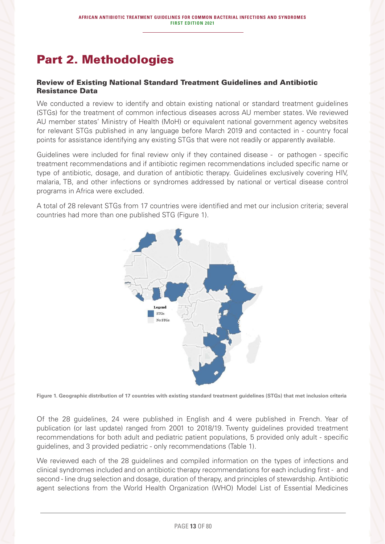# Part 2. Methodologies

### Review of Existing National Standard Treatment Guidelines and Antibiotic Resistance Data

We conducted a review to identify and obtain existing national or standard treatment guidelines (STGs) for the treatment of common infectious diseases across AU member states. We reviewed AU member states' Ministry of Health (MoH) or equivalent national government agency websites for relevant STGs published in any language before March 2019 and contacted in - country focal points for assistance identifying any existing STGs that were not readily or apparently available.

Guidelines were included for final review only if they contained disease - or pathogen - specific treatment recommendations and if antibiotic regimen recommendations included specific name or type of antibiotic, dosage, and duration of antibiotic therapy. Guidelines exclusively covering HIV, malaria, TB, and other infections or syndromes addressed by national or vertical disease control programs in Africa were excluded.

A total of 28 relevant STGs from 17 countries were identified and met our inclusion criteria; several countries had more than one published STG (Figure 1).



**Figure 1. Geographic distribution of 17 countries with existing standard treatment guidelines (STGs) that met inclusion criteria**

Of the 28 guidelines, 24 were published in English and 4 were published in French. Year of publication (or last update) ranged from 2001 to 2018/19. Twenty guidelines provided treatment recommendations for both adult and pediatric patient populations, 5 provided only adult - specific guidelines, and 3 provided pediatric - only recommendations (Table 1).

We reviewed each of the 28 guidelines and compiled information on the types of infections and clinical syndromes included and on antibiotic therapy recommendations for each including first - and second - line drug selection and dosage, duration of therapy, and principles of stewardship. Antibiotic agent selections from the World Health Organization (WHO) Model List of Essential Medicines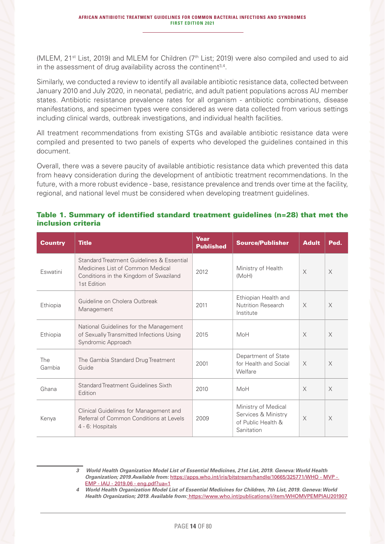(MLEM, 21<sup>st</sup> List, 2019) and MLEM for Children (7<sup>th</sup> List; 2019) were also compiled and used to aid in the assessment of drug availability across the continent<sup>3,4</sup>.

Similarly, we conducted a review to identify all available antibiotic resistance data, collected between January 2010 and July 2020, in neonatal, pediatric, and adult patient populations across AU member states. Antibiotic resistance prevalence rates for all organism - antibiotic combinations, disease manifestations, and specimen types were considered as were data collected from various settings including clinical wards, outbreak investigations, and individual health facilities.

All treatment recommendations from existing STGs and available antibiotic resistance data were compiled and presented to two panels of experts who developed the guidelines contained in this document.

Overall, there was a severe paucity of available antibiotic resistance data which prevented this data from heavy consideration during the development of antibiotic treatment recommendations. In the future, with a more robust evidence - base, resistance prevalence and trends over time at the facility, regional, and national level must be considered when developing treatment guidelines.

### Table 1. Summary of identified standard treatment guidelines (n=28) that met the inclusion criteria

| <b>Country</b> | <b>Title</b>                                                                                                                           | Year<br><b>Published</b> | <b>Source/Publisher</b>                                                        | <b>Adult</b> | Ped.     |
|----------------|----------------------------------------------------------------------------------------------------------------------------------------|--------------------------|--------------------------------------------------------------------------------|--------------|----------|
| Eswatini       | Standard Treatment Guidelines & Essential<br>Medicines List of Common Medical<br>Conditions in the Kingdom of Swaziland<br>1st Edition | 2012                     | Ministry of Health<br>(MoH)                                                    | $\times$     | $\times$ |
| Ethiopia       | Guideline on Cholera Outbreak<br>Management                                                                                            | 2011                     | Ethiopian Health and<br>Nutrition Research<br>Institute                        | $\times$     | $\times$ |
| Ethiopia       | National Guidelines for the Management<br>of Sexually Transmitted Infections Using<br>Syndromic Approach                               | 2015                     | MoH                                                                            | $\times$     | $\times$ |
| The<br>Gambia  | The Gambia Standard Drug Treatment<br>Guide                                                                                            | 2001                     | Department of State<br>for Health and Social<br>Welfare                        | $\times$     | $\times$ |
| Ghana          | Standard Treatment Guidelines Sixth<br>Edition                                                                                         | 2010                     | MoH                                                                            | $\times$     | $\times$ |
| Kenya          | Clinical Guidelines for Management and<br>Referral of Common Conditions at Levels<br>4 - 6: Hospitals                                  | 2009                     | Ministry of Medical<br>Services & Ministry<br>of Public Health &<br>Sanitation | $\times$     | $\times$ |

*3 World Health Organization Model List of Essential Medicines, 21st List, 2019. Geneva: World Health Organization; 2019.Available from:* https://apps.who.int/iris/bitstream/handle/10665/325771/WHO - MVP - EMP - IAU - 2019.06 - eng.pdf?ua=1

*4 World Health Organization Model List of Essential Medicines for Children, 7th List, 2019. Geneva: World Health Organization; 2019. Available from:* https://www.who.int/publications/i/item/WHOMVPEMPIAU201907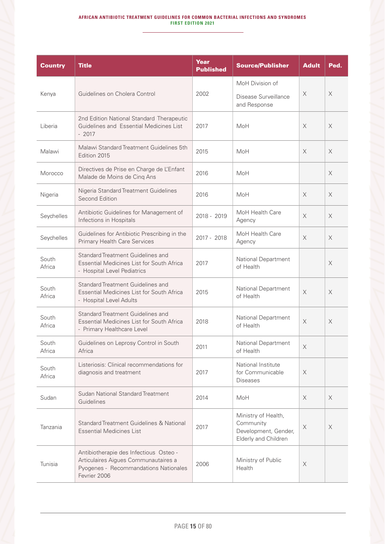#### **AFRICAN ANTIBIOTIC TREATMENT GUIDELINES FOR COMMON BACTERIAL INFECTIONS AND SYNDROMES FIRST EDITION 2021**

| <b>Country</b>  | <b>Title</b>                                                                                                                            | Year<br><b>Published</b> | <b>Source/Publisher</b>                                                          | <b>Adult</b>          | Ped.     |
|-----------------|-----------------------------------------------------------------------------------------------------------------------------------------|--------------------------|----------------------------------------------------------------------------------|-----------------------|----------|
| Kenya           | Guidelines on Cholera Control                                                                                                           | 2002                     | MoH Division of<br>Disease Surveillance<br>and Response                          | X                     | X        |
| Liberia         | 2nd Edition National Standard Therapeutic<br>Guidelines and Essential Medicines List<br>$-2017$                                         | 2017                     | MoH                                                                              | $\times$              | X        |
| Malawi          | Malawi Standard Treatment Guidelines 5th<br>Edition 2015                                                                                | 2015                     | MoH                                                                              | $\times$              | $\times$ |
| Morocco         | Directives de Prise en Charge de L'Enfant<br>Malade de Moins de Cinq Ans                                                                | 2016                     | MoH                                                                              |                       | X        |
| Nigeria         | Nigeria Standard Treatment Guidelines<br>Second Edition                                                                                 | 2016                     | MoH                                                                              | $\times$              | $\times$ |
| Seychelles      | Antibiotic Guidelines for Management of<br>Infections in Hospitals                                                                      | 2018 - 2019              | MoH Health Care<br>Agency                                                        | $\times$              | $\times$ |
| Seychelles      | Guidelines for Antibiotic Prescribing in the<br><b>Primary Health Care Services</b>                                                     | 2017 - 2018              | MoH Health Care<br>Agency                                                        | $\times$              | $\times$ |
| South<br>Africa | Standard Treatment Guidelines and<br><b>Essential Medicines List for South Africa</b><br>- Hospital Level Pediatrics                    | 2017                     | National Department<br>of Health                                                 |                       | $\times$ |
| South<br>Africa | Standard Treatment Guidelines and<br><b>Essential Medicines List for South Africa</b><br>- Hospital Level Adults                        | 2015                     | National Department<br>of Health                                                 | $\times$              | X        |
| South<br>Africa | Standard Treatment Guidelines and<br>Essential Medicines List for South Africa<br>- Primary Healthcare Level                            | 2018                     | National Department<br>of Health                                                 | $\times$              | $\times$ |
| South<br>Africa | Guidelines on Leprosy Control in South<br>Africa                                                                                        | 2011                     | National Department<br>of Health                                                 | X                     |          |
| South<br>Africa | Listeriosis: Clinical recommendations for<br>diagnosis and treatment                                                                    | 2017                     | National Institute<br>for Communicable<br><b>Diseases</b>                        | X                     |          |
| Sudan           | Sudan National Standard Treatment<br>Guidelines                                                                                         | 2014                     | MoH                                                                              | X                     | X        |
| Tanzania        | Standard Treatment Guidelines & National<br><b>Essential Medicines List</b>                                                             | 2017                     | Ministry of Health,<br>Community<br>Development, Gender,<br>Elderly and Children | X                     | $\times$ |
| Tunisia         | Antibiotherapie des Infectious Osteo -<br>Articulaires Aigues Communautaires a<br>Pyogenes - Recommandations Nationales<br>Fevrier 2006 | 2006                     | Ministry of Public<br>Health                                                     | $\boldsymbol{\times}$ |          |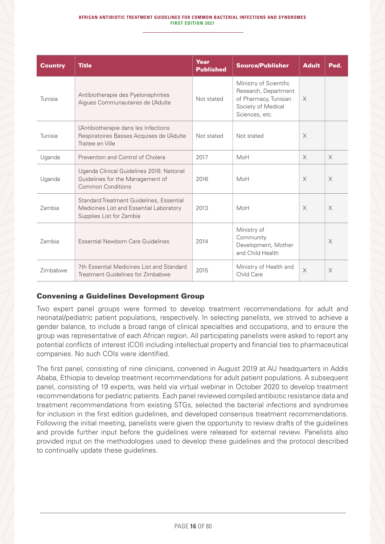| <b>Country</b> | <b>Title</b>                                                                                                    | Year<br><b>Published</b> | <b>Source/Publisher</b>                                                                                         | <b>Adult</b> | Ped.     |
|----------------|-----------------------------------------------------------------------------------------------------------------|--------------------------|-----------------------------------------------------------------------------------------------------------------|--------------|----------|
| Tunisia        | Antibiotherapie des Pyelonephrities<br>Aigues Communautaires de L'Adulte                                        | Not stated               | Ministry of Scientific<br>Research, Department<br>of Pharmacy, Tunisian<br>Society of Medical<br>Sciences, etc. | $\times$     |          |
| Tunisia        | L'Antibiotherapie dans les Infections<br>Respiratoires Basses Acquises de L'Adulte<br>Traitee en Ville          | Not stated               | Not stated                                                                                                      | $\times$     |          |
| Uganda         | Prevention and Control of Cholera                                                                               | 2017                     | MoH                                                                                                             | $\times$     | $\times$ |
| Uganda         | Uganda Clinical Guidelines 2016: National<br>Guidelines for the Management of<br>Common Conditions              | 2016                     | MoH                                                                                                             | $\times$     | $\times$ |
| Zambia         | Standard Treatment Guidelines, Essential<br>Medicines List and Essential Laboratory<br>Supplies List for Zambia | 2013                     | MoH                                                                                                             | $\times$     | $\times$ |
| <b>Zambia</b>  | Essential Newborn Care Guidelines                                                                               | 2014                     | Ministry of<br>Community<br>Development, Mother<br>and Child Health                                             |              | $\times$ |
| Zimbabwe       | 7th Essential Medicines List and Standard<br>Treatment Guidelines for Zimbabwe                                  | 2015                     | Ministry of Health and<br>Child Care                                                                            | $\times$     | $\times$ |

### Convening a Guidelines Development Group

Two expert panel groups were formed to develop treatment recommendations for adult and neonatal/pediatric patient populations, respectively. In selecting panelists, we strived to achieve a gender balance, to include a broad range of clinical specialties and occupations, and to ensure the group was representative of each African region. All participating panelists were asked to report any potential conflicts of interest (COI) including intellectual property and financial ties to pharmaceutical companies. No such COIs were identified.

The first panel, consisting of nine clinicians, convened in August 2019 at AU headquarters in Addis Ababa, Ethiopia to develop treatment recommendations for adult patient populations. A subsequent panel, consisting of 19 experts, was held via virtual webinar in October 2020 to develop treatment recommendations for pediatric patients. Each panel reviewed compiled antibiotic resistance data and treatment recommendations from existing STGs, selected the bacterial infections and syndromes for inclusion in the first edition guidelines, and developed consensus treatment recommendations. Following the initial meeting, panelists were given the opportunity to review drafts of the guidelines and provide further input before the guidelines were released for external review. Panelists also provided input on the methodologies used to develop these guidelines and the protocol described to continually update these guidelines.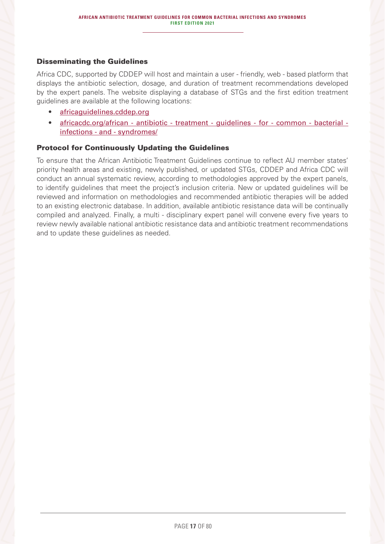### Disseminating the Guidelines

Africa CDC, supported by CDDEP will host and maintain a user - friendly, web - based platform that displays the antibiotic selection, dosage, and duration of treatment recommendations developed by the expert panels. The website displaying a database of STGs and the first edition treatment guidelines are available at the following locations:

- africaguidelines.cddep.org
- africacdc.org/african antibiotic treatment guidelines for common bacterial infections - and - syndromes/

### Protocol for Continuously Updating the Guidelines

To ensure that the African Antibiotic Treatment Guidelines continue to reflect AU member states' priority health areas and existing, newly published, or updated STGs, CDDEP and Africa CDC will conduct an annual systematic review, according to methodologies approved by the expert panels, to identify guidelines that meet the project's inclusion criteria. New or updated guidelines will be reviewed and information on methodologies and recommended antibiotic therapies will be added to an existing electronic database. In addition, available antibiotic resistance data will be continually compiled and analyzed. Finally, a multi - disciplinary expert panel will convene every five years to review newly available national antibiotic resistance data and antibiotic treatment recommendations and to update these guidelines as needed.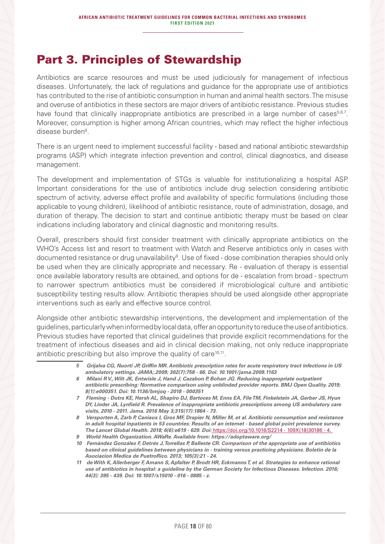### Part 3. Principles of Stewardship

Antibiotics are scarce resources and must be used judiciously for management of infectious diseases. Unfortunately, the lack of regulations and guidance for the appropriate use of antibiotics has contributed to the rise of antibiotic consumption in human and animal health sectors. The misuse and overuse of antibiotics in these sectors are major drivers of antibiotic resistance. Previous studies have found that clinically inappropriate antibiotics are prescribed in a large number of cases<sup>5,6,7</sup>. Moreover, consumption is higher among African countries, which may reflect the higher infectious disease burden<sup>8</sup>.

There is an urgent need to implement successful facility - based and national antibiotic stewardship programs (ASP) which integrate infection prevention and control, clinical diagnostics, and disease management.

The development and implementation of STGs is valuable for institutionalizing a hospital ASP. Important considerations for the use of antibiotics include drug selection considering antibiotic spectrum of activity, adverse effect profile and availability of specific formulations (including those applicable to young children), likelihood of antibiotic resistance, route of administration, dosage, and duration of therapy. The decision to start and continue antibiotic therapy must be based on clear indications including laboratory and clinical diagnostic and monitoring results.

Overall, prescribers should first consider treatment with clinically appropriate antibiotics on the WHO's Access list and resort to treatment with Watch and Reserve antibiotics only in cases with documented resistance or drug unavailability $^9$ . Use of fixed - dose combination therapies should only be used when they are clinically appropriate and necessary. Re - evaluation of therapy is essential once available laboratory results are obtained, and options for de - escalation from broad - spectrum to narrower spectrum antibiotics must be considered if microbiological culture and antibiotic susceptibility testing results allow. Antibiotic therapies should be used alongside other appropriate interventions such as early and effective source control.

Alongside other antibiotic stewardship interventions, the development and implementation of the guidelines, particularly when informed by local data, offer an opportunity to reduce the use of antibiotics. Previous studies have reported that clinical guidelines that provide explicit recommendations for the treatment of infectious diseases and aid in clinical decision making, not only reduce inappropriate antibiotic prescribing but also improve the quality of care<sup>10,11</sup>.

- *5 Grijalva CG, Nuorti JP, Griffin MR. Antibiotic prescription rates for acute respiratory tract infections in US ambulatory settings. JAMA;.2009; 302(7):758 - 66. Doi: 10.1001/jama.2009.1163*
- *6 Milani R V., Wilt JK, Entwisle J, Hand J, Cazabon P, Bohan JG. Reducing inappropriate outpatient antibiotic prescribing: Normative comparison using unblinded provider reports. BMJ Open Quality. 2019; 8(1):e000351. Doi: 10.1136/bmjoq - 2018 - 000351*
- *7 Fleming Dutra KE, Hersh AL, Shapiro DJ, Bartoces M, Enns EA, File TM, Finkelstein JA, Gerber JS, Hyun DY, Linder JA, Lynfield R. Prevalence of inappropriate antibiotic prescriptions among US ambulatory care visits, 2010 - 2011. Jama. 2016 May 3;315(17):1864 - 73.*
- *8 Versporten A, Zarb P, Caniaux I, Gros MF, Drapier N, Miller M, et al. Antibiotic consumption and resistance in adult hospital inpatients in 53 countries: Results of an internet - based global point prevalence survey. The Lancet Global Health. 2018; 6(6):e619 - 629. Doi:* https://doi.org/10.1016/S2214 - 109X(18)30186 - 4.
- *9 World Health Organization. AWaRe. Available from: https://adoptaware.org/*
- *10 Fernández González F, Detrés J, Torrellas P, Balleste CR. Comparison of the appropriate use of antibiotics based on clinical guidelines between physicians in - training versus practicing physicians. Boletin de la Asociacion Medica de PuetroRico. 2013; 105(3):21 - 24.*
- *11 de With K, Allerberger F, Amann S, Apfalter P, Brodt HR, Eckmanns T, et al. Strategies to enhance rational use of antibiotics in hospital: a guideline by the German Society for Infectious Diseases. Infection. 2016; 44(3): 395 - 439. Doi: 10.1007/s15010 - 016 - 0885 - z.*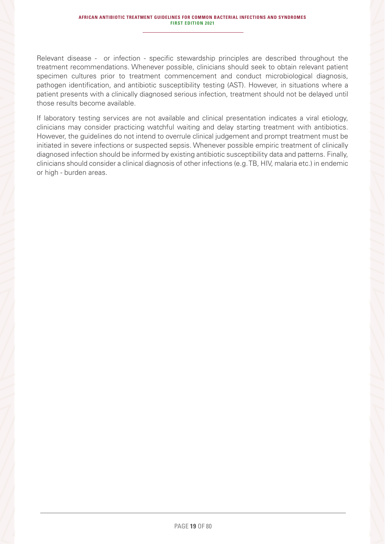Relevant disease - or infection - specific stewardship principles are described throughout the treatment recommendations. Whenever possible, clinicians should seek to obtain relevant patient specimen cultures prior to treatment commencement and conduct microbiological diagnosis, pathogen identification, and antibiotic susceptibility testing (AST). However, in situations where a patient presents with a clinically diagnosed serious infection, treatment should not be delayed until those results become available.

If laboratory testing services are not available and clinical presentation indicates a viral etiology, clinicians may consider practicing watchful waiting and delay starting treatment with antibiotics. However, the guidelines do not intend to overrule clinical judgement and prompt treatment must be initiated in severe infections or suspected sepsis. Whenever possible empiric treatment of clinically diagnosed infection should be informed by existing antibiotic susceptibility data and patterns. Finally, clinicians should consider a clinical diagnosis of other infections (e.g. TB, HIV, malaria etc.) in endemic or high - burden areas.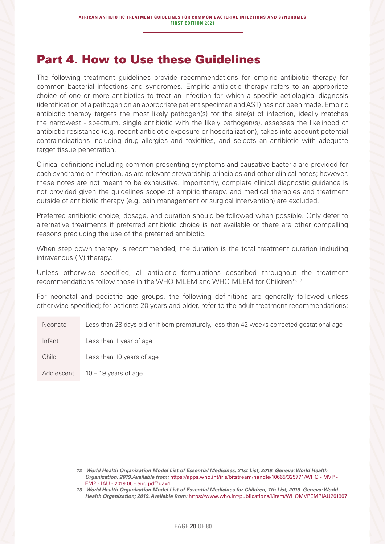### Part 4. How to Use these Guidelines

The following treatment guidelines provide recommendations for empiric antibiotic therapy for common bacterial infections and syndromes. Empiric antibiotic therapy refers to an appropriate choice of one or more antibiotics to treat an infection for which a specific aetiological diagnosis (identification of a pathogen on an appropriate patient specimen and AST) has not been made. Empiric antibiotic therapy targets the most likely pathogen(s) for the site(s) of infection, ideally matches the narrowest - spectrum, single antibiotic with the likely pathogen(s), assesses the likelihood of antibiotic resistance (e.g. recent antibiotic exposure or hospitalization), takes into account potential contraindications including drug allergies and toxicities, and selects an antibiotic with adequate target tissue penetration.

Clinical definitions including common presenting symptoms and causative bacteria are provided for each syndrome or infection, as are relevant stewardship principles and other clinical notes; however, these notes are not meant to be exhaustive. Importantly, complete clinical diagnostic guidance is not provided given the guidelines scope of empiric therapy, and medical therapies and treatment outside of antibiotic therapy (e.g. pain management or surgical intervention) are excluded.

Preferred antibiotic choice, dosage, and duration should be followed when possible. Only defer to alternative treatments if preferred antibiotic choice is not available or there are other compelling reasons precluding the use of the preferred antibiotic.

When step down therapy is recommended, the duration is the total treatment duration including intravenous (IV) therapy.

Unless otherwise specified, all antibiotic formulations described throughout the treatment recommendations follow those in the WHO MLEM and WHO MLEM for Children<sup>12,13</sup>.

For neonatal and pediatric age groups, the following definitions are generally followed unless otherwise specified; for patients 20 years and older, refer to the adult treatment recommendations:

| <b>Neonate</b> | Less than 28 days old or if born prematurely, less than 42 weeks corrected gestational age |
|----------------|--------------------------------------------------------------------------------------------|
| Infant         | Less than 1 year of age                                                                    |
| Child          | Less than 10 years of age                                                                  |
| Adolescent     | $10 - 19$ years of age                                                                     |

*13 World Health Organization Model List of Essential Medicines for Children, 7th List, 2019. Geneva: World Health Organization; 2019. Available from:* https://www.who.int/publications/i/item/WHOMVPEMPIAU201907

*<sup>12</sup> World Health Organization Model List of Essential Medicines, 21st List, 2019. Geneva: World Health Organization; 2019.Available from:* https://apps.who.int/iris/bitstream/handle/10665/325771/WHO - MVP - EMP - IAU - 2019.06 - eng.pdf?ua=1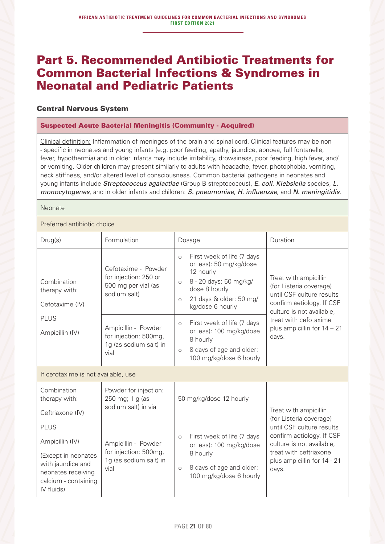### Part 5. Recommended Antibiotic Treatments for Common Bacterial Infections & Syndromes in Neonatal and Pediatric Patients

### Central Nervous System

### Suspected Acute Bacterial Meningitis (Community - Acquired)

Clinical definition: Inflammation of meninges of the brain and spinal cord. Clinical features may be non - specific in neonates and young infants (e.g. poor feeding, apathy, jaundice, apnoea, full fontanelle, fever, hypothermia) and in older infants may include irritability, drowsiness, poor feeding, high fever, and/ or vomiting. Older children may present similarly to adults with headache, fever, photophobia, vomiting, neck stiffness, and/or altered level of consciousness. Common bacterial pathogens in neonates and young infants include *Streptococcus agalactiae* (Group B streptococcus), *E. coli*, *Klebsiella* species, *L. monocytogenes*, and in older infants and children: *S. pneumoniae*, *H. influenzae*, and *N. meningitidis*.

Neonate

Preferred antibiotic choice

| Drug(s)                                                                                                                                | Formulation                                                                         | Dosage                                                                                                                                                                                           | Duration                                                                                                                                                                         |  |
|----------------------------------------------------------------------------------------------------------------------------------------|-------------------------------------------------------------------------------------|--------------------------------------------------------------------------------------------------------------------------------------------------------------------------------------------------|----------------------------------------------------------------------------------------------------------------------------------------------------------------------------------|--|
| Combination<br>therapy with:<br>Cefotaxime (IV)                                                                                        | Cefotaxime - Powder<br>for injection: 250 or<br>500 mg per vial (as<br>sodium salt) | First week of life (7 days<br>$\bigcirc$<br>or less): 50 mg/kg/dose<br>12 hourly<br>8 - 20 days: 50 mg/kg/<br>$\circ$<br>dose 8 hourly<br>21 days & older: 50 mg/<br>$\circ$<br>kg/dose 6 hourly | Treat with ampicillin<br>(for Listeria coverage)<br>until CSF culture results<br>confirm aetiology. If CSF<br>culture is not available,                                          |  |
| <b>PLUS</b><br>Ampicillin (IV)                                                                                                         | Ampicillin - Powder<br>for injection: 500mg,<br>1g (as sodium salt) in<br>vial      | First week of life (7 days<br>$\circ$<br>or less): 100 mg/kg/dose<br>8 hourly<br>8 days of age and older:<br>$\bigcirc$<br>100 mg/kg/dose 6 hourly                                               | treat with cefotaxime<br>plus ampicillin for $14 - 21$<br>days.                                                                                                                  |  |
| If cefotaxime is not available, use                                                                                                    |                                                                                     |                                                                                                                                                                                                  |                                                                                                                                                                                  |  |
| Combination<br>therapy with:<br>Ceftriaxone (IV)                                                                                       | Powder for injection:<br>250 mg; 1 g (as<br>sodium salt) in vial                    | 50 mg/kg/dose 12 hourly                                                                                                                                                                          | Treat with ampicillin                                                                                                                                                            |  |
| <b>PLUS</b><br>Ampicillin (IV)<br>(Except in neonates<br>with jaundice and<br>neonates receiving<br>calcium - containing<br>IV fluids) | Ampicillin - Powder<br>for injection: 500mg,<br>1q (as sodium salt) in<br>vial      | First week of life (7 days<br>$\circ$<br>or less): 100 mg/kg/dose<br>8 hourly<br>8 days of age and older:<br>$\circ$<br>100 mg/kg/dose 6 hourly                                                  | (for Listeria coverage)<br>until CSF culture results<br>confirm aetiology. If CSF<br>culture is not available,<br>treat with ceftriaxone<br>plus ampicillin for 14 - 21<br>days. |  |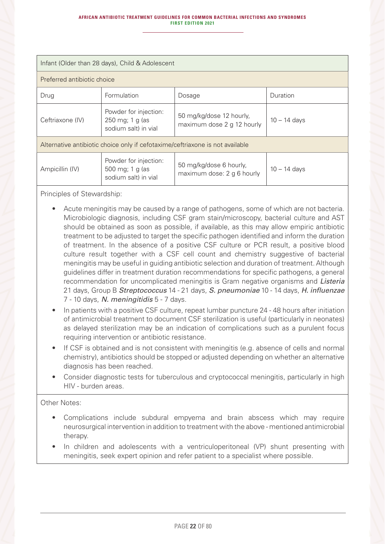#### **AFRICAN ANTIBIOTIC TREATMENT GUIDELINES FOR COMMON BACTERIAL INFECTIONS AND SYNDROMES FIRST EDITION 2021**

| Infant (Older than 28 days), Child & Adolescent                                                                                                                |                                                                  |                                                        |                |  |  |
|----------------------------------------------------------------------------------------------------------------------------------------------------------------|------------------------------------------------------------------|--------------------------------------------------------|----------------|--|--|
| Preferred antibiotic choice                                                                                                                                    |                                                                  |                                                        |                |  |  |
| Drug                                                                                                                                                           | Formulation                                                      | Dosage                                                 | Duration       |  |  |
| Ceftriaxone (IV)                                                                                                                                               | Powder for injection:<br>250 mg; 1 g (as<br>sodium salt) in vial | 50 mg/kg/dose 12 hourly,<br>maximum dose 2 g 12 hourly | $10 - 14$ days |  |  |
| Alternative antibiotic choice only if cefotaxime/ceftriaxone is not available                                                                                  |                                                                  |                                                        |                |  |  |
| Powder for injection:<br>50 mg/kg/dose 6 hourly,<br>Ampicillin (IV)<br>500 mg; 1 g (as<br>$10 - 14$ days<br>maximum dose: 2 g 6 hourly<br>sodium salt) in vial |                                                                  |                                                        |                |  |  |
|                                                                                                                                                                |                                                                  |                                                        |                |  |  |

Principles of Stewardship:

- Acute meningitis may be caused by a range of pathogens, some of which are not bacteria. Microbiologic diagnosis, including CSF gram stain/microscopy, bacterial culture and AST should be obtained as soon as possible, if available, as this may allow empiric antibiotic treatment to be adjusted to target the specific pathogen identified and inform the duration of treatment. In the absence of a positive CSF culture or PCR result, a positive blood culture result together with a CSF cell count and chemistry suggestive of bacterial meningitis may be useful in guiding antibiotic selection and duration of treatment. Although guidelines differ in treatment duration recommendations for specific pathogens, a general recommendation for uncomplicated meningitis is Gram negative organisms and *Listeria* 21 days, Group B *Streptococcus* 14 - 21 days, *S. pneumoniae* 10 - 14 days, *H. influenzae* 7 - 10 days, *N. meningitidis* 5 - 7 days.
- In patients with a positive CSF culture, repeat lumbar puncture 24 48 hours after initiation of antimicrobial treatment to document CSF sterilization is useful (particularly in neonates) as delayed sterilization may be an indication of complications such as a purulent focus requiring intervention or antibiotic resistance.
- If CSF is obtained and is not consistent with meningitis (e.g. absence of cells and normal chemistry), antibiotics should be stopped or adjusted depending on whether an alternative diagnosis has been reached.
- Consider diagnostic tests for tuberculous and cryptococcal meningitis, particularly in high HIV - burden areas.

### Other Notes:

- Complications include subdural empyema and brain abscess which may require neurosurgical intervention in addition to treatment with the above - mentioned antimicrobial therapy.
- In children and adolescents with a ventriculoperitoneal (VP) shunt presenting with meningitis, seek expert opinion and refer patient to a specialist where possible.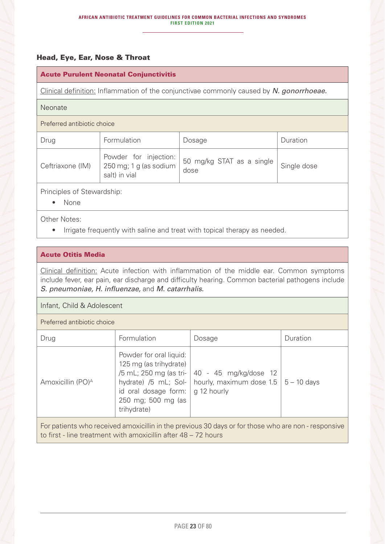### Head, Eye, Ear, Nose & Throat

### Acute Purulent Neonatal Conjunctivitis

Clinical definition: Inflammation of the conjunctivae commonly caused by *N. gonorrhoeae.*

#### Neonate

#### Preferred antibiotic choice

| Drug             | Formulation                                                          | Dosage                            | Duration    |
|------------------|----------------------------------------------------------------------|-----------------------------------|-------------|
| Ceftriaxone (IM) | Powder for injection:  <br>  250 mg; 1 g (as sodium<br>salt) in vial | 50 mg/kg STAT as a single<br>dose | Single dose |

Principles of Stewardship:

• None

Other Notes:

• Irrigate frequently with saline and treat with topical therapy as needed.

### Acute Otitis Media

Clinical definition: Acute infection with inflammation of the middle ear. Common symptoms include fever, ear pain, ear discharge and difficulty hearing. Common bacterial pathogens include *S. pneumoniae, H. influenzae,* and *M. catarrhalis.*

### Infant, Child & Adolescent

Preferred antibiotic choice

| Drug                                                                                                | Formulation                                                                                                                                    | Dosage                                                                                                       | Duration |
|-----------------------------------------------------------------------------------------------------|------------------------------------------------------------------------------------------------------------------------------------------------|--------------------------------------------------------------------------------------------------------------|----------|
| Amoxicillin (PO) <sup>A</sup>                                                                       | Powder for oral liquid:<br>125 mg (as trihydrate)<br>hydrate) /5 mL; Sol- $\vert$<br>id oral dosage form:<br>250 mg; 500 mg (as<br>trihydrate) | /5 mL; 250 mg (as tri-   40 - 45 mg/kg/dose 12<br>hourly, maximum dose $1.5 \mid 5 - 10$ days<br>g 12 hourly |          |
| For patients who received amoxicillin in the previous 30 days or for those who are non - responsive |                                                                                                                                                |                                                                                                              |          |

to first - line treatment with amoxicillin after 48 – 72 hours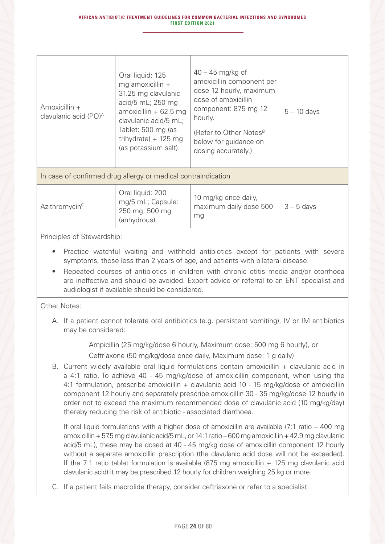| Amoxicillin +<br>clavulanic acid (PO) <sup>A</sup>            | Oral liquid: 125<br>mg amoxicillin +<br>31.25 mg clavulanic<br>acid/5 mL; 250 mg<br>amoxicillin $+62.5$ mg<br>clavulanic acid/5 mL;<br>Tablet: 500 mg (as<br>trihydrate) + $125$ mg<br>(as potassium salt). | $40 - 45$ mg/kg of<br>amoxicillin component per<br>dose 12 hourly, maximum<br>dose of amoxicillin<br>component: 875 mg 12<br>hourly.<br>(Refer to Other Notes <sup>B</sup><br>below for guidance on<br>dosing accurately.) | $5 - 10$ days |  |
|---------------------------------------------------------------|-------------------------------------------------------------------------------------------------------------------------------------------------------------------------------------------------------------|----------------------------------------------------------------------------------------------------------------------------------------------------------------------------------------------------------------------------|---------------|--|
| In case of confirmed drug allergy or medical contraindication |                                                                                                                                                                                                             |                                                                                                                                                                                                                            |               |  |

| Azithromycin <sup>c</sup> | Oral liquid: 200<br>mg/5 mL; Capsule:<br>250 mg; 500 mg<br>(anhydrous). | 10 mg/kg once daily,<br>maximum daily dose 500<br>mg | $3 - 5$ days |
|---------------------------|-------------------------------------------------------------------------|------------------------------------------------------|--------------|
|---------------------------|-------------------------------------------------------------------------|------------------------------------------------------|--------------|

Principles of Stewardship:

- Practice watchful waiting and withhold antibiotics except for patients with severe symptoms, those less than 2 years of age, and patients with bilateral disease.
- Repeated courses of antibiotics in children with chronic otitis media and/or otorrhoea are ineffective and should be avoided. Expert advice or referral to an ENT specialist and audiologist if available should be considered.

### Other Notes:

A. If a patient cannot tolerate oral antibiotics (e.g. persistent vomiting), IV or IM antibiotics may be considered:

Ampicillin (25 mg/kg/dose 6 hourly, Maximum dose: 500 mg 6 hourly), or

Ceftriaxone (50 mg/kg/dose once daily, Maximum dose: 1 g daily)

B. Current widely available oral liquid formulations contain amoxicillin  $+$  clavulanic acid in a 4:1 ratio. To achieve 40 - 45 mg/kg/dose of amoxicillin component, when using the 4:1 formulation, prescribe amoxicillin + clavulanic acid 10 - 15 mg/kg/dose of amoxicillin component 12 hourly and separately prescribe amoxicillin 30 - 35 mg/kg/dose 12 hourly in order not to exceed the maximum recommended dose of clavulanic acid (10 mg/kg/day) thereby reducing the risk of antibiotic - associated diarrhoea.

If oral liquid formulations with a higher dose of amoxicillin are available  $(7:1 \text{ ratio} - 400 \text{ mg})$ amoxicillin + 57.5 mg clavulanic acid/5 mL, or 14:1 ratio – 600 mg amoxicillin + 42.9 mg clavulanic acid/5 mL), these may be dosed at 40 - 45 mg/kg dose of amoxicillin component 12 hourly without a separate amoxicillin prescription (the clavulanic acid dose will not be exceeded). If the 7:1 ratio tablet formulation is available  $(875 \text{ mg}$  amoxicillin  $+ 125 \text{ mg}$  clavulanic acid clavulanic acid) it may be prescribed 12 hourly for children weighing 25 kg or more.

C. If a patient fails macrolide therapy, consider ceftriaxone or refer to a specialist.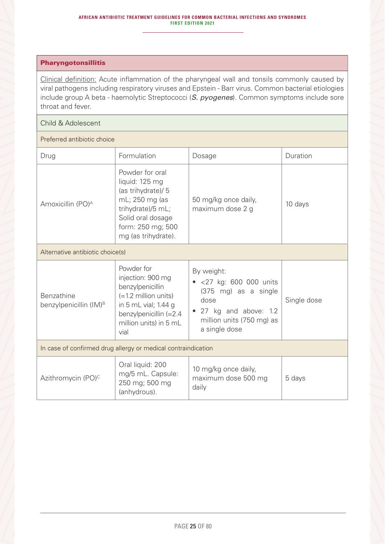### Pharyngotonsillitis

Clinical definition: Acute inflammation of the pharyngeal wall and tonsils commonly caused by viral pathogens including respiratory viruses and Epstein - Barr virus. Common bacterial etiologies include group A beta - haemolytic Streptococci (*S. pyogenes*). Common symptoms include sore throat and fever.

### Child & Adolescent

| Drug                                                          | Formulation                                                                                                                                                       | Dosage                                                                                                                                                 | Duration    |  |
|---------------------------------------------------------------|-------------------------------------------------------------------------------------------------------------------------------------------------------------------|--------------------------------------------------------------------------------------------------------------------------------------------------------|-------------|--|
| Amoxicillin (PO) <sup>A</sup>                                 | Powder for oral<br>liquid: 125 mg<br>(as trihydrate)/ 5<br>mL; 250 mg (as<br>trihydrate)/5 mL;<br>Solid oral dosage<br>form: 250 mg; 500<br>mg (as trihydrate).   | 50 mg/kg once daily,<br>maximum dose 2 g                                                                                                               | 10 days     |  |
| Alternative antibiotic choice(s)                              |                                                                                                                                                                   |                                                                                                                                                        |             |  |
| Benzathine<br>benzylpenicillin (IM) <sup>B</sup>              | Powder for<br>injection: 900 mg<br>benzylpenicillin<br>$(=1.2$ million units)<br>in 5 mL vial; 1.44 g<br>benzylpenicillin (=2.4<br>million units) in 5 mL<br>vial | By weight:<br><27 kg: 600 000 units<br>(375 mg) as a single<br>dose<br>27 kg and above: 1.2<br>$\bullet$<br>million units (750 mg) as<br>a single dose | Single dose |  |
| In case of confirmed drug allergy or medical contraindication |                                                                                                                                                                   |                                                                                                                                                        |             |  |
| Azithromycin (PO) <sup>c</sup>                                | Oral liquid: 200<br>mg/5 mL. Capsule:<br>250 mg; 500 mg<br>(anhydrous).                                                                                           | 10 mg/kg once daily,<br>maximum dose 500 mg<br>daily                                                                                                   | 5 days      |  |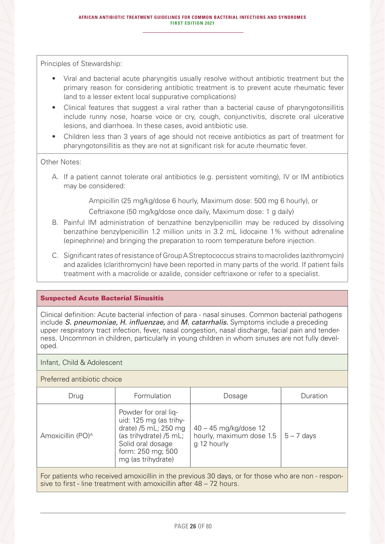Principles of Stewardship:

- Viral and bacterial acute pharyngitis usually resolve without antibiotic treatment but the primary reason for considering antibiotic treatment is to prevent acute rheumatic fever (and to a lesser extent local suppurative complications)
- Clinical features that suggest a viral rather than a bacterial cause of pharyngotonsillitis include runny nose, hoarse voice or cry, cough, conjunctivitis, discrete oral ulcerative lesions, and diarrhoea. In these cases, avoid antibiotic use.
- Children less than 3 years of age should not receive antibiotics as part of treatment for pharyngotonsillitis as they are not at significant risk for acute rheumatic fever.

### Other Notes:

A. If a patient cannot tolerate oral antibiotics (e.g. persistent vomiting), IV or IM antibiotics may be considered:

> Ampicillin (25 mg/kg/dose 6 hourly, Maximum dose: 500 mg 6 hourly), or Ceftriaxone (50 mg/kg/dose once daily, Maximum dose: 1 g daily)

- B. Painful IM administration of benzathine benzylpenicillin may be reduced by dissolving benzathine benzylpenicillin 1.2 million units in 3.2 mL lidocaine 1% without adrenaline (epinephrine) and bringing the preparation to room temperature before injection.
- C. Significant rates of resistance of Group A Streptococcus strains to macrolides (azithromycin) and azalides (clarithromycin) have been reported in many parts of the world. If patient fails treatment with a macrolide or azalide, consider ceftriaxone or refer to a specialist.

### Suspected Acute Bacterial Sinusitis

Clinical definition: Acute bacterial infection of para - nasal sinuses. Common bacterial pathogens include *S. pneumoniae, H. influenzae,* and *M. catarrhalis.* Symptoms include a preceding upper respiratory tract infection, fever, nasal congestion, nasal discharge, facial pain and tenderness. Uncommon in children, particularly in young children in whom sinuses are not fully developed.

### Infant, Child & Adolescent

### Preferred antibiotic choice

| Drug                          | Formulation                                                                                                                                                      | Dosage                                                           | Duration     |
|-------------------------------|------------------------------------------------------------------------------------------------------------------------------------------------------------------|------------------------------------------------------------------|--------------|
| Amoxicillin (PO) <sup>A</sup> | Powder for oral liq-<br>uid: 125 mg (as trihy-<br>drate) /5 mL; 250 mg<br>(as trihydrate) /5 mL;<br>Solid oral dosage<br>form: 250 mg; 500<br>mg (as trihydrate) | 40 - 45 mg/kg/dose 12<br>hourly, maximum dose 1.5<br>g 12 hourly | $5 - 7$ days |
|                               |                                                                                                                                                                  |                                                                  |              |

For patients who received amoxicillin in the previous 30 days, or for those who are non - responsive to first - line treatment with amoxicillin after 48 – 72 hours.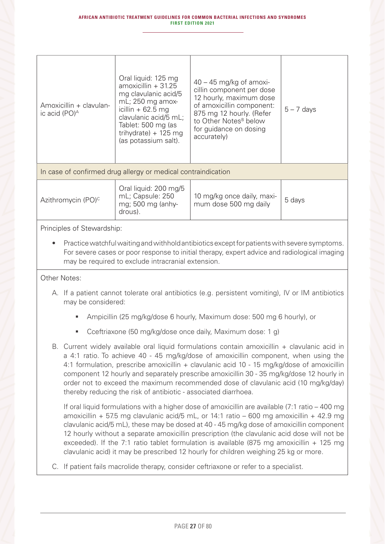| Amoxicillin + clavulan-<br>ic acid (PO) <sup>A</sup>          | Oral liquid: 125 mg<br>$amoxicillin + 31.25$<br>mg clavulanic acid/5<br>$mL$ ; 250 mg amox-<br>icillin $+62.5$ mg<br>clavulanic acid/5 mL;<br>Tablet: 500 mg (as<br>trihydrate) + $125$ mg<br>(as potassium salt). | $40 - 45$ mg/kg of amoxi-<br>cillin component per dose<br>12 hourly, maximum dose<br>of amoxicillin component:<br>875 mg 12 hourly. (Refer<br>to Other Notes <sup>B</sup> below<br>for guidance on dosing<br>accurately) | $5 - 7$ days |  |
|---------------------------------------------------------------|--------------------------------------------------------------------------------------------------------------------------------------------------------------------------------------------------------------------|--------------------------------------------------------------------------------------------------------------------------------------------------------------------------------------------------------------------------|--------------|--|
| In case of confirmed drug allergy or medical contraindication |                                                                                                                                                                                                                    |                                                                                                                                                                                                                          |              |  |
| Azithromycin (PO) <sup>c</sup>                                | Oral liquid: 200 mg/5<br>mL; Capsule: 250<br>mg; 500 mg (anhy-                                                                                                                                                     | 10 mg/kg once daily, maxi-<br>mum dose 500 mg daily                                                                                                                                                                      | 5 days       |  |

Principles of Stewardship:

drous).

• Practice watchful waiting and withhold antibiotics except for patients with severe symptoms. For severe cases or poor response to initial therapy, expert advice and radiological imaging may be required to exclude intracranial extension.

### Other Notes:

- A. If a patient cannot tolerate oral antibiotics (e.g. persistent vomiting), IV or IM antibiotics may be considered:
	- Ampicillin (25 mg/kg/dose 6 hourly, Maximum dose: 500 mg 6 hourly), or
	- Cceftriaxone (50 mg/kg/dose once daily, Maximum dose: 1 g)
- B. Current widely available oral liquid formulations contain amoxicillin  $+$  clavulanic acid in a 4:1 ratio. To achieve 40 - 45 mg/kg/dose of amoxicillin component, when using the 4:1 formulation, prescribe amoxicillin + clavulanic acid 10 - 15 mg/kg/dose of amoxicillin component 12 hourly and separately prescribe amoxicillin 30 - 35 mg/kg/dose 12 hourly in order not to exceed the maximum recommended dose of clavulanic acid (10 mg/kg/day) thereby reducing the risk of antibiotic - associated diarrhoea.

If oral liquid formulations with a higher dose of amoxicillin are available (7:1 ratio – 400 mg amoxicillin + 57.5 mg clavulanic acid/5 mL, or 14:1 ratio – 600 mg amoxicillin + 42.9 mg clavulanic acid/5 mL), these may be dosed at 40 - 45 mg/kg dose of amoxicillin component 12 hourly without a separate amoxicillin prescription (the clavulanic acid dose will not be exceeded). If the 7:1 ratio tablet formulation is available (875 mg amoxicillin  $+$  125 mg clavulanic acid) it may be prescribed 12 hourly for children weighing 25 kg or more.

C. If patient fails macrolide therapy, consider ceftriaxone or refer to a specialist.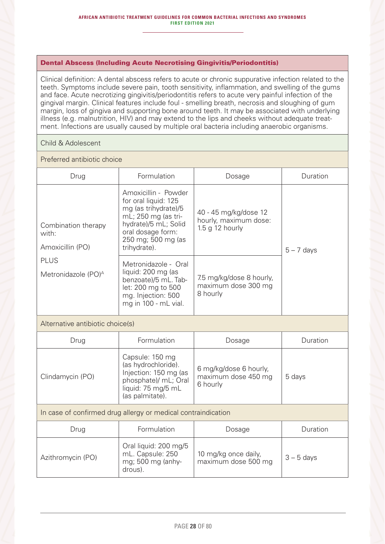### Dental Abscess (Including Acute Necrotising Gingivitis/Periodontitis)

Clinical definition: A dental abscess refers to acute or chronic suppurative infection related to the teeth. Symptoms include severe pain, tooth sensitivity, inflammation, and swelling of the gums and face. Acute necrotizing gingivitis/periodontitis refers to acute very painful infection of the gingival margin. Clinical features include foul - smelling breath, necrosis and sloughing of gum margin, loss of gingiva and supporting bone around teeth. It may be associated with underlying illness (e.g. malnutrition, HIV) and may extend to the lips and cheeks without adequate treatment. Infections are usually caused by multiple oral bacteria including anaerobic organisms.

### Child & Adolescent

### Preferred antibiotic choice

| Drug                                                          | Formulation                                                                                                                                                                    | Dosage                                                                | Duration     |  |
|---------------------------------------------------------------|--------------------------------------------------------------------------------------------------------------------------------------------------------------------------------|-----------------------------------------------------------------------|--------------|--|
| Combination therapy<br>with:<br>Amoxicillin (PO)              | Amoxicillin - Powder<br>for oral liquid: 125<br>mg (as trihydrate)/5<br>mL; 250 mg (as tri-<br>hydrate)/5 mL; Solid<br>oral dosage form:<br>250 mg; 500 mg (as<br>trihydrate). | 40 - 45 mg/kg/dose 12<br>hourly, maximum dose:<br>$1.5$ g $12$ hourly | $5 - 7$ days |  |
| <b>PLUS</b><br>Metronidazole (PO) <sup>A</sup>                | Metronidazole - Oral<br>liquid: 200 mg (as<br>benzoate)/5 mL. Tab-<br>let: 200 mg to 500<br>mg. Injection: 500<br>mg in 100 - mL vial.                                         | 7.5 mg/kg/dose 8 hourly,<br>maximum dose 300 mg<br>8 hourly           |              |  |
| Alternative antibiotic choice(s)                              |                                                                                                                                                                                |                                                                       |              |  |
| Drug                                                          | Formulation                                                                                                                                                                    | Dosage                                                                | Duration     |  |
| Clindamycin (PO)                                              | Capsule: 150 mg<br>(as hydrochloride).<br>Injection: 150 mg (as<br>phosphate)/ mL; Oral<br>liquid: 75 mg/5 mL<br>(as palmitate).                                               | 6 mg/kg/dose 6 hourly,<br>maximum dose 450 mg<br>6 hourly             | 5 days       |  |
| In case of confirmed drug allergy or medical contraindication |                                                                                                                                                                                |                                                                       |              |  |
| Drug                                                          | Formulation                                                                                                                                                                    | Dosage                                                                | Duration     |  |
| Azithromycin (PO)                                             | Oral liquid: 200 mg/5<br>mL. Capsule: 250<br>mg; 500 mg (anhy-                                                                                                                 | 10 mg/kg once daily,<br>maximum dose 500 mg                           | $3 - 5$ days |  |

drous).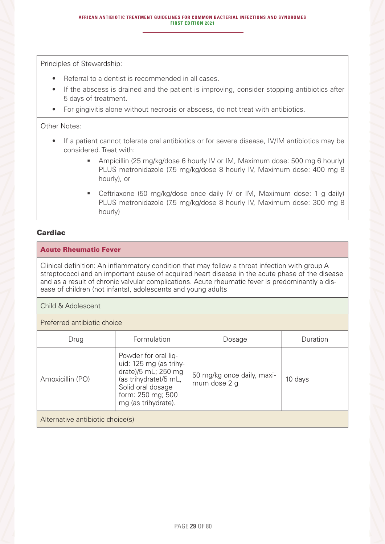Principles of Stewardship:

- Referral to a dentist is recommended in all cases.
- If the abscess is drained and the patient is improving, consider stopping antibiotics after 5 days of treatment.
- For gingivitis alone without necrosis or abscess, do not treat with antibiotics.

Other Notes:

- If a patient cannot tolerate oral antibiotics or for severe disease, IV/IM antibiotics may be considered. Treat with:
	- Ampicillin (25 mg/kg/dose 6 hourly IV or IM, Maximum dose: 500 mg 6 hourly) PLUS metronidazole (7.5 mg/kg/dose 8 hourly IV, Maximum dose: 400 mg 8 hourly), or
	- Ceftriaxone (50 mg/kg/dose once daily IV or IM, Maximum dose: 1 g daily) PLUS metronidazole (7.5 mg/kg/dose 8 hourly IV, Maximum dose: 300 mg 8 hourly)

### **Cardiac**

### Acute Rheumatic Fever

Clinical definition: An inflammatory condition that may follow a throat infection with group A streptococci and an important cause of acquired heart disease in the acute phase of the disease and as a result of chronic valvular complications. Acute rheumatic fever is predominantly a disease of children (not infants), adolescents and young adults

Child & Adolescent

Preferred antibiotic choice

| Drug                             | Formulation                                                                                                                                                     | Dosage                                     | Duration |  |
|----------------------------------|-----------------------------------------------------------------------------------------------------------------------------------------------------------------|--------------------------------------------|----------|--|
| Amoxicillin (PO)                 | Powder for oral liq-<br>uid: 125 mg (as trihy-<br>drate)/5 mL; 250 mg<br>(as trihydrate)/5 mL,<br>Solid oral dosage<br>form: 250 mg; 500<br>mg (as trihydrate). | 50 mg/kg once daily, maxi-<br>mum dose 2 g | 10 days  |  |
| Alternative antibiotic choice(s) |                                                                                                                                                                 |                                            |          |  |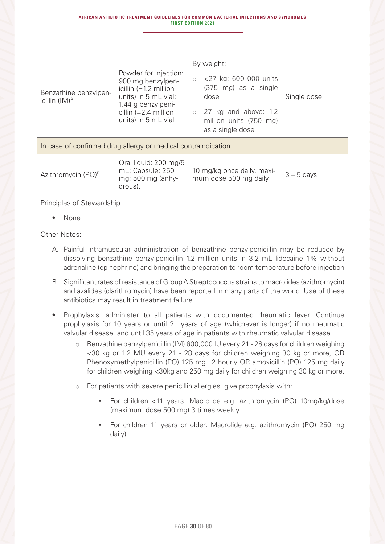| Benzathine benzylpen-<br>icillin $(IM)^A$                     | Powder for injection:<br>900 mg benzylpen-<br>icillin $(=1.2 \text{ million})$<br>units) in 5 mL vial;<br>1.44 g benzylpeni-<br>cillin $(=2.4$ million<br>units) in 5 mL vial | By weight:<br><27 kg: 600 000 units<br>$\bigcirc$<br>(375 mg) as a single<br>dose<br>$\circ$ 27 kg and above: 1.2<br>million units (750 mg)<br>as a single dose | Single dose  |
|---------------------------------------------------------------|-------------------------------------------------------------------------------------------------------------------------------------------------------------------------------|-----------------------------------------------------------------------------------------------------------------------------------------------------------------|--------------|
| In case of confirmed drug allergy or medical contraindication |                                                                                                                                                                               |                                                                                                                                                                 |              |
| Azithromycin (PO) <sup>B</sup>                                | Oral liquid: 200 mg/5<br>mL; Capsule: 250<br>mg; 500 mg (anhy-                                                                                                                | 10 mg/kg once daily, maxi-<br>mum dose 500 mg daily                                                                                                             | $3 - 5$ days |

drous).

Principles of Stewardship:

• None

Other Notes:

- A. Painful intramuscular administration of benzathine benzylpenicillin may be reduced by dissolving benzathine benzylpenicillin 1.2 million units in 3.2 mL lidocaine 1% without adrenaline (epinephrine) and bringing the preparation to room temperature before injection
- B. Significant rates of resistance of Group A Streptococcus strains to macrolides (azithromycin) and azalides (clarithromycin) have been reported in many parts of the world. Use of these antibiotics may result in treatment failure.
- Prophylaxis: administer to all patients with documented rheumatic fever. Continue prophylaxis for 10 years or until 21 years of age (whichever is longer) if no rheumatic valvular disease, and until 35 years of age in patients with rheumatic valvular disease.
	- o Benzathine benzylpenicillin (IM) 600,000 IU every 21 28 days for children weighing <30 kg or 1.2 MU every 21 - 28 days for children weighing 30 kg or more, OR Phenoxymethylpenicillin (PO) 125 mg 12 hourly OR amoxicillin (PO) 125 mg daily for children weighing <30kg and 250 mg daily for children weighing 30 kg or more.
	- o For patients with severe penicillin allergies, give prophylaxis with:
		- For children <11 years: Macrolide e.g. azithromycin (PO) 10mg/kg/dose (maximum dose 500 mg) 3 times weekly
		- For children 11 years or older: Macrolide e.g. azithromycin (PO) 250 mg daily)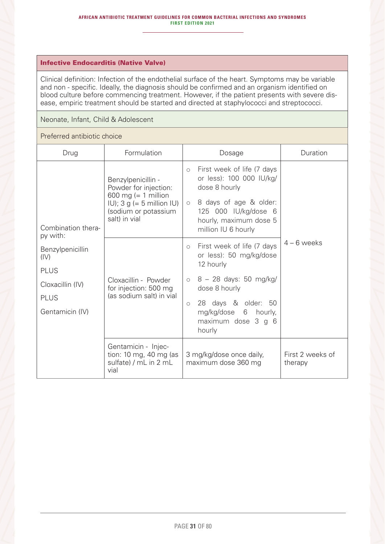### Infective Endocarditis (Native Valve)

Clinical definition: Infection of the endothelial surface of the heart. Symptoms may be variable and non - specific. Ideally, the diagnosis should be confirmed and an organism identified on blood culture before commencing treatment. However, if the patient presents with severe disease, empiric treatment should be started and directed at staphylococci and streptococci.

Neonate, Infant, Child & Adolescent

### Preferred antibiotic choice

| Drug                                                                                          | Formulation                                                                                                                                                 | Dosage                                                                                                                                                                                              | Duration                    |
|-----------------------------------------------------------------------------------------------|-------------------------------------------------------------------------------------------------------------------------------------------------------------|-----------------------------------------------------------------------------------------------------------------------------------------------------------------------------------------------------|-----------------------------|
| Combination thera-<br>py with:                                                                | Benzylpenicillin -<br>Powder for injection:<br>600 mg (= $1$ million<br>$ U\rangle$ ; 3 g (= 5 million $ U\rangle$<br>(sodium or potassium<br>salt) in vial | First week of life (7 days<br>$\bigcirc$<br>or less): 100 000 IU/kg/<br>dose 8 hourly<br>8 days of age & older:<br>$\circ$<br>125 000 IU/kg/dose 6<br>hourly, maximum dose 5<br>million IU 6 hourly |                             |
| Benzylpenicillin<br>(IV)<br><b>PLUS</b><br>Cloxacillin (IV)<br><b>PLUS</b><br>Gentamicin (IV) | Cloxacillin - Powder<br>for injection: 500 mg<br>(as sodium salt) in vial                                                                                   | First week of life (7 days<br>$\circ$<br>or less): 50 mg/kg/dose<br>12 hourly<br>8 - 28 days: 50 mg/kg/<br>$\circ$<br>dose 8 hourly<br>28 days & older: 50<br>$\circ$<br>mg/kg/dose<br>6<br>hourly, | $4 - 6$ weeks               |
|                                                                                               |                                                                                                                                                             | maximum dose 3 g 6<br>hourly                                                                                                                                                                        |                             |
|                                                                                               | Gentamicin - Injec-<br>tion: 10 mg, 40 mg (as<br>sulfate) / mL in 2 mL<br>vial                                                                              | 3 mg/kg/dose once daily,<br>maximum dose 360 mg                                                                                                                                                     | First 2 weeks of<br>therapy |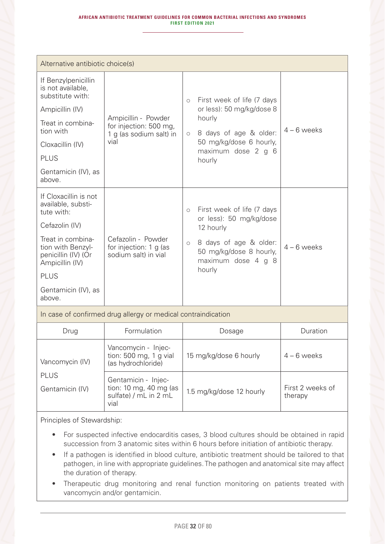| Alternative antibiotic choice(s)                                                 |                                                                          |                     |                                                                         |               |
|----------------------------------------------------------------------------------|--------------------------------------------------------------------------|---------------------|-------------------------------------------------------------------------|---------------|
| If Benzylpenicillin<br>is not available,<br>substitute with:                     |                                                                          | $\circ$             | First week of life (7 days                                              |               |
| Ampicillin (IV)                                                                  |                                                                          |                     | or less): 50 mg/kg/dose 8                                               |               |
| Treat in combina-<br>tion with                                                   | Ampicillin - Powder<br>for injection: 500 mg,<br>1 g (as sodium salt) in | $\circlearrowright$ | hourly<br>8 days of age & older:                                        | $4 - 6$ weeks |
| Cloxacillin (IV)                                                                 | vial                                                                     |                     | 50 mg/kg/dose 6 hourly,<br>maximum dose 2 g 6                           |               |
| <b>PLUS</b>                                                                      |                                                                          |                     | hourly                                                                  |               |
| Gentamicin (IV), as<br>above.                                                    |                                                                          |                     |                                                                         |               |
| If Cloxacillin is not<br>available, substi-<br>tute with:                        |                                                                          | $\circ$             | First week of life (7 days                                              |               |
| Cefazolin (IV)                                                                   |                                                                          |                     | or less): 50 mg/kg/dose<br>12 hourly                                    |               |
| Treat in combina-<br>tion with Benzyl-<br>penicillin (IV) (Or<br>Ampicillin (IV) | Cefazolin - Powder<br>for injection: 1 g (as<br>sodium salt) in vial     | $\circ$             | 8 days of age & older:<br>50 mg/kg/dose 8 hourly,<br>maximum dose 4 g 8 | $4 - 6$ weeks |
| <b>PLUS</b>                                                                      |                                                                          |                     | hourly                                                                  |               |
| Gentamicin (IV), as<br>above.                                                    |                                                                          |                     |                                                                         |               |
| In case of confirmed drug allergy or medical contraindication                    |                                                                          |                     |                                                                         |               |
| Drug                                                                             | Formulation                                                              |                     | Dosage                                                                  | Duration      |

| Drug                                              | Formulation                                                                    | Dosage                   | Duration                    |
|---------------------------------------------------|--------------------------------------------------------------------------------|--------------------------|-----------------------------|
| Vancomycin (IV)<br><b>PLUS</b><br>Gentamicin (IV) | Vancomycin - Injec-<br>tion: $500$ mg, 1 g vial<br>(as hydrochloride)          | 15 mg/kg/dose 6 hourly   | $4 - 6$ weeks               |
|                                                   | Gentamicin - Injec-<br>tion: 10 mg, 40 mg (as<br>sulfate) / mL in 2 mL<br>vial | 1.5 mg/kg/dose 12 hourly | First 2 weeks of<br>therapy |

Principles of Stewardship:

- For suspected infective endocarditis cases, 3 blood cultures should be obtained in rapid succession from 3 anatomic sites within 6 hours before initiation of antibiotic therapy.
- If a pathogen is identified in blood culture, antibiotic treatment should be tailored to that pathogen, in line with appropriate guidelines. The pathogen and anatomical site may affect the duration of therapy.
- Therapeutic drug monitoring and renal function monitoring on patients treated with vancomycin and/or gentamicin.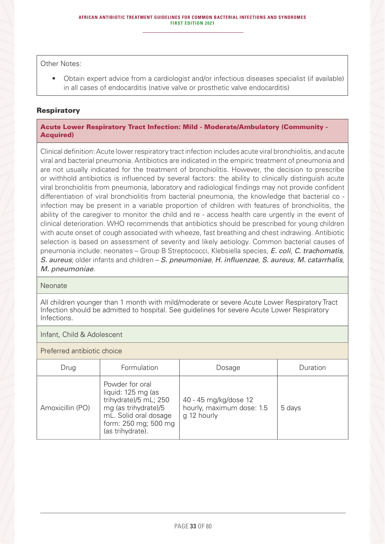Other Notes:

• Obtain expert advice from a cardiologist and/or infectious diseases specialist (if available) in all cases of endocarditis (native valve or prosthetic valve endocarditis)

### **Respiratory**

Acute Lower Respiratory Tract Infection: Mild - Moderate/Ambulatory (Community - Acquired)

Clinical definition: Acute lower respiratory tract infection includes acute viral bronchiolitis, and acute viral and bacterial pneumonia. Antibiotics are indicated in the empiric treatment of pneumonia and are not usually indicated for the treatment of bronchiolitis. However, the decision to prescribe or withhold antibiotics is influenced by several factors: the ability to clinically distinguish acute viral bronchiolitis from pneumonia, laboratory and radiological findings may not provide confident differentiation of viral bronchiolitis from bacterial pneumonia, the knowledge that bacterial co infection may be present in a variable proportion of children with features of bronchiolitis, the ability of the caregiver to monitor the child and re - access health care urgently in the event of clinical deterioration. WHO recommends that antibiotics should be prescribed for young children with acute onset of cough associated with wheeze, fast breathing and chest indrawing. Antibiotic selection is based on assessment of severity and likely aetiology. Common bacterial causes of pneumonia include: neonates – Group B Streptococci, Klebsiella species, *E. coli*, *C. trachomatis*, *S. aureus*; older infants and children – *S. pneumoniae*, *H. influenzae*, *S. aureus*, *M. catarrhalis*, *M. pneumoniae*.

#### **Neonate**

All children younger than 1 month with mild/moderate or severe Acute Lower Respiratory Tract Infection should be admitted to hospital. See guidelines for severe Acute Lower Respiratory Infections.

### Infant, Child & Adolescent

Preferred antibiotic choice

| Drug             | Formulation                                                                                                                                                 | Dosage                                                            | Duration |
|------------------|-------------------------------------------------------------------------------------------------------------------------------------------------------------|-------------------------------------------------------------------|----------|
| Amoxicillin (PO) | Powder for oral<br>liquid: 125 mg (as<br>trihydrate)/5 mL; 250<br>mg (as trihydrate)/5<br>mL. Solid oral dosage<br>form: 250 mg; 500 mg<br>(as trihydrate). | 40 - 45 mg/kg/dose 12<br>hourly, maximum dose: 1.5<br>g 12 hourly | 5 days   |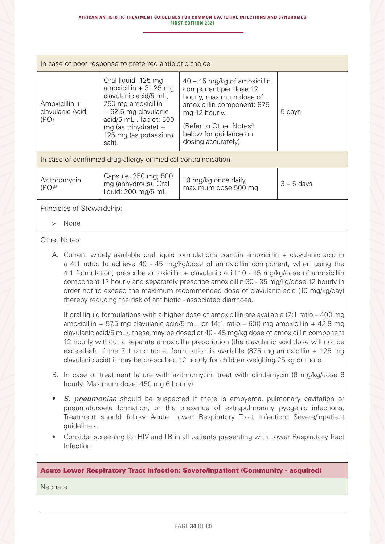| In case of poor response to preferred antibiotic choice       |                                                                                                                                                                                                           |                                                                                                                                                                                                                        |              |
|---------------------------------------------------------------|-----------------------------------------------------------------------------------------------------------------------------------------------------------------------------------------------------------|------------------------------------------------------------------------------------------------------------------------------------------------------------------------------------------------------------------------|--------------|
| Amoxicillin +<br>clavulanic Acid<br>(PO)                      | Oral liquid: 125 mg<br>amoxicillin $+31.25$ mg<br>clavulanic acid/5 mL;<br>250 mg amoxicillin<br>+ 62.5 mg clavulanic<br>acid/5 mL. Tablet: 500<br>mg (as trihydrate) +<br>125 mg (as potassium<br>salt). | $40 - 45$ mg/kg of amoxicillin<br>component per dose 12<br>hourly, maximum dose of<br>amoxicillin component: 875<br>mg 12 hourly.<br>(Refer to Other Notes <sup>A</sup><br>below for guidance on<br>dosing accurately) | 5 days       |
| In case of confirmed drug allergy or medical contraindication |                                                                                                                                                                                                           |                                                                                                                                                                                                                        |              |
| Azithromycin<br>$(PO)^B$                                      | Capsule: 250 mg; 500<br>mg (anhydrous). Oral<br>liquid: 200 mg/5 mL                                                                                                                                       | 10 mg/kg once daily,<br>maximum dose 500 mg                                                                                                                                                                            | $3 - 5$ days |
| Principles of Stewardship:                                    |                                                                                                                                                                                                           |                                                                                                                                                                                                                        |              |

> None

Other Notes:

A. Current widely available oral liquid formulations contain amoxicillin + clavulanic acid in a 4:1 ratio. To achieve 40 - 45 mg/kg/dose of amoxicillin component, when using the 4:1 formulation, prescribe amoxicillin + clavulanic acid 10 - 15 mg/kg/dose of amoxicillin component 12 hourly and separately prescribe amoxicillin 30 - 35 mg/kg/dose 12 hourly in order not to exceed the maximum recommended dose of clavulanic acid (10 mg/kg/day) thereby reducing the risk of antibiotic - associated diarrhoea.

If oral liquid formulations with a higher dose of amoxicillin are available (7:1 ratio – 400 mg amoxicillin + 57.5 mg clavulanic acid/5 mL, or  $14:1$  ratio – 600 mg amoxicillin + 42.9 mg clavulanic acid/5 mL), these may be dosed at 40 - 45 mg/kg dose of amoxicillin component 12 hourly without a separate amoxicillin prescription (the clavulanic acid dose will not be exceeded). If the 7:1 ratio tablet formulation is available (875 mg amoxicillin + 125 mg clavulanic acid) it may be prescribed 12 hourly for children weighing 25 kg or more.

- B. In case of treatment failure with azithromycin, treat with clindamycin (6 mg/kg/dose 6 hourly, Maximum dose: 450 mg 6 hourly).
- *S. pneumoniae* should be suspected if there is empyema, pulmonary cavitation or pneumatocoele formation, or the presence of extrapulmonary pyogenic infections. Treatment should follow Acute Lower Respiratory Tract Infection: Severe/inpatient guidelines.
- Consider screening for HIV and TB in all patients presenting with Lower Respiratory Tract Infection.

### Acute Lower Respiratory Tract Infection: Severe/Inpatient (Community - acquired)

Neonate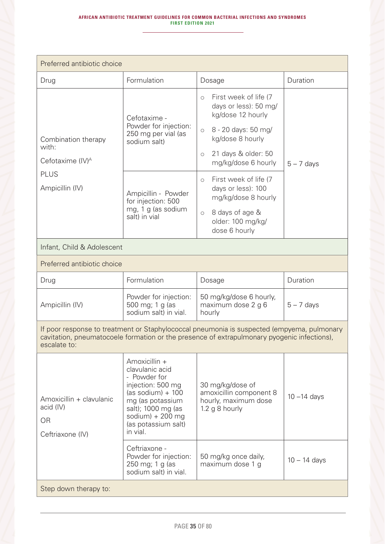| Preferred antibiotic choice                                                                                                                                                                               |                                                                                                                                                                                                |                                                                                                                                                                                       |                |
|-----------------------------------------------------------------------------------------------------------------------------------------------------------------------------------------------------------|------------------------------------------------------------------------------------------------------------------------------------------------------------------------------------------------|---------------------------------------------------------------------------------------------------------------------------------------------------------------------------------------|----------------|
| Drug                                                                                                                                                                                                      | Formulation                                                                                                                                                                                    | Dosage                                                                                                                                                                                | Duration       |
| Combination therapy<br>with:                                                                                                                                                                              | Cefotaxime -<br>Powder for injection:<br>250 mg per vial (as<br>sodium salt)                                                                                                                   | First week of life (7<br>$\circ$<br>days or less): 50 mg/<br>kg/dose 12 hourly<br>8 - 20 days: 50 mg/<br>$\bigcirc$<br>kg/dose 8 hourly<br>21 days & older: 50<br>$\circlearrowright$ |                |
| Cefotaxime (IV) <sup>A</sup>                                                                                                                                                                              |                                                                                                                                                                                                | mg/kg/dose 6 hourly                                                                                                                                                                   | $5 - 7$ days   |
| <b>PLUS</b><br>Ampicillin (IV)                                                                                                                                                                            | Ampicillin - Powder<br>for injection: 500<br>mg, 1 g (as sodium<br>salt) in vial                                                                                                               | First week of life (7<br>$\circ$<br>days or less): 100<br>mg/kg/dose 8 hourly                                                                                                         |                |
|                                                                                                                                                                                                           |                                                                                                                                                                                                | 8 days of age &<br>$\circ$<br>older: 100 mg/kg/<br>dose 6 hourly                                                                                                                      |                |
| Infant, Child & Adolescent                                                                                                                                                                                |                                                                                                                                                                                                |                                                                                                                                                                                       |                |
| Preferred antibiotic choice                                                                                                                                                                               |                                                                                                                                                                                                |                                                                                                                                                                                       |                |
| Drug                                                                                                                                                                                                      | Formulation                                                                                                                                                                                    | Dosage                                                                                                                                                                                | Duration       |
| Ampicillin (IV)                                                                                                                                                                                           | Powder for injection:<br>500 mg; 1 g (as<br>sodium salt) in vial.                                                                                                                              | 50 mg/kg/dose 6 hourly,<br>maximum dose 2 g 6<br>hourly                                                                                                                               | $5 - 7$ days   |
| If poor response to treatment or Staphylococcal pneumonia is suspected (empyema, pulmonary<br>cavitation, pneumatocoele formation or the presence of extrapulmonary pyogenic infections),<br>escalate to: |                                                                                                                                                                                                |                                                                                                                                                                                       |                |
| Amoxicillin + clavulanic<br>acid (IV)<br><b>OR</b><br>Ceftriaxone (IV)                                                                                                                                    | Amoxicillin +<br>clavulanic acid<br>- Powder for<br>injection: 500 mg<br>$(as sodium) + 100$<br>mg (as potassium<br>salt); 1000 mg (as<br>sodium) $+200$ mg<br>(as potassium salt)<br>in vial. | 30 mg/kg/dose of<br>amoxicillin component 8<br>hourly, maximum dose<br>1.2 g 8 hourly                                                                                                 | $10 - 14$ days |
|                                                                                                                                                                                                           | Ceftriaxone -<br>Powder for injection:<br>250 mg; 1 g (as<br>sodium salt) in vial.                                                                                                             | 50 mg/kg once daily,<br>maximum dose 1 g                                                                                                                                              | $10 - 14$ days |
| Step down therapy to:                                                                                                                                                                                     |                                                                                                                                                                                                |                                                                                                                                                                                       |                |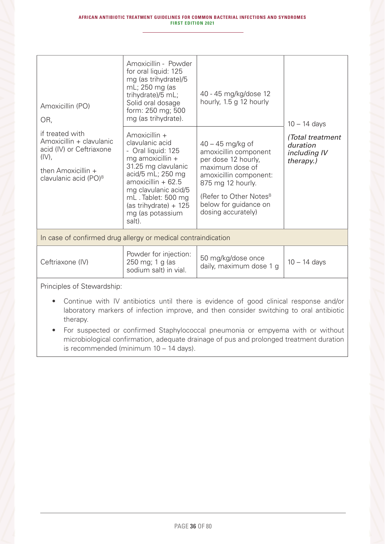| Amoxicillin (PO)<br>OR,                                                                                                                        | Amoxicillin - Powder<br>for oral liquid: 125<br>mg (as trihydrate)/5<br>mL; 250 mg (as<br>trihydrate)/5 mL;<br>Solid oral dosage<br>form: 250 mg; 500<br>mg (as trihydrate).                                                                          | 40 - 45 mg/kg/dose 12<br>hourly, 1.5 g 12 hourly                                                                                                                                                                          | $10 - 14$ days<br>(Total treatment<br>duration<br>including IV<br>therapy.) |
|------------------------------------------------------------------------------------------------------------------------------------------------|-------------------------------------------------------------------------------------------------------------------------------------------------------------------------------------------------------------------------------------------------------|---------------------------------------------------------------------------------------------------------------------------------------------------------------------------------------------------------------------------|-----------------------------------------------------------------------------|
| if treated with<br>Amoxicillin + clavulanic<br>acid (IV) or Ceftriaxone<br>$(IV)$ ,<br>then Amoxicillin +<br>clavulanic acid (PO) <sup>B</sup> | Amoxicillin +<br>clavulanic acid<br>- Oral liquid: 125<br>mg amoxicillin +<br>31.25 mg clavulanic<br>acid/5 mL; 250 mg<br>$amoxicillin + 62.5$<br>mg clavulanic acid/5<br>mL. Tablet: 500 mg<br>(as trihydrate) $+ 125$<br>mg (as potassium<br>salt). | $40 - 45$ mg/kg of<br>amoxicillin component<br>per dose 12 hourly,<br>maximum dose of<br>amoxicillin component:<br>875 mg 12 hourly.<br>(Refer to Other Notes <sup>B</sup><br>below for guidance on<br>dosing accurately) |                                                                             |
| In case of confirmed drug allergy or medical contraindication                                                                                  |                                                                                                                                                                                                                                                       |                                                                                                                                                                                                                           |                                                                             |
| Ceftriaxone (IV)                                                                                                                               | Powder for injection:<br>250 mg; 1 g (as<br>sodium salt) in vial.                                                                                                                                                                                     | 50 mg/kg/dose once<br>daily, maximum dose 1 g                                                                                                                                                                             | $10 - 14$ days                                                              |

Principles of Stewardship:

- Continue with IV antibiotics until there is evidence of good clinical response and/or laboratory markers of infection improve, and then consider switching to oral antibiotic therapy.
- For suspected or confirmed Staphylococcal pneumonia or empyema with or without microbiological confirmation, adequate drainage of pus and prolonged treatment duration is recommended (minimum 10 – 14 days).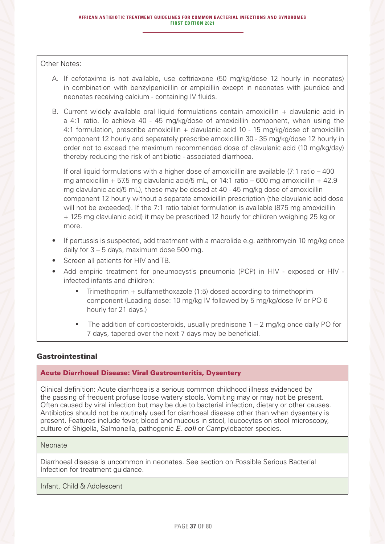Other Notes:

- A. If cefotaxime is not available, use ceftriaxone (50 mg/kg/dose 12 hourly in neonates) in combination with benzylpenicillin or ampicillin except in neonates with jaundice and neonates receiving calcium - containing IV fluids.
- B. Current widely available oral liquid formulations contain amoxicillin + clavulanic acid in a 4:1 ratio. To achieve 40 - 45 mg/kg/dose of amoxicillin component, when using the 4:1 formulation, prescribe amoxicillin + clavulanic acid 10 - 15 mg/kg/dose of amoxicillin component 12 hourly and separately prescribe amoxicillin 30 - 35 mg/kg/dose 12 hourly in order not to exceed the maximum recommended dose of clavulanic acid (10 mg/kg/day) thereby reducing the risk of antibiotic - associated diarrhoea.

If oral liquid formulations with a higher dose of amoxicillin are available (7:1 ratio – 400 mg amoxicillin + 57.5 mg clavulanic acid/5 mL, or 14:1 ratio – 600 mg amoxicillin + 42.9 mg clavulanic acid/5 mL), these may be dosed at 40 - 45 mg/kg dose of amoxicillin component 12 hourly without a separate amoxicillin prescription (the clavulanic acid dose will not be exceeded). If the 7:1 ratio tablet formulation is available (875 mg amoxicillin + 125 mg clavulanic acid) it may be prescribed 12 hourly for children weighing 25 kg or more.

- If pertussis is suspected, add treatment with a macrolide e.g. azithromycin 10 mg/kg once daily for 3 – 5 days, maximum dose 500 mg.
- Screen all patients for HIV and TB.
- Add empiric treatment for pneumocystis pneumonia (PCP) in HIV exposed or HIV infected infants and children:
	- $\blacksquare$  Trimethoprim + sulfamethoxazole (1:5) dosed according to trimethoprim component (Loading dose: 10 mg/kg IV followed by 5 mg/kg/dose IV or PO 6 hourly for 21 days.)
	- The addition of corticosteroids, usually prednisone 1 2 mg/kg once daily PO for 7 days, tapered over the next 7 days may be beneficial.

## Gastrointestinal

#### Acute Diarrhoeal Disease: Viral Gastroenteritis, Dysentery

Clinical definition: Acute diarrhoea is a serious common childhood illness evidenced by the passing of frequent profuse loose watery stools. Vomiting may or may not be present. Often caused by viral infection but may be due to bacterial infection, dietary or other causes. Antibiotics should not be routinely used for diarrhoeal disease other than when dysentery is present. Features include fever, blood and mucous in stool, leucocytes on stool microscopy, culture of Shigella, Salmonella, pathogenic *E. coli* or Campylobacter species.

#### Neonate

Diarrhoeal disease is uncommon in neonates. See section on Possible Serious Bacterial Infection for treatment guidance.

Infant, Child & Adolescent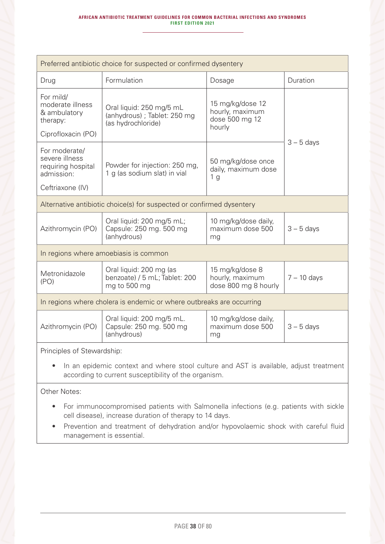| Preferred antibiotic choice for suspected or confirmed dysentery                                                                                |                                                                               |                                                                 |               |  |  |
|-------------------------------------------------------------------------------------------------------------------------------------------------|-------------------------------------------------------------------------------|-----------------------------------------------------------------|---------------|--|--|
| Drug                                                                                                                                            | Formulation                                                                   | Dosage                                                          | Duration      |  |  |
| For mild/<br>moderate illness<br>& ambulatory<br>therapy:                                                                                       | Oral liquid: 250 mg/5 mL<br>(anhydrous); Tablet: 250 mg<br>(as hydrochloride) | 15 mg/kg/dose 12<br>hourly, maximum<br>dose 500 mg 12<br>hourly |               |  |  |
| Ciprofloxacin (PO)                                                                                                                              |                                                                               |                                                                 | $3 - 5$ days  |  |  |
| For moderate/<br>severe illness<br>requiring hospital<br>admission:                                                                             | Powder for injection: 250 mg,<br>1 g (as sodium slat) in vial                 | 50 mg/kg/dose once<br>daily, maximum dose<br>1 <sub>g</sub>     |               |  |  |
| Ceftriaxone (IV)                                                                                                                                |                                                                               |                                                                 |               |  |  |
|                                                                                                                                                 | Alternative antibiotic choice(s) for suspected or confirmed dysentery         |                                                                 |               |  |  |
| Azithromycin (PO)                                                                                                                               | Oral liquid: 200 mg/5 mL;<br>Capsule: 250 mg. 500 mg<br>(anhydrous)           | 10 mg/kg/dose daily,<br>maximum dose 500<br>mg                  | $3 - 5$ days  |  |  |
|                                                                                                                                                 | In regions where amoebiasis is common                                         |                                                                 |               |  |  |
| Metronidazole<br>(PO)                                                                                                                           | Oral liquid: 200 mg (as<br>benzoate) / 5 mL; Tablet: 200<br>mg to 500 mg      | 15 mg/kg/dose 8<br>hourly, maximum<br>dose 800 mg 8 hourly      | $7 - 10$ days |  |  |
|                                                                                                                                                 | In regions where cholera is endemic or where outbreaks are occurring          |                                                                 |               |  |  |
| Azithromycin (PO)                                                                                                                               | Oral liquid: 200 mg/5 mL.<br>Capsule: 250 mg. 500 mg<br>(anhydrous)           | 10 mg/kg/dose daily,<br>maximum dose 500<br>mg                  | $3 - 5$ days  |  |  |
| Principles of Stewardship:                                                                                                                      |                                                                               |                                                                 |               |  |  |
| In an epidemic context and where stool culture and AST is available, adjust treatment<br>according to current susceptibility of the organism.   |                                                                               |                                                                 |               |  |  |
| Other Notes:                                                                                                                                    |                                                                               |                                                                 |               |  |  |
| For immunocompromised patients with Salmonella infections (e.g. patients with sickle<br>cell disease), increase duration of therapy to 14 days. |                                                                               |                                                                 |               |  |  |

• Prevention and treatment of dehydration and/or hypovolaemic shock with careful fluid management is essential.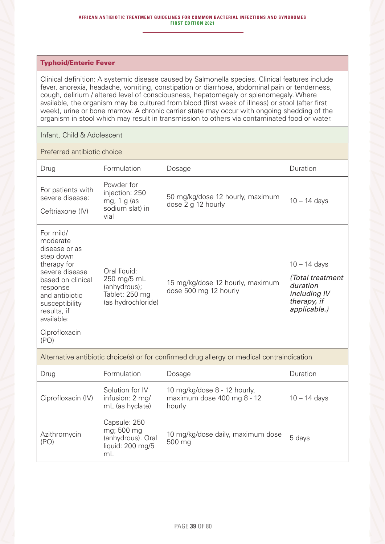#### **AFRICAN ANTIBIOTIC TREATMENT GUIDELINES FOR COMMON BACTERIAL INFECTIONS AND SYNDROMES FIRST EDITION 2021**

#### Typhoid/Enteric Fever

Clinical definition: A systemic disease caused by Salmonella species. Clinical features include fever, anorexia, headache, vomiting, constipation or diarrhoea, abdominal pain or tenderness, cough, delirium / altered level of consciousness, hepatomegaly or splenomegaly. Where available, the organism may be cultured from blood (first week of illness) or stool (after first week), urine or bone marrow. A chronic carrier state may occur with ongoing shedding of the organism in stool which may result in transmission to others via contaminated food or water.

#### Infant, Child & Adolescent

Preferred antibiotic choice

| Drug                                                                                                                                                                                                            | Formulation                                                                         | Dosage                                                    | Duration                                                                                      |
|-----------------------------------------------------------------------------------------------------------------------------------------------------------------------------------------------------------------|-------------------------------------------------------------------------------------|-----------------------------------------------------------|-----------------------------------------------------------------------------------------------|
| For patients with<br>severe disease:<br>Ceftriaxone (IV)                                                                                                                                                        | Powder for<br>injection: 250<br>mg, $1$ g (as<br>sodium slat) in<br>vial            | 50 mg/kg/dose 12 hourly, maximum<br>dose 2 g 12 hourly    | $10 - 14$ days                                                                                |
| For mild/<br>moderate<br>disease or as<br>step down<br>therapy for<br>severe disease<br>based on clinical<br>response<br>and antibiotic<br>susceptibility<br>results, if<br>available:<br>Ciprofloxacin<br>(PO) | Oral liquid:<br>250 mg/5 mL<br>(anhydrous);<br>Tablet: 250 mg<br>(as hydrochloride) | 15 mg/kg/dose 12 hourly, maximum<br>dose 500 mg 12 hourly | $10 - 14$ days<br>(Total treatment<br>duration<br>including IV<br>therapy, if<br>applicable.) |

Alternative antibiotic choice(s) or for confirmed drug allergy or medical contraindication

| Drug                 | Formulation                                                               | Dosage                                                               | Duration       |
|----------------------|---------------------------------------------------------------------------|----------------------------------------------------------------------|----------------|
| Ciprofloxacin (IV)   | Solution for IV<br>infusion: 2 mg/<br>mL (as hyclate)                     | 10 mg/kg/dose 8 - 12 hourly,<br>maximum dose 400 mg 8 - 12<br>hourly | $10 - 14$ days |
| Azithromycin<br>(PO) | Capsule: 250<br>mg; 500 mg<br>(anhydrous). Oral<br>liquid: 200 mg/5<br>mL | 10 mg/kg/dose daily, maximum dose<br>500 mg                          | 5 days         |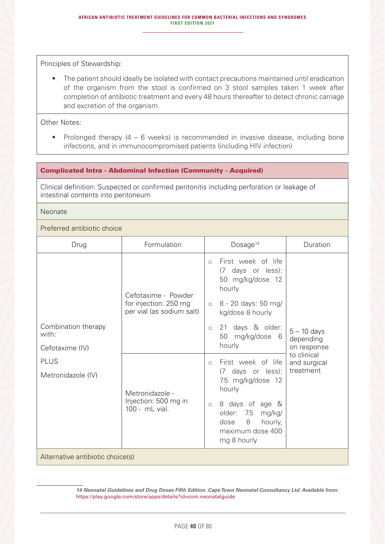• The patient should ideally be isolated with contact precautions maintained until eradication of the organism from the stool is confirmed on 3 stool samples taken 1 week after completion of antibiotic treatment and every 48 hours thereafter to detect chronic carriage and excretion of the organism.

Other Notes:

• Prolonged therapy (4 – 6 weeks) is recommended in invasive disease, including bone infections, and in immunocompromised patients (including HIV infection)

## Complicated Intra - Abdominal Infection (Community - Acquired)

Clinical definition: Suspected or confirmed peritonitis including perforation or leakage of intestinal contents into peritoneum

Neonate

#### Preferred antibiotic choice

| Drug                             | Formulation                                        | Dosage <sup>14</sup><br>Duration                                                                                 |
|----------------------------------|----------------------------------------------------|------------------------------------------------------------------------------------------------------------------|
|                                  | Cefotaxime - Powder                                | First week of life<br>$\circ$<br>(7 days or less):<br>50 mg/kg/dose 12<br>hourly                                 |
|                                  | for injection: 250 mg<br>per vial (as sodium salt) | 8 - 20 days: 50 mg/<br>$\circ$<br>kg/dose 8 hourly                                                               |
| Combination therapy<br>with:     |                                                    | 21 days & older:<br>$\circ$<br>$5 - 10$ days<br>50<br>mg/kg/dose 6<br>depending                                  |
| Cefotaxime (IV)                  |                                                    | hourly<br>on response                                                                                            |
| <b>PLUS</b>                      |                                                    | to clinical<br>First week of life<br>and surgical<br>$\circ$                                                     |
| Metronidazole (IV)               | Metronidazole -                                    | treatment<br>(7 days or less):<br>7.5 mg/kg/dose 12<br>hourly                                                    |
|                                  | Injection: 500 mg in<br>100 - mL vial.             | 8 days of age &<br>$\circ$<br>older:<br>7.5<br>mg/kg/<br>8<br>hourly,<br>dose<br>maximum dose 400<br>mg 8 hourly |
| Alternative antibiotic choice(s) |                                                    |                                                                                                                  |

*14 Neonatal Guidelines and Drug Doses Fifth Edition. Cape Town Neonatal Consultancy Ltd. Available from:* https://play.google.com/store/apps/details?id=com.neonatalguide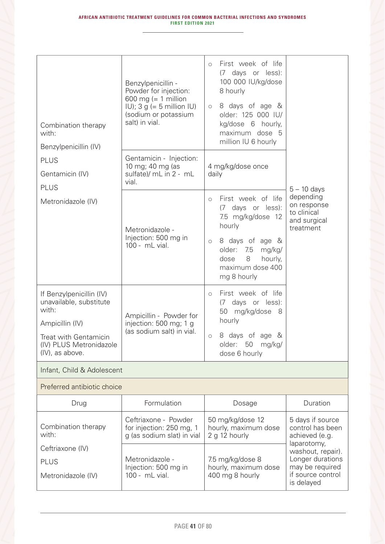| Combination therapy<br>with:<br>Benzylpenicillin (IV)                                                                                                  | Benzylpenicillin -<br>Powder for injection:<br>600 mg (= 1 million<br>$ U\rangle$ ; 3 g (= 5 million $ U\rangle$<br>(sodium or potassium<br>salt) in vial. | First week of life<br>$\circ$<br>(7 days or less):<br>100 000 IU/kg/dose<br>8 hourly<br>8 days of age &<br>$\circlearrowright$<br>older: 125 000 IU/<br>kg/dose 6 hourly,<br>maximum dose 5<br>million IU 6 hourly    |                                                                                             |
|--------------------------------------------------------------------------------------------------------------------------------------------------------|------------------------------------------------------------------------------------------------------------------------------------------------------------|-----------------------------------------------------------------------------------------------------------------------------------------------------------------------------------------------------------------------|---------------------------------------------------------------------------------------------|
| <b>PLUS</b><br>Gentamicin (IV)                                                                                                                         | Gentamicin - Injection:<br>10 mg; 40 mg (as<br>sulfate)/ mL in 2 - mL<br>vial.                                                                             | 4 mg/kg/dose once<br>daily                                                                                                                                                                                            |                                                                                             |
| <b>PLUS</b><br>Metronidazole (IV)                                                                                                                      | Metronidazole -<br>Injection: 500 mg in<br>100 - mL vial.                                                                                                  | First week of life<br>$\circ$<br>days or less):<br>(7)<br>7.5 mg/kg/dose 12<br>hourly<br>8 days of age &<br>$\circlearrowright$<br>older:<br>7.5<br>mg/kg/<br>8<br>hourly,<br>dose<br>maximum dose 400<br>mg 8 hourly | $5 - 10$ days<br>depending<br>on response<br>to clinical<br>and surgical<br>treatment       |
| If Benzylpenicillin (IV)<br>unavailable, substitute<br>with:<br>Ampicillin (IV)<br>Treat with Gentamicin<br>(IV) PLUS Metronidazole<br>(IV), as above. | Ampicillin - Powder for<br>injection: 500 mg; 1 g<br>(as sodium salt) in vial.                                                                             | First week of life<br>$\circ$<br>days or less):<br>(7)<br>50 mg/kg/dose 8<br>hourly<br>8 days of age &<br>$\bigcirc$<br>older: 50 mg/kg/<br>dose 6 hourly                                                             |                                                                                             |
| Infant, Child & Adolescent                                                                                                                             |                                                                                                                                                            |                                                                                                                                                                                                                       |                                                                                             |
| Preferred antibiotic choice                                                                                                                            |                                                                                                                                                            |                                                                                                                                                                                                                       |                                                                                             |
| Drug                                                                                                                                                   | Formulation                                                                                                                                                | Dosage                                                                                                                                                                                                                | Duration                                                                                    |
| Combination therapy<br>with:                                                                                                                           | Ceftriaxone - Powder<br>for injection: 250 mg, 1<br>g (as sodium slat) in vial                                                                             | 50 mg/kg/dose 12<br>hourly, maximum dose<br>2 g 12 hourly                                                                                                                                                             | 5 days if source<br>control has been<br>achieved (e.g.<br>laparotomy,                       |
| Ceftriaxone (IV)<br><b>PLUS</b><br>Metronidazole (IV)                                                                                                  | Metronidazole -<br>Injection: 500 mg in<br>100 - mL vial.                                                                                                  | 7.5 mg/kg/dose 8<br>hourly, maximum dose<br>400 mg 8 hourly                                                                                                                                                           | washout, repair).<br>Longer durations<br>may be required<br>if source control<br>is delayed |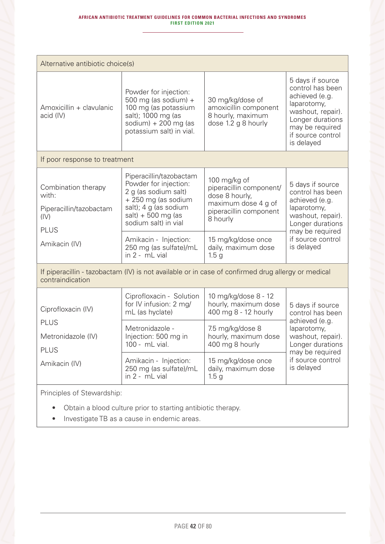| Alternative antibiotic choice(s)                                                                |                                                                                                                                                                                                                                               |                                                                                                                                                                                                      |                                                                                                                                                                      |  |
|-------------------------------------------------------------------------------------------------|-----------------------------------------------------------------------------------------------------------------------------------------------------------------------------------------------------------------------------------------------|------------------------------------------------------------------------------------------------------------------------------------------------------------------------------------------------------|----------------------------------------------------------------------------------------------------------------------------------------------------------------------|--|
| Amoxicillin + clavulanic<br>acid (IV)                                                           | Powder for injection:<br>500 mg (as sodium) $+$<br>100 mg (as potassium<br>salt); 1000 mg (as<br>sodium) + 200 mg (as<br>potassium salt) in vial.                                                                                             | 30 mg/kg/dose of<br>amoxicillin component<br>8 hourly, maximum<br>dose 1.2 g 8 hourly                                                                                                                | 5 days if source<br>control has been<br>achieved (e.g.<br>laparotomy,<br>washout, repair).<br>Longer durations<br>may be required<br>if source control<br>is delayed |  |
| If poor response to treatment                                                                   |                                                                                                                                                                                                                                               |                                                                                                                                                                                                      |                                                                                                                                                                      |  |
| Combination therapy<br>with:<br>Piperacillin/tazobactam<br>(IV)<br><b>PLUS</b><br>Amikacin (IV) | Piperacillin/tazobactam<br>Powder for injection:<br>2 g (as sodium salt)<br>+ 250 mg (as sodium<br>salt); 4 g (as sodium<br>$salt) + 500 mg$ (as<br>sodium salt) in vial<br>Amikacin - Injection:<br>250 mg (as sulfate)/mL<br>in 2 - mL vial | 100 mg/kg of<br>piperacillin component/<br>dose 8 hourly,<br>maximum dose 4 g of<br>piperacillin component<br>8 hourly<br>15 mg/kg/dose once<br>daily, maximum dose                                  | 5 days if source<br>control has been<br>achieved (e.g.<br>laparotomy,<br>washout, repair).<br>Longer durations<br>may be required<br>if source control<br>is delayed |  |
| contraindication                                                                                | If piperacillin - tazobactam (IV) is not available or in case of confirmed drug allergy or medical                                                                                                                                            | 1.5 <sub>g</sub>                                                                                                                                                                                     |                                                                                                                                                                      |  |
| Ciprofloxacin (IV)<br><b>PLUS</b><br>Metronidazole (IV)<br><b>PLUS</b><br>Amikacin (IV)         | Ciprofloxacin - Solution<br>for IV infusion: 2 mg/<br>mL (as hyclate)<br>Metronidazole -<br>Injection: 500 mg in<br>100 - mL vial.<br>Amikacin - Injection:<br>250 mg (as sulfate)/mL<br>in 2 - mL vial                                       | 10 mg/kg/dose 8 - 12<br>hourly, maximum dose<br>400 mg 8 - 12 hourly<br>7.5 mg/kg/dose 8<br>hourly, maximum dose<br>400 mg 8 hourly<br>15 mg/kg/dose once<br>daily, maximum dose<br>1.5 <sub>g</sub> | 5 days if source<br>control has been<br>achieved (e.g.<br>laparotomy,<br>washout, repair).<br>Longer durations<br>may be required<br>if source control<br>is delayed |  |
| Principles of Stewardship:                                                                      |                                                                                                                                                                                                                                               |                                                                                                                                                                                                      |                                                                                                                                                                      |  |
| Obtain a blood culture prior to starting antibiotic therapy.                                    |                                                                                                                                                                                                                                               |                                                                                                                                                                                                      |                                                                                                                                                                      |  |

• Investigate TB as a cause in endemic areas.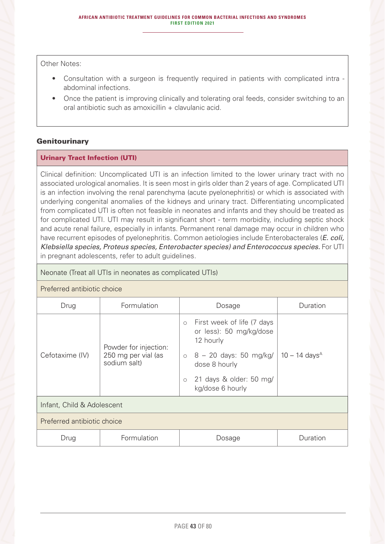Other Notes:

- Consultation with a surgeon is frequently required in patients with complicated intra abdominal infections.
- Once the patient is improving clinically and tolerating oral feeds, consider switching to an oral antibiotic such as amoxicillin + clavulanic acid.

## **Genitourinary**

## Urinary Tract Infection (UTI)

Clinical definition: Uncomplicated UTI is an infection limited to the lower urinary tract with no associated urological anomalies. It is seen most in girls older than 2 years of age. Complicated UTI is an infection involving the renal parenchyma (acute pyelonephritis) or which is associated with underlying congenital anomalies of the kidneys and urinary tract. Differentiating uncomplicated from complicated UTI is often not feasible in neonates and infants and they should be treated as for complicated UTI. UTI may result in significant short - term morbidity, including septic shock and acute renal failure, especially in infants. Permanent renal damage may occur in children who have recurrent episodes of pyelonephritis. Common aetiologies include Enterobacterales (*E. coli, Klebsiella species, Proteus species, Enterobacter species) and Enterococcus species.* For UTI in pregnant adolescents, refer to adult guidelines.

#### Neonate (Treat all UTIs in neonates as complicated UTIs)

# Preferred antibiotic choice

| Drug                        | Formulation                                                  | Dosage                                                               | Duration                    |
|-----------------------------|--------------------------------------------------------------|----------------------------------------------------------------------|-----------------------------|
| Cefotaxime (IV)             | Powder for injection:<br>250 mg per vial (as<br>sodium salt) | o First week of life (7 days<br>or less): 50 mg/kg/dose<br>12 hourly |                             |
|                             |                                                              | $\circ$ 8 – 20 days: 50 mg/kg/<br>dose 8 hourly                      | $10 - 14$ days <sup>A</sup> |
|                             |                                                              | 21 days & older: 50 mg/<br>$\circ$<br>kg/dose 6 hourly               |                             |
| Infant, Child & Adolescent  |                                                              |                                                                      |                             |
| Preferred antibiotic choice |                                                              |                                                                      |                             |
| Drug                        | Formulation                                                  | Dosage                                                               | Duration                    |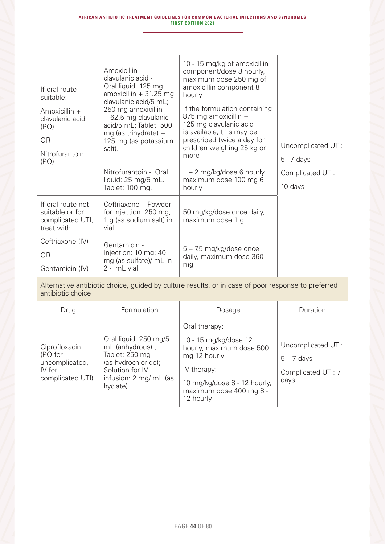| If oral route<br>suitable:<br>Amoxicillin +<br>clavulanic acid<br>(PO)<br><b>OR</b><br>Nitrofurantoin<br>(PO) | Amoxicillin $+$<br>clavulanic acid -<br>Oral liquid: 125 mg<br>$amoxicillin + 31.25 mg$<br>clavulanic acid/5 mL;<br>250 mg amoxicillin<br>+ 62.5 mg clavulanic<br>acid/5 mL; Tablet: 500<br>mg (as trihydrate) +<br>125 mg (as potassium<br>salt). | 10 - 15 mg/kg of amoxicillin<br>component/dose 8 hourly,<br>maximum dose 250 mg of<br>amoxicillin component 8<br>hourly<br>If the formulation containing<br>875 mg amoxicillin +<br>125 mg clavulanic acid<br>is available, this may be<br>prescribed twice a day for<br>children weighing 25 kg or<br>more | Uncomplicated UTI:<br>$5 - 7$ days |
|---------------------------------------------------------------------------------------------------------------|----------------------------------------------------------------------------------------------------------------------------------------------------------------------------------------------------------------------------------------------------|-------------------------------------------------------------------------------------------------------------------------------------------------------------------------------------------------------------------------------------------------------------------------------------------------------------|------------------------------------|
|                                                                                                               | Nitrofurantoin - Oral<br>liquid: 25 mg/5 mL.<br>Tablet: 100 mg.                                                                                                                                                                                    | $1 - 2$ mg/kg/dose 6 hourly,<br>maximum dose 100 mg 6<br>hourly                                                                                                                                                                                                                                             | Complicated UTI:<br>10 days        |
| If oral route not<br>suitable or for<br>complicated UTI,<br>treat with:                                       | Ceftriaxone - Powder<br>for injection: 250 mg;<br>1 g (as sodium salt) in<br>vial.                                                                                                                                                                 | 50 mg/kg/dose once daily,<br>maximum dose 1 g                                                                                                                                                                                                                                                               |                                    |
| Ceftriaxone (IV)<br><b>OR</b><br>Gentamicin (IV)                                                              | Gentamicin -<br>Injection: 10 mg; 40<br>mg (as sulfate)/ mL in<br>2 - mL vial.                                                                                                                                                                     | 5 - 7.5 mg/kg/dose once<br>daily, maximum dose 360<br>mg                                                                                                                                                                                                                                                    |                                    |

Alternative antibiotic choice, guided by culture results, or in case of poor response to preferred antibiotic choice

| Drug                                                                     | Formulation                                                                                                                                  | Dosage                                                                                                                                                                    | Duration                                                         |
|--------------------------------------------------------------------------|----------------------------------------------------------------------------------------------------------------------------------------------|---------------------------------------------------------------------------------------------------------------------------------------------------------------------------|------------------------------------------------------------------|
| Ciprofloxacin<br>(PO for<br>uncomplicated,<br>IV for<br>complicated UTI) | Oral liquid: 250 mg/5<br>mL (anhydrous) ;<br>Tablet: 250 mg<br>(as hydrochloride);<br>Solution for IV<br>infusion: 2 mg/ mL (as<br>hyclate). | Oral therapy:<br>10 - 15 mg/kg/dose 12<br>hourly, maximum dose 500<br>mg 12 hourly<br>IV therapy:<br>10 mg/kg/dose 8 - 12 hourly,<br>maximum dose 400 mg 8 -<br>12 hourly | Uncomplicated UTI:<br>$5 - 7$ days<br>Complicated UTI: 7<br>days |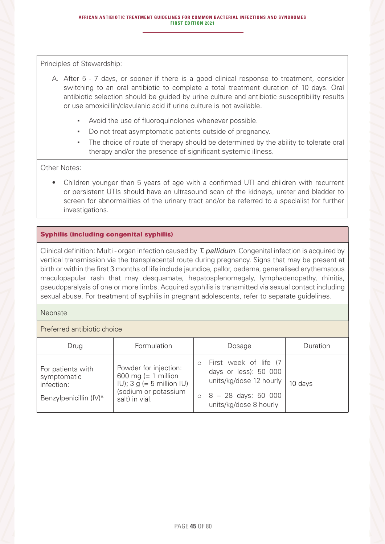- A. After 5 7 days, or sooner if there is a good clinical response to treatment, consider switching to an oral antibiotic to complete a total treatment duration of 10 days. Oral antibiotic selection should be guided by urine culture and antibiotic susceptibility results or use amoxicillin/clavulanic acid if urine culture is not available.
	- Avoid the use of fluoroquinolones whenever possible.
	- Do not treat asymptomatic patients outside of pregnancy.
	- **•** The choice of route of therapy should be determined by the ability to tolerate oral therapy and/or the presence of significant systemic illness.

#### Other Notes:

• Children younger than 5 years of age with a confirmed UTI and children with recurrent or persistent UTIs should have an ultrasound scan of the kidneys, ureter and bladder to screen for abnormalities of the urinary tract and/or be referred to a specialist for further investigations.

## Syphilis (including congenital syphilis)

Clinical definition: Multi - organ infection caused by *T. pallidum*. Congenital infection is acquired by vertical transmission via the transplacental route during pregnancy. Signs that may be present at birth or within the first 3 months of life include jaundice, pallor, oedema, generalised erythematous maculopapular rash that may desquamate, hepatosplenomegaly, lymphadenopathy, rhinitis, pseudoparalysis of one or more limbs. Acquired syphilis is transmitted via sexual contact including sexual abuse. For treatment of syphilis in pregnant adolescents, refer to separate guidelines.

#### **Neonate**

#### Preferred antibiotic choice

| Drug                                                                                 | Formulation                                                                                                                | Dosage                                                                                                                                        | Duration |
|--------------------------------------------------------------------------------------|----------------------------------------------------------------------------------------------------------------------------|-----------------------------------------------------------------------------------------------------------------------------------------------|----------|
| For patients with<br>symptomatic<br>infection:<br>Benzylpenicillin (IV) <sup>A</sup> | Powder for injection:<br>600 mg (= 1 million<br>$ U $ ; 3 g (= 5 million $ U $ )<br>(sodium or potassium<br>salt) in vial. | First week of life (7<br>$\circ$<br>days or less): 50 000<br>units/kg/dose 12 hourly<br>$\circ$ 8 - 28 days: 50 000<br>units/kg/dose 8 hourly | 10 days  |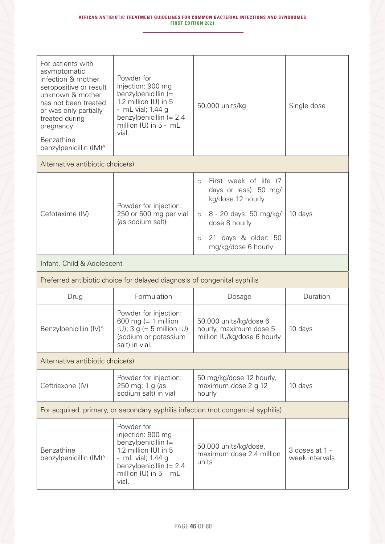| For patients with<br>asymptomatic<br>infection & mother<br>seropositive or result<br>unknown & mother<br>has not been treated<br>or was only partially<br>treated during<br>pregnancy:<br>Benzathine<br>benzylpenicillin (IM) <sup>A</sup> | Powder for<br>injection: 900 mg<br>benzylpenicillin (=<br>1.2 million IU) in 5<br>- mL vial; 1.44 g<br>benzylpenicillin $(= 2.4)$<br>million IU) in 5 - mL<br>vial. | 50,000 units/kg                                                                                                                                                                                           | Single dose |
|--------------------------------------------------------------------------------------------------------------------------------------------------------------------------------------------------------------------------------------------|---------------------------------------------------------------------------------------------------------------------------------------------------------------------|-----------------------------------------------------------------------------------------------------------------------------------------------------------------------------------------------------------|-------------|
| Alternative antibiotic choice(s)                                                                                                                                                                                                           |                                                                                                                                                                     |                                                                                                                                                                                                           |             |
| Cefotaxime (IV)                                                                                                                                                                                                                            | Powder for injection:<br>250 or 500 mg per vial<br>(as sodium salt)                                                                                                 | First week of life (7<br>$\circ$<br>days or less): 50 mg/<br>kg/dose 12 hourly<br>8 - 20 days: 50 mg/kg/<br>$\circ$<br>dose 8 hourly<br>21 days & older: 50<br>$\circlearrowright$<br>mg/kg/dose 6 hourly | 10 days     |
| Infant, Child & Adolescent                                                                                                                                                                                                                 |                                                                                                                                                                     |                                                                                                                                                                                                           |             |
|                                                                                                                                                                                                                                            | Preferred antibiotic choice for delayed diagnosis of congenital syphilis                                                                                            |                                                                                                                                                                                                           |             |
|                                                                                                                                                                                                                                            |                                                                                                                                                                     |                                                                                                                                                                                                           |             |
| Drug                                                                                                                                                                                                                                       | Formulation                                                                                                                                                         | Dosage                                                                                                                                                                                                    | Duration    |
| Benzylpenicillin (IV) <sup>A</sup>                                                                                                                                                                                                         | Powder for injection:<br>600 mg (= 1 million<br>$ U\rangle$ ; 3 g (= 5 million $ U\rangle$<br>(sodium or potassium<br>salt) in vial.                                | 50,000 units/kg/dose 6<br>hourly, maximum dose 5<br>million IU/kg/dose 6 hourly                                                                                                                           | 10 days     |
| Alternative antibiotic choice(s)                                                                                                                                                                                                           |                                                                                                                                                                     |                                                                                                                                                                                                           |             |
| Ceftriaxone (IV)                                                                                                                                                                                                                           | Powder for injection:<br>250 mg; 1 g (as<br>sodium salt) in vial                                                                                                    | 50 mg/kg/dose 12 hourly,<br>maximum dose 2 g 12<br>hourly                                                                                                                                                 | 10 days     |
|                                                                                                                                                                                                                                            |                                                                                                                                                                     | For acquired, primary, or secondary syphilis infection (not congenital syphilis)                                                                                                                          |             |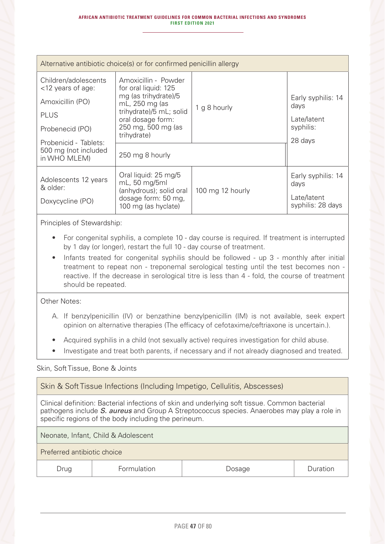| Alternative antibiotic choice(s) or for confirmed penicillin allergy                                                                                                |                                                                                                                                                                                                |                  |                                                                   |
|---------------------------------------------------------------------------------------------------------------------------------------------------------------------|------------------------------------------------------------------------------------------------------------------------------------------------------------------------------------------------|------------------|-------------------------------------------------------------------|
| Children/adolescents<br>$<$ 12 years of age:<br>Amoxicillin (PO)<br><b>PLUS</b><br>Probenecid (PO)<br>Probenicid - Tablets:<br>500 mg (not included<br>in WHO MLEM) | Amoxicillin - Powder<br>for oral liquid: 125<br>mg (as trihydrate)/5<br>mL, 250 mg (as<br>trihydrate)/5 mL; solid<br>oral dosage form:<br>250 mg, 500 mg (as<br>trihydrate)<br>250 mg 8 hourly | 1 g 8 hourly     | Early syphilis: 14<br>days<br>Late/latent<br>syphilis:<br>28 days |
| Adolescents 12 years<br>& older:<br>Doxycycline (PO)                                                                                                                | Oral liquid: 25 mg/5<br>mL, 50 mg/5ml<br>(anhydrous); solid oral<br>dosage form: 50 mg,<br>100 mg (as hyclate)                                                                                 | 100 mg 12 hourly | Early syphilis: 14<br>days<br>Late/latent<br>syphilis: 28 days    |

- For congenital syphilis, a complete 10 day course is required. If treatment is interrupted by 1 day (or longer), restart the full 10 - day course of treatment.
- Infants treated for congenital syphilis should be followed up 3 monthly after initial treatment to repeat non - treponemal serological testing until the test becomes non reactive. If the decrease in serological titre is less than 4 - fold, the course of treatment should be repeated.

Other Notes:

- A. If benzylpenicillin (IV) or benzathine benzylpenicillin (IM) is not available, seek expert opinion on alternative therapies (The efficacy of cefotaxime/ceftriaxone is uncertain.).
- Acquired syphilis in a child (not sexually active) requires investigation for child abuse.
- Investigate and treat both parents, if necessary and if not already diagnosed and treated.

#### Skin, Soft Tissue, Bone & Joints

Skin & Soft Tissue Infections (Including Impetigo, Cellulitis, Abscesses)

Clinical definition: Bacterial infections of skin and underlying soft tissue. Common bacterial pathogens include *S. aureus* and Group A Streptococcus species. Anaerobes may play a role in specific regions of the body including the perineum.

Neonate, Infant, Child & Adolescent

Preferred antibiotic choice

Drug | Formulation | Dosage | Duration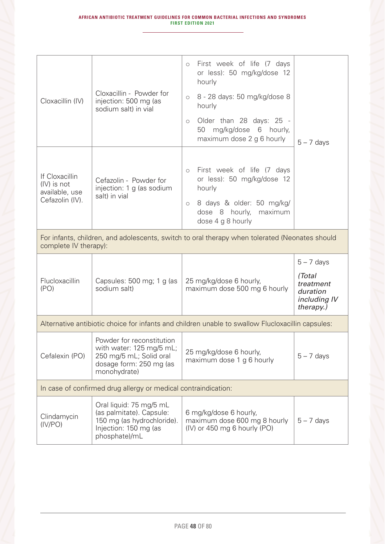| Cloxacillin (IV)                                                   | Cloxacillin - Powder for<br>injection: 500 mg (as<br>sodium salt) in vial                                                   | First week of life (7 days<br>$\circ$<br>or less): 50 mg/kg/dose 12<br>hourly<br>8 - 28 days: 50 mg/kg/dose 8<br>$\circ$<br>hourly<br>Older than 28 days: 25 -<br>$\circlearrowright$<br>mg/kg/dose 6 hourly,<br>50<br>maximum dose 2 g 6 hourly | $5 - 7$ days                                                                 |
|--------------------------------------------------------------------|-----------------------------------------------------------------------------------------------------------------------------|--------------------------------------------------------------------------------------------------------------------------------------------------------------------------------------------------------------------------------------------------|------------------------------------------------------------------------------|
| If Cloxacillin<br>(IV) is not<br>available, use<br>Cefazolin (IV). | Cefazolin - Powder for<br>injection: 1 g (as sodium<br>salt) in vial                                                        | First week of life (7 days<br>$\circ$<br>or less): 50 mg/kg/dose 12<br>hourly<br>8 days & older: 50 mg/kg/<br>$\circ$<br>dose 8 hourly, maximum<br>dose 4 g 8 hourly                                                                             |                                                                              |
| complete IV therapy):                                              |                                                                                                                             | For infants, children, and adolescents, switch to oral therapy when tolerated (Neonates should                                                                                                                                                   |                                                                              |
| Flucloxacillin<br>(PO)                                             | Capsules: 500 mg; 1 g (as<br>sodium salt)                                                                                   | 25 mg/kg/dose 6 hourly,<br>maximum dose 500 mg 6 hourly                                                                                                                                                                                          | $5 - 7$ days<br>(Total<br>treatment<br>duration<br>including IV<br>therapy.) |
|                                                                    |                                                                                                                             | Alternative antibiotic choice for infants and children unable to swallow Flucloxacillin capsules:                                                                                                                                                |                                                                              |
| Cefalexin (PO)                                                     | Powder for reconstitution<br>with water: 125 mg/5 mL;<br>250 mg/5 mL; Solid oral<br>dosage form: 250 mg (as<br>monohydrate) | 25 mg/kg/dose 6 hourly,<br>maximum dose 1 g 6 hourly                                                                                                                                                                                             | $5 - 7$ days                                                                 |
| In case of confirmed drug allergy or medical contraindication:     |                                                                                                                             |                                                                                                                                                                                                                                                  |                                                                              |
| Clindamycin<br>(IV/PO)                                             | Oral liquid: 75 mg/5 mL<br>(as palmitate). Capsule:<br>150 mg (as hydrochloride).<br>Injection: 150 mg (as<br>phosphate)/mL | 6 mg/kg/dose 6 hourly,<br>maximum dose 600 mg 8 hourly<br>(IV) or 450 mg 6 hourly (PO)                                                                                                                                                           | $5 - 7$ days                                                                 |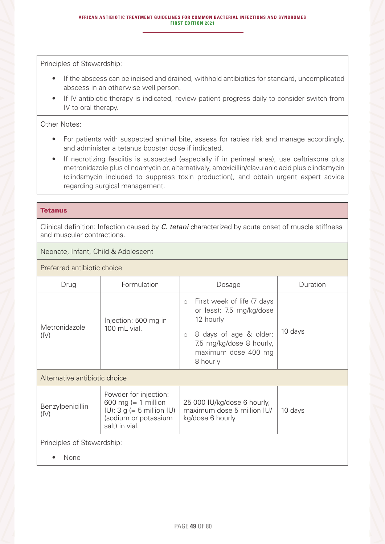- If the abscess can be incised and drained, withhold antibiotics for standard, uncomplicated abscess in an otherwise well person.
- If IV antibiotic therapy is indicated, review patient progress daily to consider switch from IV to oral therapy.

### Other Notes:

- For patients with suspected animal bite, assess for rabies risk and manage accordingly, and administer a tetanus booster dose if indicated.
- If necrotizing fasciitis is suspected (especially if in perineal area), use ceftriaxone plus metronidazole plus clindamycin or, alternatively, amoxicillin/clavulanic acid plus clindamycin (clindamycin included to suppress toxin production), and obtain urgent expert advice regarding surgical management.

#### **Tetanus**

Clinical definition: Infection caused by *C. tetani* characterized by acute onset of muscle stiffness and muscular contractions.

## Neonate, Infant, Child & Adolescent

Preferred antibiotic choice

| Drug                          | Formulation                                                                                                                          | Dosage                                                                                                                                                                             | Duration |  |
|-------------------------------|--------------------------------------------------------------------------------------------------------------------------------------|------------------------------------------------------------------------------------------------------------------------------------------------------------------------------------|----------|--|
| Metronidazole<br>(IV)         | Injection: 500 mg in<br>100 mL vial.                                                                                                 | First week of life (7 days<br>$\circ$<br>or less): 7.5 mg/kg/dose<br>12 hourly<br>8 days of age & older:<br>$\circ$<br>7.5 mg/kg/dose 8 hourly,<br>maximum dose 400 mg<br>8 hourly | 10 days  |  |
| Alternative antibiotic choice |                                                                                                                                      |                                                                                                                                                                                    |          |  |
| Benzylpenicillin<br>(IV)      | Powder for injection:<br>600 mg (= 1 million<br>$ U\rangle$ ; 3 g (= 5 million $ U\rangle$<br>(sodium or potassium<br>salt) in vial. | 25 000 IU/kg/dose 6 hourly,<br>maximum dose 5 million IU/<br>kg/dose 6 hourly                                                                                                      | 10 days  |  |
| Principles of Stewardship:    |                                                                                                                                      |                                                                                                                                                                                    |          |  |
| None                          |                                                                                                                                      |                                                                                                                                                                                    |          |  |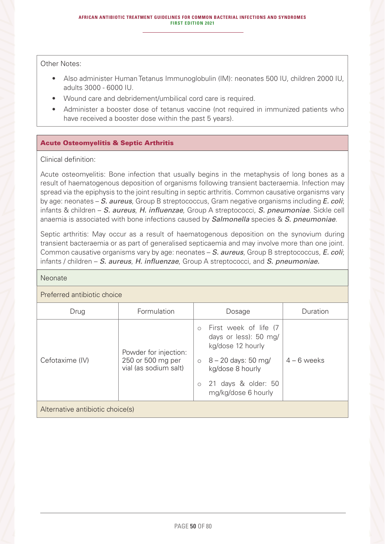Other Notes:

- Also administer Human Tetanus Immunoglobulin (IM): neonates 500 IU, children 2000 IU, adults 3000 - 6000 IU.
- Wound care and debridement/umbilical cord care is required.
- Administer a booster dose of tetanus vaccine (not required in immunized patients who have received a booster dose within the past 5 years).

## Acute Osteomyelitis & Septic Arthritis

## Clinical definition:

Acute osteomyelitis: Bone infection that usually begins in the metaphysis of long bones as a result of haematogenous deposition of organisms following transient bacteraemia. Infection may spread via the epiphysis to the joint resulting in septic arthritis. Common causative organisms vary by age: neonates – *S. aureus*, Group B streptococcus, Gram negative organisms including *E. coli*; infants & children – *S. aureus*, *H. influenzae*, Group A streptococci, *S. pneumoniae*. Sickle cell anaemia is associated with bone infections caused by *Salmonella* species & *S. pneumoniae*.

Septic arthritis: May occur as a result of haematogenous deposition on the synovium during transient bacteraemia or as part of generalised septicaemia and may involve more than one joint. Common causative organisms vary by age: neonates – *S. aureus*, Group B streptococcus, *E. coli*; infants / children – *S. aureus*, *H. influenzae*, Group A streptococci, and *S. pneumoniae.* 

#### Neonate

#### Preferred antibiotic choice

| Drug                             | Formulation                                                         | Dosage                                                                                                                                                                          | Duration      |  |  |
|----------------------------------|---------------------------------------------------------------------|---------------------------------------------------------------------------------------------------------------------------------------------------------------------------------|---------------|--|--|
| Cefotaxime (IV)                  | Powder for injection:<br>250 or 500 mg per<br>vial (as sodium salt) | First week of life (7<br>days or less): 50 mg/<br>kg/dose 12 hourly<br>$\circ$ 8 – 20 days: 50 mg/<br>kg/dose 8 hourly<br>21 days & older: 50<br>$\circ$<br>mg/kg/dose 6 hourly | $4 - 6$ weeks |  |  |
| Alternative antibiotic choice(s) |                                                                     |                                                                                                                                                                                 |               |  |  |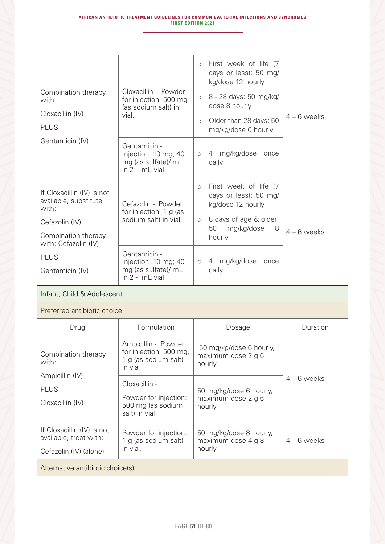| Combination therapy<br>with:<br>Cloxacillin (IV)<br><b>PLUS</b><br>Gentamicin (IV)                                                                              | Cloxacillin - Powder<br>for injection: 500 mg<br>(as sodium salt) in<br>vial.<br>Gentamicin -<br>Injection: 10 mg; 40<br>mg (as sulfate)/ mL<br>$in 2 - mL$ vial | First week of life (7<br>$\circ$<br>days or less): 50 mg/<br>kg/dose 12 hourly<br>8 - 28 days: 50 mg/kg/<br>$\circlearrowright$<br>dose 8 hourly<br>Older than 28 days: 50<br>$\circ$<br>mg/kg/dose 6 hourly<br>4 mg/kg/dose<br>once<br>$\circlearrowright$<br>daily | $4 - 6$ weeks |
|-----------------------------------------------------------------------------------------------------------------------------------------------------------------|------------------------------------------------------------------------------------------------------------------------------------------------------------------|----------------------------------------------------------------------------------------------------------------------------------------------------------------------------------------------------------------------------------------------------------------------|---------------|
| If Cloxacillin (IV) is not<br>available, substitute<br>with:<br>Cefazolin (IV)<br>Combination therapy<br>with: Cefazolin (IV)<br><b>PLUS</b><br>Gentamicin (IV) | Cefazolin - Powder<br>for injection: 1 g (as<br>sodium salt) in vial.<br>Gentamicin -<br>Injection: 10 mg; 40<br>mg (as sulfate)/ mL<br>$in 2 - mL$ vial         | First week of life (7<br>$\circ$<br>days or less): 50 mg/<br>kg/dose 12 hourly<br>8 days of age & older:<br>$\circlearrowright$<br>50<br>mg/kg/dose<br>8<br>hourly<br>4 mg/kg/dose<br>once<br>$\circ$<br>daily                                                       | $4 - 6$ weeks |
| Infant, Child & Adolescent                                                                                                                                      |                                                                                                                                                                  |                                                                                                                                                                                                                                                                      |               |
| Preferred antibiotic choice                                                                                                                                     |                                                                                                                                                                  |                                                                                                                                                                                                                                                                      |               |
| Drug                                                                                                                                                            | Formulation                                                                                                                                                      | Dosage                                                                                                                                                                                                                                                               | Duration      |
| Combination therapy<br>with:<br>Ampicillin (IV)<br><b>PLUS</b><br>Cloxacillin (IV)                                                                              | Ampicillin - Powder<br>for injection: 500 mg,<br>1 g (as sodium salt)<br>in vial<br>Cloxacillin -                                                                | 50 mg/kg/dose 6 hourly,<br>maximum dose 2 g 6<br>hourly<br>50 mg/kg/dose 6 hourly,                                                                                                                                                                                   | $4 - 6$ weeks |
|                                                                                                                                                                 | Powder for injection:<br>500 mg (as sodium<br>salt) in vial                                                                                                      | maximum dose 2 g 6<br>hourly                                                                                                                                                                                                                                         |               |
| If Cloxacillin (IV) is not<br>available, treat with:<br>Cefazolin (IV) (alone)                                                                                  | Powder for injection:<br>1 g (as sodium salt)<br>in vial.                                                                                                        | 50 mg/kg/dose 8 hourly,<br>maximum dose 4 g 8<br>hourly                                                                                                                                                                                                              | $4 - 6$ weeks |
| Alternative antibiotic choice(s)                                                                                                                                |                                                                                                                                                                  |                                                                                                                                                                                                                                                                      |               |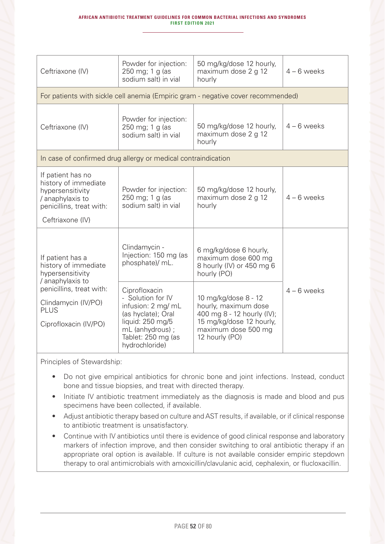| Ceftriaxone (IV)                                                                                                                                                            | Powder for injection:<br>250 mg; 1 g (as<br>sodium salt) in vial                                                                                               | 50 mg/kg/dose 12 hourly,<br>maximum dose 2 g 12<br>hourly                                                                                       | $4 - 6$ weeks |
|-----------------------------------------------------------------------------------------------------------------------------------------------------------------------------|----------------------------------------------------------------------------------------------------------------------------------------------------------------|-------------------------------------------------------------------------------------------------------------------------------------------------|---------------|
|                                                                                                                                                                             |                                                                                                                                                                | For patients with sickle cell anemia (Empiric gram - negative cover recommended)                                                                |               |
| Ceftriaxone (IV)                                                                                                                                                            | Powder for injection:<br>250 mg; 1 g (as<br>sodium salt) in vial                                                                                               | 50 mg/kg/dose 12 hourly,<br>maximum dose 2 g 12<br>hourly                                                                                       | $4 - 6$ weeks |
| In case of confirmed drug allergy or medical contraindication                                                                                                               |                                                                                                                                                                |                                                                                                                                                 |               |
| If patient has no<br>history of immediate<br>hypersensitivity<br>/ anaphylaxis to<br>penicillins, treat with:<br>Ceftriaxone (IV)                                           | Powder for injection:<br>250 mg; 1 g (as<br>sodium salt) in vial                                                                                               | 50 mg/kg/dose 12 hourly,<br>maximum dose 2 g 12<br>hourly                                                                                       | $4 - 6$ weeks |
| If patient has a<br>history of immediate<br>hypersensitivity<br>/ anaphylaxis to<br>penicillins, treat with:<br>Clindamycin (IV/PO)<br><b>PLUS</b><br>Ciprofloxacin (IV/PO) | Clindamycin -<br>Injection: 150 mg (as<br>phosphate)/ mL.                                                                                                      | 6 mg/kg/dose 6 hourly,<br>maximum dose 600 mg<br>8 hourly (IV) or 450 mg 6<br>hourly (PO)                                                       |               |
|                                                                                                                                                                             | Ciprofloxacin<br>- Solution for IV<br>infusion: 2 mg/ mL<br>(as hyclate); Oral<br>liquid: 250 mg/5<br>mL (anhydrous) ;<br>Tablet: 250 mg (as<br>hydrochloride) | 10 mg/kg/dose 8 - 12<br>hourly, maximum dose<br>400 mg 8 - 12 hourly (IV);<br>15 mg/kg/dose 12 hourly,<br>maximum dose 500 mg<br>12 hourly (PO) | $4 - 6$ weeks |

- Do not give empirical antibiotics for chronic bone and joint infections. Instead, conduct bone and tissue biopsies, and treat with directed therapy.
- Initiate IV antibiotic treatment immediately as the diagnosis is made and blood and pus specimens have been collected, if available.
- Adjust antibiotic therapy based on culture and AST results, if available, or if clinical response to antibiotic treatment is unsatisfactory.
- Continue with IV antibiotics until there is evidence of good clinical response and laboratory markers of infection improve, and then consider switching to oral antibiotic therapy if an appropriate oral option is available. If culture is not available consider empiric stepdown therapy to oral antimicrobials with amoxicillin/clavulanic acid, cephalexin, or flucloxacillin.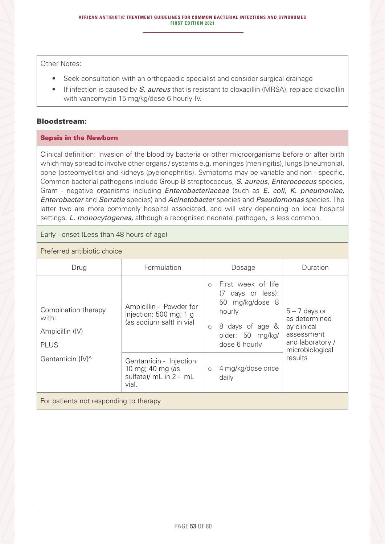Other Notes:

- Seek consultation with an orthopaedic specialist and consider surgical drainage
- If infection is caused by *S. aureus* that is resistant to cloxacillin (MRSA), replace cloxacillin with vancomycin 15 mg/kg/dose 6 hourly IV.

#### Bloodstream:

#### Sepsis in the Newborn

Clinical definition: Invasion of the blood by bacteria or other microorganisms before or after birth which may spread to involve other organs / systems e.g. meninges (meningitis), lungs (pneumonia), bone (osteomyelitis) and kidneys (pyelonephritis). Symptoms may be variable and non - specific. Common bacterial pathogens include Group B streptococcus, *S. aureus*, *Enterococcus* species, Gram - negative organisms including *Enterobacteriaceae* (such as *E. coli*, *K. pneumoniae, Enterobacter* and *Serratia* species) and *Acinetobacter* species and *Pseudomonas* species. The latter two are more commonly hospital associated, and will vary depending on local hospital settings. *L. monocytogenes,* although a recognised neonatal pathogen*,* is less common.

Early - onset (Less than 48 hours of age)

## Preferred antibiotic choice

| Drug                                                           | Formulation                                                                    | Dosage                                                                                                                                                | Duration                                                                                             |  |
|----------------------------------------------------------------|--------------------------------------------------------------------------------|-------------------------------------------------------------------------------------------------------------------------------------------------------|------------------------------------------------------------------------------------------------------|--|
| Combination therapy<br>with:<br>Ampicillin (IV)<br><b>PLUS</b> | Ampicillin - Powder for<br>injection: 500 mg; 1 g<br>(as sodium salt) in vial  | First week of life<br>$\bigcirc$<br>(7 days or less):<br>50 mg/kg/dose 8<br>hourly<br>8 days of age &<br>$\circ$<br>older: 50 mg/kg/<br>dose 6 hourly | $5 - 7$ days or<br>as determined<br>by clinical<br>assessment<br>and laboratory /<br>microbiological |  |
| Gentamicin (IV) <sup>A</sup>                                   | Gentamicin - Injection:<br>10 mg; 40 mg (as<br>sulfate)/ mL in 2 - mL<br>vial. | 4 mg/kg/dose once<br>$\circ$<br>daily                                                                                                                 | results                                                                                              |  |
| For patients not responding to therapy                         |                                                                                |                                                                                                                                                       |                                                                                                      |  |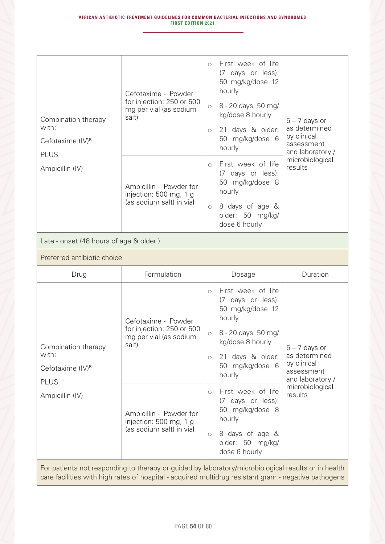|                              |                                                                               | $\bigcirc$ | First week of life<br>(7 days or less):<br>50 mg/kg/dose 12          |                                     |
|------------------------------|-------------------------------------------------------------------------------|------------|----------------------------------------------------------------------|-------------------------------------|
|                              | Cefotaxime - Powder                                                           |            | hourly                                                               |                                     |
| Combination therapy          | for injection: 250 or 500<br>mg per vial (as sodium<br>salt)                  | $\circ$    | 8 - 20 days: 50 mg/<br>kg/dose 8 hourly                              | $5 - 7$ days or                     |
| with:                        |                                                                               | $\circ$    | 21 days & older:                                                     | as determined                       |
| Cefotaxime (IV) <sup>B</sup> |                                                                               |            | 50 mg/kg/dose 6                                                      | by clinical<br>assessment           |
| <b>PLUS</b>                  |                                                                               |            | hourly                                                               | and laboratory /<br>microbiological |
| Ampicillin (IV)              | Ampicillin - Powder for<br>injection: 500 mg, 1 g<br>(as sodium salt) in vial | $\bigcirc$ | First week of life<br>(7 days or less):<br>50 mg/kg/dose 8<br>hourly | results                             |
|                              |                                                                               | $\circ$    | 8 days of age &<br>older: 50 mg/kg/<br>dose 6 hourly                 |                                     |

## Late - onset (48 hours of age & older )

## Preferred antibiotic choice

| Drug                                                                                                | Formulation                                                                         | Duration<br>Dosage                                                                                                                                                                                                                                                     |                                                |  |
|-----------------------------------------------------------------------------------------------------|-------------------------------------------------------------------------------------|------------------------------------------------------------------------------------------------------------------------------------------------------------------------------------------------------------------------------------------------------------------------|------------------------------------------------|--|
| Combination therapy<br>with:<br>Cefotaxime (IV) <sup>B</sup><br><b>PLUS</b><br>Ampicillin (IV)      | Cefotaxime - Powder<br>for injection: 250 or 500<br>mg per vial (as sodium<br>salt) | First week of life<br>$\bigcirc$<br>(7 days or less):<br>50 mg/kg/dose 12<br>hourly<br>8 - 20 days: 50 mg/<br>$\circ$<br>kg/dose 8 hourly<br>$5 - 7$ days or<br>as determined<br>21 days & older:<br>$\circ$<br>by clinical<br>50 mg/kg/dose 6<br>assessment<br>hourly | and laboratory /<br>microbiological<br>results |  |
|                                                                                                     | Ampicillin - Powder for<br>injection: 500 mg, 1 g<br>(as sodium salt) in vial       | First week of life<br>$\circ$<br>(7 days or less):<br>50 mg/kg/dose 8<br>hourly<br>8 days of age &<br>$\circ$<br>older: 50 mg/kg/<br>dose 6 hourly                                                                                                                     |                                                |  |
| For patients not responding to therapy or guided by laboratory/microbiological results or in health |                                                                                     |                                                                                                                                                                                                                                                                        |                                                |  |

care facilities with high rates of hospital - acquired multidrug resistant gram - negative pathogens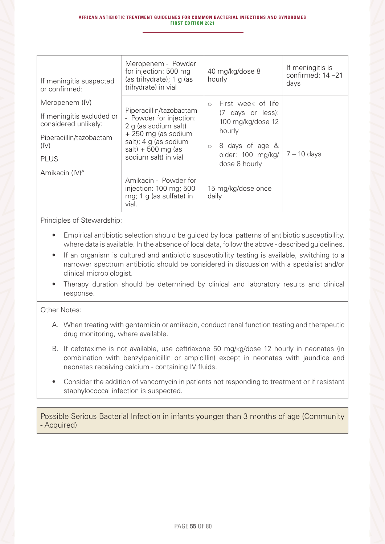| If meningitis suspected<br>or confirmed:                                                                              | Meropenem - Powder<br>for injection: 500 mg<br>(as trihydrate); 1 g (as<br>trihydrate) in vial                                                                             | 40 mg/kg/dose 8<br>hourly                                                                                                                                | If meningitis is<br>confirmed: 14-21<br>days |
|-----------------------------------------------------------------------------------------------------------------------|----------------------------------------------------------------------------------------------------------------------------------------------------------------------------|----------------------------------------------------------------------------------------------------------------------------------------------------------|----------------------------------------------|
| Meropenem (IV)<br>If meningitis excluded or<br>considered unlikely:<br>Piperacillin/tazobactam<br>(IV)<br><b>PLUS</b> | Piperacillin/tazobactam<br>- Powder for injection:<br>2 g (as sodium salt)<br>+ 250 mg (as sodium<br>salt); 4 g (as sodium<br>$salt) + 500 mg$ (as<br>sodium salt) in vial | First week of life<br>$\bigcirc$<br>(7 days or less):<br>100 mg/kg/dose 12<br>hourly<br>8 days of age &<br>$\circ$<br>older: 100 mg/kg/<br>dose 8 hourly | 7 – 10 days                                  |
| Amikacin (IV) <sup>A</sup>                                                                                            | Amikacin - Powder for<br>injection: 100 mg; 500<br>mg; 1 g (as sulfate) in<br>vial.                                                                                        | 15 mg/kg/dose once<br>daily                                                                                                                              |                                              |

- Empirical antibiotic selection should be guided by local patterns of antibiotic susceptibility, where data is available. In the absence of local data, follow the above - described guidelines.
- If an organism is cultured and antibiotic susceptibility testing is available, switching to a narrower spectrum antibiotic should be considered in discussion with a specialist and/or clinical microbiologist.
- Therapy duration should be determined by clinical and laboratory results and clinical response.

#### Other Notes:

- A. When treating with gentamicin or amikacin, conduct renal function testing and therapeutic drug monitoring, where available.
- B. If cefotaxime is not available, use ceftriaxone 50 mg/kg/dose 12 hourly in neonates (in combination with benzylpenicillin or ampicillin) except in neonates with jaundice and neonates receiving calcium - containing IV fluids.
- Consider the addition of vancomycin in patients not responding to treatment or if resistant staphylococcal infection is suspected.

Possible Serious Bacterial Infection in infants younger than 3 months of age (Community - Acquired)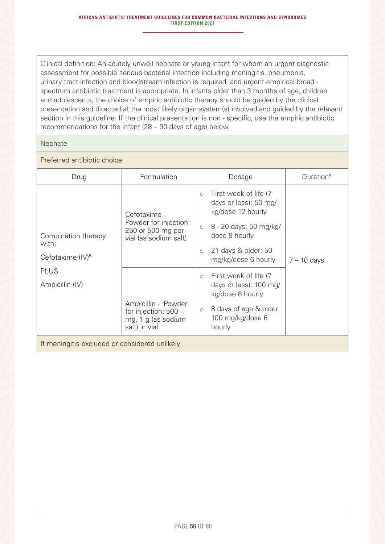Clinical definition: An acutely unwell neonate or young infant for whom an urgent diagnostic assessment for possible serious bacterial infection including meningitis, pneumonia, urinary tract infection and bloodstream infection is required, and urgent empirical broad spectrum antibiotic treatment is appropriate. In infants older than 3 months of age, children and adolescents, the choice of empiric antibiotic therapy should be guided by the clinical presentation and directed at the most likely organ system(s) involved and guided by the relevant section in this guideline. If the clinical presentation is non - specific, use the empiric antibiotic recommendations for the infant (28 – 90 days of age) below.

#### Neonate

## Preferred antibiotic choice

| Drug                                          | Formulation                                                                      | Duration <sup>A</sup><br>Dosage                                                |
|-----------------------------------------------|----------------------------------------------------------------------------------|--------------------------------------------------------------------------------|
|                                               | Cefotaxime -                                                                     | First week of life (7<br>$\circ$<br>days or less): 50 mg/<br>kg/dose 12 hourly |
| Combination therapy<br>with:                  | Powder for injection:<br>250 or 500 mg per<br>vial (as sodium salt)              | 8 - 20 days: 50 mg/kg/<br>$\circ$<br>dose 8 hourly                             |
| Cefotaxime $(IV)^B$                           |                                                                                  | 21 days & older: 50<br>$\circ$<br>mg/kg/dose 6 hourly<br>$7 - 10$ days         |
| <b>PLUS</b>                                   |                                                                                  | First week of life (7<br>$\circ$                                               |
| Ampicillin (IV)                               |                                                                                  | days or less): 100 mg/<br>kg/dose 8 hourly                                     |
|                                               | Ampicillin - Powder<br>for injection: 500<br>mg, 1 g (as sodium<br>salt) in vial | 8 days of age & older:<br>$\circ$<br>100 mg/kg/dose 6<br>hourly                |
| If meningitis excluded or considered unlikely |                                                                                  |                                                                                |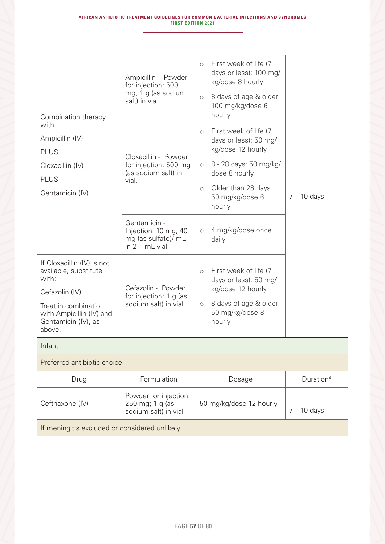| Combination therapy<br>with:                                                                                                                                        | Ampicillin - Powder<br>for injection: 500<br>mg, 1 g (as sodium<br>salt) in vial | First week of life (7<br>$\circ$<br>days or less): 100 mg/<br>kg/dose 8 hourly<br>8 days of age & older:<br>$\circ$<br>100 mg/kg/dose 6<br>hourly                                                   |                       |
|---------------------------------------------------------------------------------------------------------------------------------------------------------------------|----------------------------------------------------------------------------------|-----------------------------------------------------------------------------------------------------------------------------------------------------------------------------------------------------|-----------------------|
| Ampicillin (IV)<br><b>PLUS</b><br>Cloxacillin (IV)<br><b>PLUS</b><br>Gentamicin (IV)                                                                                | Cloxacillin - Powder<br>for injection: 500 mg<br>(as sodium salt) in<br>vial.    | First week of life (7<br>$\circ$<br>days or less): 50 mg/<br>kg/dose 12 hourly<br>8 - 28 days: 50 mg/kg/<br>$\circ$<br>dose 8 hourly<br>Older than 28 days:<br>$\circ$<br>50 mg/kg/dose 6<br>hourly | $7 - 10$ days         |
|                                                                                                                                                                     | Gentamicin -<br>Injection: 10 mg; 40<br>mg (as sulfate)/ mL<br>in 2 - mL vial.   | 4 mg/kg/dose once<br>$\circ$<br>daily                                                                                                                                                               |                       |
| If Cloxacillin (IV) is not<br>available, substitute<br>with:<br>Cefazolin (IV)<br>Treat in combination<br>with Ampicillin (IV) and<br>Gentamicin (IV), as<br>above. | Cefazolin - Powder<br>for injection: 1 g (as<br>sodium salt) in vial.            | First week of life (7<br>$\circ$<br>days or less): 50 mg/<br>kg/dose 12 hourly<br>8 days of age & older:<br>$\circlearrowright$<br>50 mg/kg/dose 8<br>hourly                                        |                       |
| Infant                                                                                                                                                              |                                                                                  |                                                                                                                                                                                                     |                       |
| Preferred antibiotic choice                                                                                                                                         |                                                                                  |                                                                                                                                                                                                     |                       |
| Drug                                                                                                                                                                | Formulation                                                                      | Dosage                                                                                                                                                                                              | Duration <sup>A</sup> |
| Ceftriaxone (IV)                                                                                                                                                    | Powder for injection:<br>250 mg; 1 g (as<br>sodium salt) in vial                 | 50 mg/kg/dose 12 hourly                                                                                                                                                                             | $7 - 10$ days         |
| If meningitis excluded or considered unlikely                                                                                                                       |                                                                                  |                                                                                                                                                                                                     |                       |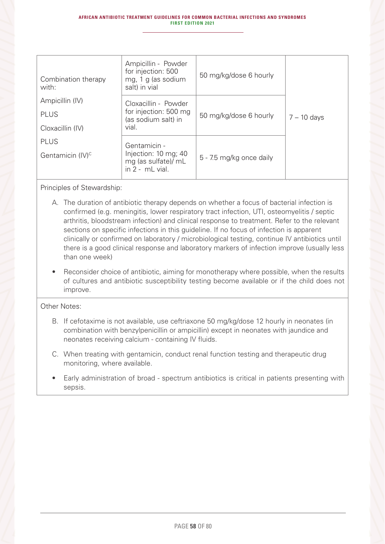| Combination therapy<br>with: | Ampicillin - Powder<br>for injection: 500<br>mg, 1 g (as sodium<br>salt) in vial | 50 mg/kg/dose 6 hourly   |               |
|------------------------------|----------------------------------------------------------------------------------|--------------------------|---------------|
| Ampicillin (IV)              | Cloxacillin - Powder                                                             |                          |               |
| <b>PLUS</b>                  | for injection: 500 mg<br>(as sodium salt) in                                     | 50 mg/kg/dose 6 hourly   | $7 - 10$ days |
| Cloxacillin (IV)             | vial.                                                                            |                          |               |
| <b>PLUS</b>                  | Gentamicin -                                                                     |                          |               |
| Gentamicin (IV) <sup>c</sup> | Injection: 10 mg; 40<br>mg (as sulfate)/ mL<br>in $2 - mL$ vial.                 | 5 - 7.5 mg/kg once daily |               |

- A. The duration of antibiotic therapy depends on whether a focus of bacterial infection is confirmed (e.g. meningitis, lower respiratory tract infection, UTI, osteomyelitis / septic arthritis, bloodstream infection) and clinical response to treatment. Refer to the relevant sections on specific infections in this guideline. If no focus of infection is apparent clinically or confirmed on laboratory / microbiological testing, continue IV antibiotics until there is a good clinical response and laboratory markers of infection improve (usually less than one week)
- Reconsider choice of antibiotic, aiming for monotherapy where possible, when the results of cultures and antibiotic susceptibility testing become available or if the child does not improve.

#### Other Notes:

- B. If cefotaxime is not available, use ceftriaxone 50 mg/kg/dose 12 hourly in neonates (in combination with benzylpenicillin or ampicillin) except in neonates with jaundice and neonates receiving calcium - containing IV fluids.
- C. When treating with gentamicin, conduct renal function testing and therapeutic drug monitoring, where available.
- Early administration of broad spectrum antibiotics is critical in patients presenting with sepsis.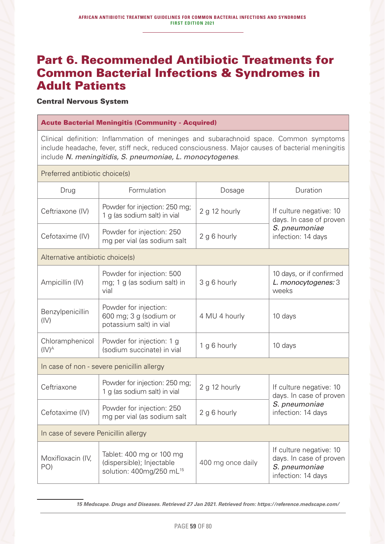# Part 6. Recommended Antibiotic Treatments for Common Bacterial Infections & Syndromes in Adult Patients

Central Nervous System

#### Acute Bacterial Meningitis (Community - Acquired)

Clinical definition: Inflammation of meninges and subarachnoid space. Common symptoms include headache, fever, stiff neck, reduced consciousness. Major causes of bacterial meningitis include *N. meningitidis, S. pneumoniae, L. monocytogenes*.

Preferred antibiotic choice(s)

| Formulation                                                                                   | Dosage            | Duration                                                                                  |  |
|-----------------------------------------------------------------------------------------------|-------------------|-------------------------------------------------------------------------------------------|--|
| Powder for injection: 250 mg;<br>1 g (as sodium salt) in vial                                 | 2 g 12 hourly     | If culture negative: 10<br>days. In case of proven                                        |  |
| Powder for injection: 250<br>mg per vial (as sodium salt                                      | 2 g 6 hourly      | S. pneumoniae<br>infection: 14 days                                                       |  |
| Alternative antibiotic choice(s)                                                              |                   |                                                                                           |  |
| Powder for injection: 500<br>mg; 1 g (as sodium salt) in<br>vial                              | 3 g 6 hourly      | 10 days, or if confirmed<br>L. monocytogenes: 3<br>weeks                                  |  |
| Powder for injection:<br>600 mg; 3 g (sodium or<br>potassium salt) in vial                    | 4 MU 4 hourly     | 10 days                                                                                   |  |
| Powder for injection: 1 g<br>(sodium succinate) in vial                                       | 1 g 6 hourly      | 10 days                                                                                   |  |
| In case of non - severe penicillin allergy                                                    |                   |                                                                                           |  |
| Powder for injection: 250 mg;<br>1 g (as sodium salt) in vial                                 | 2 g 12 hourly     | If culture negative: 10<br>days. In case of proven                                        |  |
| Powder for injection: 250<br>mg per vial (as sodium salt                                      | 2 g 6 hourly      | S. pneumoniae<br>infection: 14 days                                                       |  |
| In case of severe Penicillin allergy                                                          |                   |                                                                                           |  |
| Tablet: 400 mg or 100 mg<br>(dispersible); Injectable<br>solution: 400mg/250 mL <sup>15</sup> | 400 mg once daily | If culture negative: 10<br>days. In case of proven<br>S. pneumoniae<br>infection: 14 days |  |
|                                                                                               |                   |                                                                                           |  |

*15 Medscape. Drugs and Diseases. Retrieved 27 Jan 2021. Retrieved from: https://reference.medscape.com/*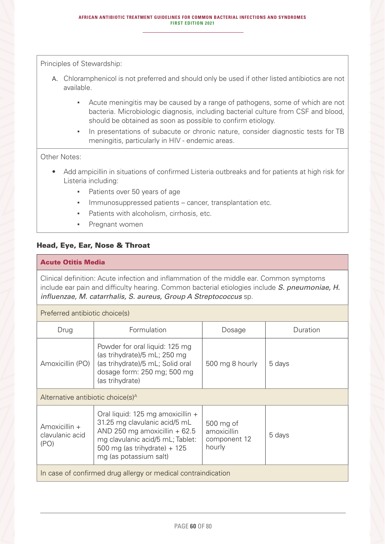- A. Chloramphenicol is not preferred and should only be used if other listed antibiotics are not available.
	- **EXE** Acute meningitis may be caused by a range of pathogens, some of which are not bacteria. Microbiologic diagnosis, including bacterial culture from CSF and blood, should be obtained as soon as possible to confirm etiology.
	- In presentations of subacute or chronic nature, consider diagnostic tests for TB meningitis, particularly in HIV - endemic areas.

#### Other Notes:

- Add ampicillin in situations of confirmed Listeria outbreaks and for patients at high risk for Listeria including:
	- Patients over 50 years of age
	- **Immunosuppressed patients cancer, transplantation etc.**
	- Patients with alcoholism, cirrhosis, etc.
	- Pregnant women

## Head, Eye, Ear, Nose & Throat

### Acute Otitis Media

Preferred antibiotic choice(s)

Clinical definition: Acute infection and inflammation of the middle ear. Common symptoms include ear pain and difficulty hearing. Common bacterial etiologies include *S. pneumoniae, H. influenzae, M. catarrhalis, S. aureus, Group A Streptococcus* sp.

| Preferred antibiotic cribice(s)                                                                                                                                                                                                                                                                                  |                                                                                                                                                      |                 |          |  |
|------------------------------------------------------------------------------------------------------------------------------------------------------------------------------------------------------------------------------------------------------------------------------------------------------------------|------------------------------------------------------------------------------------------------------------------------------------------------------|-----------------|----------|--|
| Drug                                                                                                                                                                                                                                                                                                             | Formulation                                                                                                                                          | Dosage          | Duration |  |
| Amoxicillin (PO)                                                                                                                                                                                                                                                                                                 | Powder for oral liquid: 125 mg<br>(as trihydrate)/5 mL; 250 mg<br>(as trihydrate)/5 mL; Solid oral<br>dosage form: 250 mg; 500 mg<br>(as trihydrate) | 500 mg 8 hourly | 5 days   |  |
| Alternative antibiotic choice(s) <sup>A</sup>                                                                                                                                                                                                                                                                    |                                                                                                                                                      |                 |          |  |
| Oral liquid: 125 mg amoxicillin +<br>31.25 mg clavulanic acid/5 mL<br>500 mg of<br>Amoxicillin +<br>AND 250 mg amoxicillin $+62.5$<br>amoxicillin<br>clavulanic acid<br>5 days<br>component 12<br>mg clavulanic acid/5 mL; Tablet:<br>(PO)<br>hourly<br>500 mg (as trihydrate) $+ 125$<br>mg (as potassium salt) |                                                                                                                                                      |                 |          |  |
| In case of confirmed drug allergy or medical contraindication                                                                                                                                                                                                                                                    |                                                                                                                                                      |                 |          |  |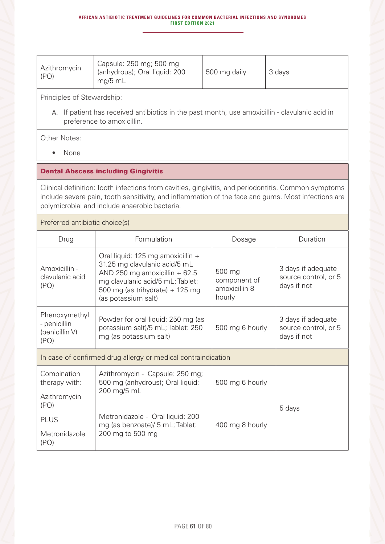| Azithromycin<br>(PO) | Capsule: 250 mg; 500 mg<br>(anhydrous); Oral liquid: 200<br>$^{\circ}$ mg/5 mL | 500 mg daily | 3 days |
|----------------------|--------------------------------------------------------------------------------|--------------|--------|

A. If patient has received antibiotics in the past month, use amoxicillin - clavulanic acid in preference to amoxicillin.

Other Notes:

• None

#### Dental Abscess including Gingivitis

Clinical definition: Tooth infections from cavities, gingivitis, and periodontitis. Common symptoms include severe pain, tooth sensitivity, and inflammation of the face and gums. Most infections are polymicrobial and include anaerobic bacteria.

#### Preferred antibiotic choice(s)

| Drug                                                    | Formulation                                                                                                                                                                                         | Dosage                                            | Duration                                                  |
|---------------------------------------------------------|-----------------------------------------------------------------------------------------------------------------------------------------------------------------------------------------------------|---------------------------------------------------|-----------------------------------------------------------|
| Amoxicillin -<br>clavulanic acid<br>(PO)                | Oral liquid: 125 mg amoxicillin +<br>31.25 mg clavulanic acid/5 mL<br>AND 250 mg amoxicillin + 62.5<br>mg clavulanic acid/5 mL; Tablet:<br>500 mg (as trihydrate) $+$ 125 mg<br>(as potassium salt) | 500 mg<br>component of<br>amoxicillin 8<br>hourly | 3 days if adequate<br>source control, or 5<br>days if not |
| Phenoxymethyl<br>- penicillin<br>(penicillin V)<br>(PO) | Powder for oral liquid: 250 mg (as<br>potassium salt)/5 mL; Tablet: 250<br>500 mg 6 hourly<br>mg (as potassium salt)                                                                                |                                                   | 3 days if adequate<br>source control, or 5<br>days if not |
|                                                         | In case of confirmed drug allergy or medical contraindication                                                                                                                                       |                                                   |                                                           |
| Combination<br>therapy with:<br>Azithromycin            | Azithromycin - Capsule: 250 mg;<br>500 mg (anhydrous); Oral liquid:<br>200 mg/5 mL                                                                                                                  | 500 mg 6 hourly                                   |                                                           |
| (PO)                                                    |                                                                                                                                                                                                     |                                                   | 5 days                                                    |
| <b>PLUS</b>                                             | Metronidazole - Oral liquid: 200<br>mg (as benzoate)/ 5 mL; Tablet:                                                                                                                                 | 400 mg 8 hourly                                   |                                                           |
| Metronidazole<br>(PO)                                   | 200 mg to 500 mg                                                                                                                                                                                    |                                                   |                                                           |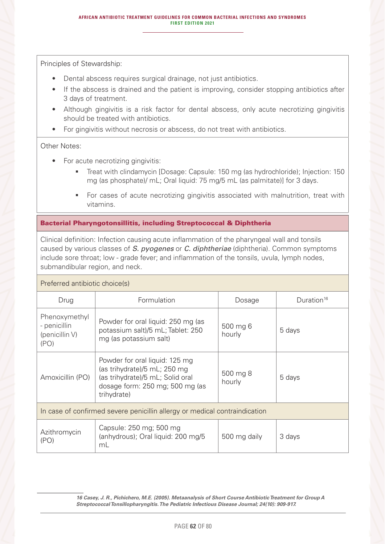- Dental abscess requires surgical drainage, not just antibiotics.
- If the abscess is drained and the patient is improving, consider stopping antibiotics after 3 days of treatment.
- Although gingivitis is a risk factor for dental abscess, only acute necrotizing gingivitis should be treated with antibiotics.
- For gingivitis without necrosis or abscess, do not treat with antibiotics.

#### Other Notes:

- For acute necrotizing gingivitis:
	- Treat with clindamycin [Dosage: Capsule: 150 mg (as hydrochloride); Injection: 150 mg (as phosphate)/ mL; Oral liquid: 75 mg/5 mL (as palmitate)] for 3 days.
	- **For cases of acute necrotizing gingivitis associated with malnutrition, treat with** vitamins.

## Bacterial Pharyngotonsillitis, including Streptococcal & Diphtheria

Clinical definition: Infection causing acute inflammation of the pharyngeal wall and tonsils caused by various classes of *S. pyogenes* or *C. diphtheriae* (diphtheria). Common symptoms include sore throat; low - grade fever; and inflammation of the tonsils, uvula, lymph nodes, submandibular region, and neck.

#### Preferred antibiotic choice(s)

| Drug                                                                       | Formulation                                                                                                                                          | Dosage             | Duration <sup>16</sup> |
|----------------------------------------------------------------------------|------------------------------------------------------------------------------------------------------------------------------------------------------|--------------------|------------------------|
| Phenoxymethyl<br>- penicillin<br>(penicillin V)<br>(PO)                    | Powder for oral liquid: 250 mg (as<br>potassium salt)/5 mL; Tablet: 250<br>mg (as potassium salt)                                                    | 500 mg 6<br>hourly | 5 days                 |
| Amoxicillin (PO)                                                           | Powder for oral liquid: 125 mg<br>(as trihydrate)/5 mL; 250 mg<br>(as trihydrate)/5 mL; Solid oral<br>dosage form: 250 mg; 500 mg (as<br>trihydrate) | 500 mg 8<br>hourly | 5 days                 |
| In case of confirmed severe penicillin allergy or medical contraindication |                                                                                                                                                      |                    |                        |
| Azithromycin<br>(PO)                                                       | Capsule: 250 mg; 500 mg<br>(anhydrous); Oral liquid: 200 mg/5<br>mL                                                                                  | 500 mg daily       | 3 days                 |

*16 Casey, J. R., Pichichero, M.E. (2005). Metaanalysis of Short Course Antibiotic Treatment for Group A Streptococcal Tonsillopharyngitis. The Pediatric Infectious Disease Journal; 24(10): 909-917.*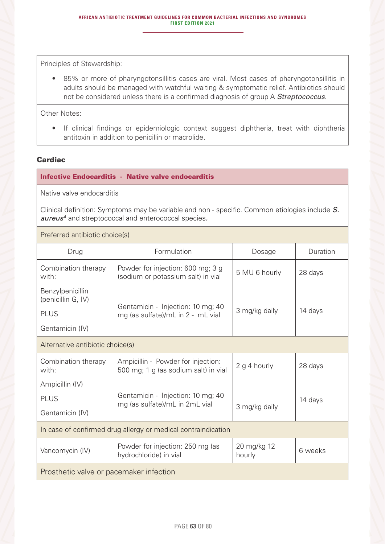• 85% or more of pharyngotonsillitis cases are viral. Most cases of pharyngotonsillitis in adults should be managed with watchful waiting & symptomatic relief. Antibiotics should not be considered unless there is a confirmed diagnosis of group A *Streptococcus*.

Other Notes:

• If clinical findings or epidemiologic context suggest diphtheria, treat with diphtheria antitoxin in addition to penicillin or macrolide.

#### **Cardiac**

Infective Endocarditis - Native valve endocarditis

Native valve endocarditis

Clinical definition: Symptoms may be variable and non - specific. Common etiologies include *S. aureusA* and streptococcal and enterococcal species*.* 

Preferred antibiotic choice(s)

| Drug                                                          | Formulation                                                                | Dosage                | Duration |
|---------------------------------------------------------------|----------------------------------------------------------------------------|-----------------------|----------|
| Combination therapy<br>with:                                  | Powder for injection: 600 mg; 3 g<br>(sodium or potassium salt) in vial    | 5 MU 6 hourly         | 28 days  |
| Benzylpenicillin<br>(penicillin G, IV)                        | Gentamicin - Injection: 10 mg; 40                                          |                       |          |
| <b>PLUS</b>                                                   | mg (as sulfate)/mL in 2 - mL vial                                          | 3 mg/kg daily         | 14 days  |
| Gentamicin (IV)                                               |                                                                            |                       |          |
| Alternative antibiotic choice(s)                              |                                                                            |                       |          |
| Combination therapy<br>with:                                  | Ampicillin - Powder for injection:<br>500 mg; 1 g (as sodium salt) in vial | 2 g 4 hourly          | 28 days  |
| Ampicillin (IV)                                               |                                                                            |                       |          |
| <b>PLUS</b>                                                   | Gentamicin - Injection: 10 mg; 40<br>mg (as sulfate)/mL in 2mL vial        |                       | 14 days  |
| Gentamicin (IV)                                               |                                                                            | 3 mg/kg daily         |          |
| In case of confirmed drug allergy or medical contraindication |                                                                            |                       |          |
| Vancomycin (IV)                                               | Powder for injection: 250 mg (as<br>hydrochloride) in vial                 | 20 mg/kg 12<br>hourly | 6 weeks  |
| Prosthetic valve or pacemaker infection                       |                                                                            |                       |          |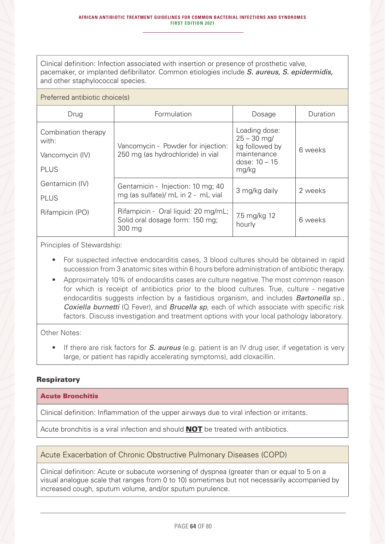Clinical definition: Infection associated with insertion or presence of prosthetic valve, pacemaker, or implanted defibrillator. Common etiologies include *S. aureus, S. epidermidis,*  and other staphylococcal species.

#### Preferred antibiotic choice(s)

| Drug                         | Formulation                                                                      | Dosage                                           | Duration |
|------------------------------|----------------------------------------------------------------------------------|--------------------------------------------------|----------|
| Combination therapy<br>with: | Vancomycin - Powder for injection:                                               | Loading dose:<br>$25 - 30$ mg/<br>kg followed by |          |
| Vancomycin (IV)              | 250 mg (as hydrochloride) in vial                                                | maintenance<br>dose: $10 - 15$                   | 6 weeks  |
| <b>PLUS</b>                  |                                                                                  | mg/kg                                            |          |
| Gentamicin (IV)              | Gentamicin - Injection: 10 mg; 40                                                | 3 mg/kg daily                                    | 2 weeks  |
| <b>PLUS</b>                  | mg (as sulfate)/ mL in 2 - mL vial                                               |                                                  |          |
| Rifampicin (PO)              | Rifampicin - Oral liquid: 20 mg/mL;<br>Solid oral dosage form: 150 mg;<br>300 mg | 7.5 mg/kg 12<br>hourly                           | 6 weeks  |

Principles of Stewardship:

- For suspected infective endocarditis cases, 3 blood cultures should be obtained in rapid succession from 3 anatomic sites within 6 hours before administration of antibiotic therapy.
- Approximately 10% of endocarditis cases are culture negative. The most common reason for which is receipt of antibiotics prior to the blood cultures. True, culture - negative endocarditis suggests infection by a fastidious organism, and includes *Bartonella* sp., *Coxiella burnetti* (Q Fever), and *Brucella sp*, each of which associate with specific risk factors. Discuss investigation and treatment options with your local pathology laboratory.

Other Notes:

• If there are risk factors for *S. aureus* (e.g. patient is an IV drug user, if vegetation is very large, or patient has rapidly accelerating symptoms), add cloxacillin.

## **Respiratory**

#### Acute Bronchitis

Clinical definition: Inflammation of the upper airways due to viral infection or irritants.

Acute bronchitis is a viral infection and should **NOT** be treated with antibiotics.

## Acute Exacerbation of Chronic Obstructive Pulmonary Diseases (COPD)

Clinical definition: Acute or subacute worsening of dyspnea (greater than or equal to 5 on a visual analogue scale that ranges from 0 to 10) sometimes but not necessarily accompanied by increased cough, sputum volume, and/or sputum purulence.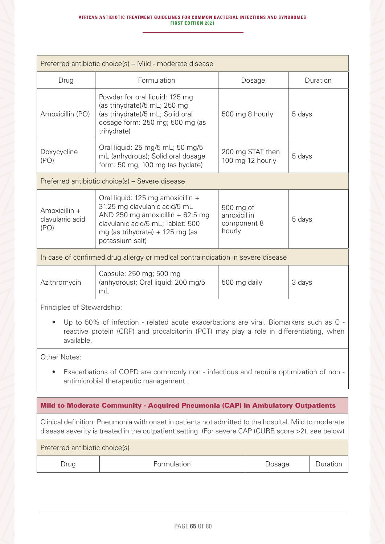| Preferred antibiotic choice(s) – Mild - moderate disease                                                                                                                                       |                                                                                                                                                                                                      |                                                   |        |  |
|------------------------------------------------------------------------------------------------------------------------------------------------------------------------------------------------|------------------------------------------------------------------------------------------------------------------------------------------------------------------------------------------------------|---------------------------------------------------|--------|--|
| Drug                                                                                                                                                                                           | Formulation                                                                                                                                                                                          | Duration<br>Dosage                                |        |  |
| Amoxicillin (PO)                                                                                                                                                                               | Powder for oral liquid: 125 mg<br>(as trihydrate)/5 mL; 250 mg<br>(as trihydrate)/5 mL; Solid oral<br>dosage form: 250 mg; 500 mg (as<br>trihydrate)                                                 | 500 mg 8 hourly                                   | 5 days |  |
| Doxycycline<br>(PO)                                                                                                                                                                            | Oral liquid: 25 mg/5 mL; 50 mg/5<br>mL (anhydrous); Solid oral dosage<br>form: 50 mg; 100 mg (as hyclate)                                                                                            | 200 mg STAT then<br>100 mg 12 hourly              | 5 days |  |
|                                                                                                                                                                                                | Preferred antibiotic choice(s) – Severe disease                                                                                                                                                      |                                                   |        |  |
| Amoxicillin +<br>clavulanic acid<br>(PO)                                                                                                                                                       | Oral liquid: 125 mg amoxicillin +<br>31.25 mg clavulanic acid/5 mL<br>AND 250 mg amoxicillin $+62.5$ mg<br>clavulanic acid/5 mL; Tablet: 500<br>mg (as trihydrate) $+$ 125 mg (as<br>potassium salt) | 500 mg of<br>amoxicillin<br>component 8<br>hourly | 5 days |  |
|                                                                                                                                                                                                | In case of confirmed drug allergy or medical contraindication in severe disease                                                                                                                      |                                                   |        |  |
| Azithromycin                                                                                                                                                                                   | Capsule: 250 mg; 500 mg<br>(anhydrous); Oral liquid: 200 mg/5<br>mL                                                                                                                                  | 500 mg daily                                      | 3 days |  |
| Principles of Stewardship:                                                                                                                                                                     |                                                                                                                                                                                                      |                                                   |        |  |
| Up to 50% of infection - related acute exacerbations are viral. Biomarkers such as C -<br>reactive protein (CRP) and procalcitonin (PCT) may play a role in differentiating, when<br>available |                                                                                                                                                                                                      |                                                   |        |  |
| Other Notes:                                                                                                                                                                                   |                                                                                                                                                                                                      |                                                   |        |  |
| Exacerbations of COPD are commonly non - infectious and require optimization of non -<br>$\bullet$<br>antimicrobial therapeutic management.                                                    |                                                                                                                                                                                                      |                                                   |        |  |
|                                                                                                                                                                                                |                                                                                                                                                                                                      |                                                   |        |  |
| Mild to Moderate Community - Acquired Pneumonia (CAP) in Ambulatory Outpatients<br>Clinical definition: Pneumonia with onset in patients not admitted to the hospital. Mild to moderate        |                                                                                                                                                                                                      |                                                   |        |  |

disease severity is treated in the outpatient setting. (For severe CAP (CURB score >2), see below)

| -ormulation<br>Drug | )osage | ation |
|---------------------|--------|-------|
|---------------------|--------|-------|

Preferred antibiotic choice(s)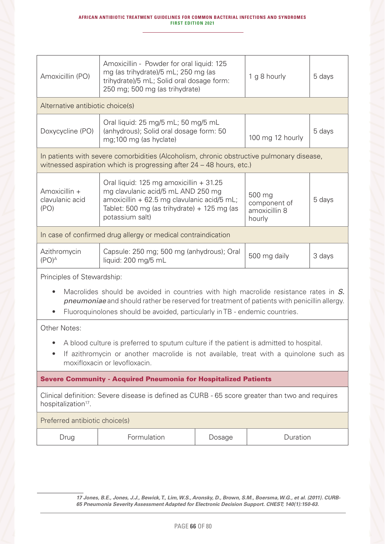| Amoxicillin (PO)                                                                                                                                                                                                                                                          | Amoxicillin - Powder for oral liquid: 125<br>mg (as trihydrate)/5 mL; 250 mg (as<br>trihydrate)/5 mL; Solid oral dosage form:<br>250 mg; 500 mg (as trihydrate)                                |        | 1 g 8 hourly                                      | 5 days |
|---------------------------------------------------------------------------------------------------------------------------------------------------------------------------------------------------------------------------------------------------------------------------|------------------------------------------------------------------------------------------------------------------------------------------------------------------------------------------------|--------|---------------------------------------------------|--------|
| Alternative antibiotic choice(s)                                                                                                                                                                                                                                          |                                                                                                                                                                                                |        |                                                   |        |
| Doxycycline (PO)                                                                                                                                                                                                                                                          | Oral liquid: 25 mg/5 mL; 50 mg/5 mL<br>(anhydrous); Solid oral dosage form: 50<br>mg;100 mg (as hyclate)                                                                                       |        | 100 mg 12 hourly                                  | 5 days |
|                                                                                                                                                                                                                                                                           | In patients with severe comorbidities (Alcoholism, chronic obstructive pulmonary disease,<br>witnessed aspiration which is progressing after 24 – 48 hours, etc.)                              |        |                                                   |        |
| Amoxicillin +<br>clavulanic acid<br>(PO)                                                                                                                                                                                                                                  | Oral liquid: 125 mg amoxicillin + 31.25<br>mg clavulanic acid/5 mL AND 250 mg<br>amoxicillin + 62.5 mg clavulanic acid/5 mL;<br>Tablet: 500 mg (as trihydrate) + 125 mg (as<br>potassium salt) |        | 500 mg<br>component of<br>amoxicillin 8<br>hourly | 5 days |
|                                                                                                                                                                                                                                                                           | In case of confirmed drug allergy or medical contraindication                                                                                                                                  |        |                                                   |        |
| Azithromycin<br>$(PO)^A$                                                                                                                                                                                                                                                  | Capsule: 250 mg; 500 mg (anhydrous); Oral<br>liquid: 200 mg/5 mL                                                                                                                               |        | 500 mg daily                                      | 3 days |
| Principles of Stewardship:                                                                                                                                                                                                                                                |                                                                                                                                                                                                |        |                                                   |        |
| Macrolides should be avoided in countries with high macrolide resistance rates in S.<br><i>pneumoniae</i> and should rather be reserved for treatment of patients with penicillin allergy.<br>Fluoroquinolones should be avoided, particularly in TB - endemic countries. |                                                                                                                                                                                                |        |                                                   |        |
| Other Notes:                                                                                                                                                                                                                                                              |                                                                                                                                                                                                |        |                                                   |        |
| A blood culture is preferred to sputum culture if the patient is admitted to hospital.<br>If azithromycin or another macrolide is not available, treat with a quinolone such as<br>moxifloxacin or levofloxacin.                                                          |                                                                                                                                                                                                |        |                                                   |        |
| <b>Severe Community - Acquired Pneumonia for Hospitalized Patients</b>                                                                                                                                                                                                    |                                                                                                                                                                                                |        |                                                   |        |
| Clinical definition: Severe disease is defined as CURB - 65 score greater than two and requires<br>hospitalization <sup>17</sup> .                                                                                                                                        |                                                                                                                                                                                                |        |                                                   |        |
|                                                                                                                                                                                                                                                                           | Preferred antibiotic choice(s)                                                                                                                                                                 |        |                                                   |        |
| Drug                                                                                                                                                                                                                                                                      | Formulation                                                                                                                                                                                    | Dosage | Duration                                          |        |

*17 Jones, B.E., Jones, J.J., Bewick, T., Lim, W.S., Aronsky, D., Brown, S.M., Boersma, W.G., et al. (2011). CURB-65 Pneumonia Severity Assessment Adapted for Electronic Decision Support. CHEST; 140(1):150-63.*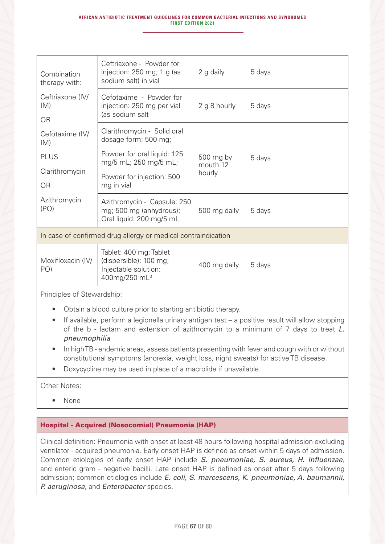| Combination<br>therapy with:         | Ceftriaxone - Powder for<br>injection: $250$ mg; 1 g (as<br>sodium salt) in vial                | 2 g daily                       | 5 days |
|--------------------------------------|-------------------------------------------------------------------------------------------------|---------------------------------|--------|
| Ceftriaxone (IV/<br>IM)<br><b>OR</b> | Cefotaxime - Powder for<br>injection: 250 mg per vial<br>(as sodium salt                        | 2 g 8 hourly                    | 5 days |
| Cefotaxime (IV/<br>IM)               | Clarithromycin - Solid oral<br>dosage form: 500 mg;                                             |                                 |        |
| <b>PLUS</b><br>Clarithromycin<br>0R  | Powder for oral liquid: 125<br>mg/5 mL; 250 mg/5 mL;<br>Powder for injection: 500<br>mg in vial | 500 mg by<br>mouth 12<br>hourly | 5 days |
| Azithromycin<br>(PO)                 | Azithromycin - Capsule: 250<br>mg; 500 mg (anhydrous);<br>Oral liquid: 200 mg/5 mL              | 500 mg daily                    | 5 days |

In case of confirmed drug allergy or medical contraindication

Principles of Stewardship:

- Obtain a blood culture prior to starting antibiotic therapy.
- If available, perform a legionella urinary antigen test a positive result will allow stopping of the b - lactam and extension of azithromycin to a minimum of 7 days to treat *L. pneumophilia*
- In high TB endemic areas, assess patients presenting with fever and cough with or without constitutional symptoms (anorexia, weight loss, night sweats) for active TB disease.
- Doxycycline may be used in place of a macrolide if unavailable.

Other Notes:

• None

#### Hospital - Acquired (Nosocomial) Pneumonia (HAP)

Clinical definition: Pneumonia with onset at least 48 hours following hospital admission excluding ventilator - acquired pneumonia. Early onset HAP is defined as onset within 5 days of admission. Common etiologies of early onset HAP include *S. pneumoniae, S. aureus, H. influenzae*, and enteric gram - negative bacilli. Late onset HAP is defined as onset after 5 days following admission; common etiologies include *E. coli, S. marcescens, K. pneumoniae, A. baumannii, P. aeruginosa,* and *Enterobacter* species.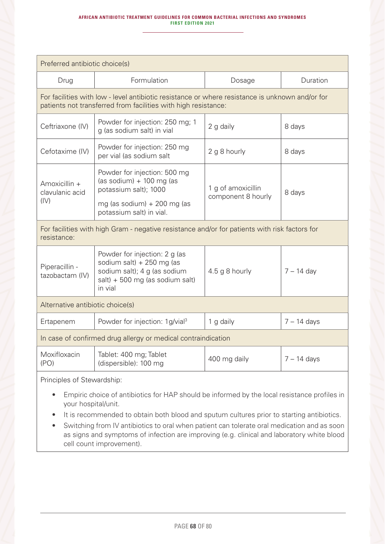#### **AFRICAN ANTIBIOTIC TREATMENT GUIDELINES FOR COMMON BACTERIAL INFECTIONS AND SYNDROMES FIRST EDITION 2021**

| Preferred antibiotic choice(s)                                                                                                                                    |                                                                                                                                            |                                          |               |
|-------------------------------------------------------------------------------------------------------------------------------------------------------------------|--------------------------------------------------------------------------------------------------------------------------------------------|------------------------------------------|---------------|
| Drug                                                                                                                                                              | Formulation                                                                                                                                | Dosage                                   | Duration      |
| For facilities with low - level antibiotic resistance or where resistance is unknown and/or for<br>patients not transferred from facilities with high resistance: |                                                                                                                                            |                                          |               |
| Ceftriaxone (IV)                                                                                                                                                  | Powder for injection: 250 mg; 1<br>g (as sodium salt) in vial                                                                              | 2 g daily                                | 8 days        |
| Cefotaxime (IV)                                                                                                                                                   | Powder for injection: 250 mg<br>per vial (as sodium salt                                                                                   | 2 g 8 hourly                             | 8 days        |
| Amoxicillin +<br>clavulanic acid<br>(IV)                                                                                                                          | Powder for injection: 500 mg<br>(as sodium) $+$ 100 mg (as<br>potassium salt); 1000                                                        | 1 g of amoxicillin<br>component 8 hourly | 8 days        |
|                                                                                                                                                                   | mg (as sodium) $+200$ mg (as<br>potassium salt) in vial.                                                                                   |                                          |               |
| For facilities with high Gram - negative resistance and/or for patients with risk factors for<br>resistance:                                                      |                                                                                                                                            |                                          |               |
| Piperacillin -<br>tazobactam (IV)                                                                                                                                 | Powder for injection: 2 g (as<br>sodium salt) + 250 mg (as<br>sodium salt); 4 g (as sodium<br>$salt) + 500 mg$ (as sodium salt)<br>in vial | 4.5 g 8 hourly                           | $7 - 14$ day  |
| Alternative antibiotic choice(s)                                                                                                                                  |                                                                                                                                            |                                          |               |
| Ertapenem                                                                                                                                                         | Powder for injection: 1g/vial <sup>3</sup>                                                                                                 | 1 g daily                                | $7 - 14$ days |
| In case of confirmed drug allergy or medical contraindication                                                                                                     |                                                                                                                                            |                                          |               |
| Moxifloxacin<br>(PO)                                                                                                                                              | Tablet: 400 mg; Tablet<br>(dispersible): 100 mg                                                                                            | 400 mg daily                             | $7 - 14$ days |
| Principles of Stewardship:                                                                                                                                        |                                                                                                                                            |                                          |               |

- Empiric choice of antibiotics for HAP should be informed by the local resistance profiles in your hospital/unit.
- It is recommended to obtain both blood and sputum cultures prior to starting antibiotics.
- Switching from IV antibiotics to oral when patient can tolerate oral medication and as soon as signs and symptoms of infection are improving (e.g. clinical and laboratory white blood cell count improvement).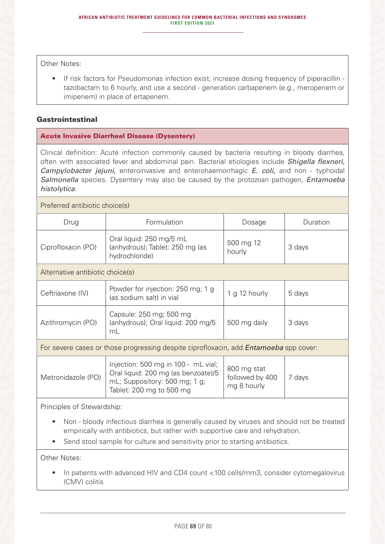Other Notes:

• If risk factors for Pseudomonas infection exist, increase dosing frequency of piperacillin tazobactam to 6 hourly, and use a second - generation carbapenem (e.g., meropenem or imipenem) in place of ertapenem.

## Gastrointestinal

#### Acute Invasive Diarrheal Disease (Dysentery)

Clinical definition: Acute infection commonly caused by bacteria resulting in bloody diarrhea, often with associated fever and abdominal pain. Bacterial etiologies include *Shigella flexneri, Campylobacter jejuni,* enteroinvasive and enterohaemorrhagic *E. coli,* and non - typhoidal *Salmonella* species. Dysentery may also be caused by the protozoan pathogen, *Entamoeba histolytica*.

Preferred antibiotic choice(s)

| Drug                             | Formulation                                                                   | Dosage              | Duration |  |
|----------------------------------|-------------------------------------------------------------------------------|---------------------|----------|--|
| Ciprofloxacin (PO)               | Oral liquid: 250 mg/5 mL<br>(anhydrous); Tablet: 250 mg (as<br>hydrochloride) | 500 mg 12<br>hourly | 3 days   |  |
| Alternative antibiotic choice(s) |                                                                               |                     |          |  |
| Ceftriaxone (IV)                 | Powder for injection: 250 mg; 1 g<br>(as sodium salt) in vial                 | 1 g 12 hourly       | 5 days   |  |
| Azithromycin (PO)                | Capsule: 250 mg; 500 mg<br>(anhydrous); Oral liquid: 200 mg/5<br>mL           | 500 mg daily        | 3 days   |  |

For severe cases or those progressing despite ciprofloxacin, add *Entamoeba* spp cover:

| Metronidazole (PO) | Injection: 500 mg in 100 - mL vial;<br>Oral liquid: 200 mg (as benzoate)/5<br>mL; Suppository: 500 mg; 1 g;<br>Tablet: 200 mg to 500 mg | 800 mg stat<br>followed by 400<br>mg 8 hourly | davs |
|--------------------|-----------------------------------------------------------------------------------------------------------------------------------------|-----------------------------------------------|------|
|--------------------|-----------------------------------------------------------------------------------------------------------------------------------------|-----------------------------------------------|------|

Principles of Stewardship:

- Non bloody infectious diarrhea is generally caused by viruses and should not be treated empirically with antibiotics, but rather with supportive care and rehydration.
- Send stool sample for culture and sensitivity prior to starting antibiotics.

Other Notes:

• In patients with advanced HIV and CD4 count <100 cells/mm3, consider cytomegalovirus (CMV) colitis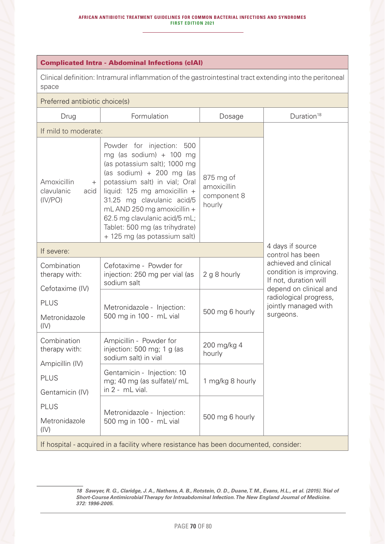#### Complicated Intra - Abdominal Infections (cIAI)

Clinical definition: Intramural inflammation of the gastrointestinal tract extending into the peritoneal space

# Preferred antibiotic choice(s)

| Drug                                                                                 | Formulation                                                                                                                                                                                                                                                                                                                                       | Dosage                                            | Duration <sup>18</sup>                                                                |
|--------------------------------------------------------------------------------------|---------------------------------------------------------------------------------------------------------------------------------------------------------------------------------------------------------------------------------------------------------------------------------------------------------------------------------------------------|---------------------------------------------------|---------------------------------------------------------------------------------------|
| If mild to moderate:                                                                 |                                                                                                                                                                                                                                                                                                                                                   |                                                   |                                                                                       |
| Amoxicillin<br>$^{+}$<br>clavulanic<br>acid<br>(IV/PO)                               | Powder for injection: 500<br>mg (as sodium) + 100 mg<br>(as potassium salt); 1000 mg<br>(as sodium) + 200 mg (as<br>potassium salt) in vial; Oral<br>liquid: 125 mg amoxicillin +<br>31.25 mg clavulanic acid/5<br>mL AND 250 mg amoxicillin +<br>62.5 mg clavulanic acid/5 mL;<br>Tablet: 500 mg (as trihydrate)<br>+ 125 mg (as potassium salt) | 875 mg of<br>amoxicillin<br>component 8<br>hourly |                                                                                       |
| If severe:                                                                           |                                                                                                                                                                                                                                                                                                                                                   |                                                   | 4 days if source<br>control has been                                                  |
| Combination<br>therapy with:                                                         | Cefotaxime - Powder for<br>injection: 250 mg per vial (as<br>sodium salt                                                                                                                                                                                                                                                                          | 2 g 8 hourly                                      | achieved and clinical<br>condition is improving.<br>If not, duration will             |
| Cefotaxime (IV)<br><b>PLUS</b><br>Metronidazole<br>(IV)                              | Metronidazole - Injection:<br>500 mg in 100 - mL vial                                                                                                                                                                                                                                                                                             | 500 mg 6 hourly                                   | depend on clinical and<br>radiological progress,<br>jointly managed with<br>surgeons. |
| Combination<br>therapy with:                                                         | Ampicillin - Powder for<br>injection: 500 mg; 1 g (as<br>sodium salt) in vial                                                                                                                                                                                                                                                                     | 200 mg/kg 4<br>hourly                             |                                                                                       |
| Ampicillin (IV)<br><b>PLUS</b><br>Gentamicin (IV)                                    | Gentamicin - Injection: 10<br>mg; 40 mg (as sulfate)/ mL<br>in 2 - mL vial.                                                                                                                                                                                                                                                                       | 1 mg/kg 8 hourly                                  |                                                                                       |
| <b>PLUS</b><br>Metronidazole<br>(IV)                                                 | Metronidazole - Injection:<br>500 mg in 100 - mL vial                                                                                                                                                                                                                                                                                             | 500 mg 6 hourly                                   |                                                                                       |
| If hospital - acquired in a facility where resistance has been documented, consider: |                                                                                                                                                                                                                                                                                                                                                   |                                                   |                                                                                       |

*<sup>18</sup> Sawyer, R. G., Claridge, J. A., Nathens, A. B., Rotstein, O. D., Duane, T. M., Evans, H.L., et al. (2015). Trial of Short-Course Antimicrobial Therapy for Intraabdominal Infection. The New England Journal of Medicine. 372: 1996-2005.*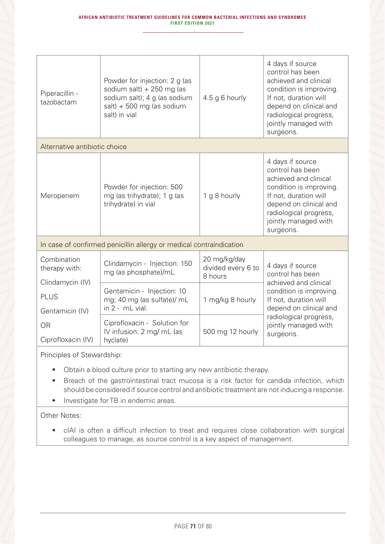| Piperacillin -<br>tazobactam                                                   | Powder for injection: 2 g (as<br>sodium salt) + 250 mg (as<br>sodium salt); 4 g (as sodium<br>$salt) + 500 mg$ (as sodium<br>salt) in vial | 4.5 g 6 hourly                                | 4 days if source<br>control has been<br>achieved and clinical<br>condition is improving.<br>If not, duration will<br>depend on clinical and<br>radiological progress,<br>jointly managed with<br>surgeons. |
|--------------------------------------------------------------------------------|--------------------------------------------------------------------------------------------------------------------------------------------|-----------------------------------------------|------------------------------------------------------------------------------------------------------------------------------------------------------------------------------------------------------------|
| Alternative antibiotic choice                                                  |                                                                                                                                            |                                               |                                                                                                                                                                                                            |
| Meropenem                                                                      | Powder for injection: 500<br>mg (as trihydrate); 1 g (as<br>trihydrate) in vial                                                            | 1 g 8 hourly                                  | 4 days if source<br>control has been<br>achieved and clinical<br>condition is improving.<br>If not, duration will<br>depend on clinical and<br>radiological progress,<br>jointly managed with<br>surgeons. |
| In case of confirmed penicillin allergy or medical contraindication            |                                                                                                                                            |                                               |                                                                                                                                                                                                            |
| Combination<br>therapy with:                                                   | Clindamycin - Injection: 150<br>mg (as phosphate)/mL                                                                                       | 20 mg/kg/day<br>divided every 6 to<br>8 hours | 4 days if source<br>control has been                                                                                                                                                                       |
| Clindamycin (IV)<br><b>PLUS</b><br>Gentamicin (IV)<br>OR<br>Ciprofloxacin (IV) | Gentamicin - Injection: 10<br>mg; 40 mg (as sulfate)/ mL<br>$in 2 - mL$ vial.                                                              | 1 mg/kg 8 hourly                              | achieved and clinical<br>condition is improving.<br>If not, duration will<br>depend on clinical and                                                                                                        |
|                                                                                | Ciprofloxacin - Solution for<br>IV infusion: 2 mg/ mL (as<br>hyclate)                                                                      | 500 mg 12 hourly                              | radiological progress,<br>jointly managed with<br>surgeons.                                                                                                                                                |
|                                                                                |                                                                                                                                            |                                               |                                                                                                                                                                                                            |

- Obtain a blood culture prior to starting any new antibiotic therapy.
- Breach of the gastrointestinal tract mucosa is a risk factor for candida infection, which should be considered if source control and antibiotic treatment are not inducing a response.
- Investigate for TB in endemic areas.

Other Notes:

• cIAI is often a difficult infection to treat and requires close collaboration with surgical colleagues to manage, as source control is a key aspect of management.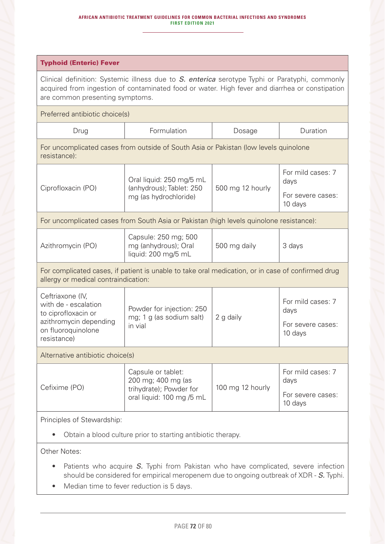#### **AFRICAN ANTIBIOTIC TREATMENT GUIDELINES FOR COMMON BACTERIAL INFECTIONS AND SYNDROMES FIRST EDITION 2021**

| <b>Typhoid (Enteric) Fever</b>                                                                                                                                                                                                       |                                                                                                  |                  |                                                           |
|--------------------------------------------------------------------------------------------------------------------------------------------------------------------------------------------------------------------------------------|--------------------------------------------------------------------------------------------------|------------------|-----------------------------------------------------------|
| Clinical definition: Systemic illness due to S. enterica serotype Typhi or Paratyphi, commonly<br>acquired from ingestion of contaminated food or water. High fever and diarrhea or constipation<br>are common presenting symptoms.  |                                                                                                  |                  |                                                           |
| Preferred antibiotic choice(s)                                                                                                                                                                                                       |                                                                                                  |                  |                                                           |
| Drug                                                                                                                                                                                                                                 | Formulation                                                                                      | Dosage           | Duration                                                  |
| resistance):                                                                                                                                                                                                                         | For uncomplicated cases from outside of South Asia or Pakistan (low levels quinolone             |                  |                                                           |
|                                                                                                                                                                                                                                      | Oral liquid: 250 mg/5 mL<br>(anhydrous); Tablet: 250<br>mg (as hydrochloride)                    | 500 mg 12 hourly | For mild cases: 7<br>days                                 |
| Ciprofloxacin (PO)                                                                                                                                                                                                                   |                                                                                                  |                  | For severe cases:<br>10 days                              |
|                                                                                                                                                                                                                                      | For uncomplicated cases from South Asia or Pakistan (high levels quinolone resistance):          |                  |                                                           |
| Azithromycin (PO)                                                                                                                                                                                                                    | Capsule: 250 mg; 500<br>mg (anhydrous); Oral<br>liquid: 200 mg/5 mL                              | 500 mg daily     | 3 days                                                    |
| For complicated cases, if patient is unable to take oral medication, or in case of confirmed drug<br>allergy or medical contraindication:                                                                                            |                                                                                                  |                  |                                                           |
| Ceftriaxone (IV,<br>with de - escalation<br>to ciprofloxacin or<br>azithromycin depending<br>on fluoroquinolone<br>resistance)                                                                                                       | Powder for injection: 250<br>mg; 1 g (as sodium salt)<br>in vial                                 | 2 g daily        | For mild cases: 7<br>days<br>For severe cases:<br>10 days |
| Alternative antibiotic choice(s)                                                                                                                                                                                                     |                                                                                                  |                  |                                                           |
| Cefixime (PO)                                                                                                                                                                                                                        | Capsule or tablet:<br>200 mg; 400 mg (as<br>trihydrate); Powder for<br>oral liquid: 100 mg /5 mL | 100 mg 12 hourly | For mild cases: 7<br>days                                 |
|                                                                                                                                                                                                                                      |                                                                                                  |                  | For severe cases:<br>10 days                              |
| Principles of Stewardship:                                                                                                                                                                                                           |                                                                                                  |                  |                                                           |
| Obtain a blood culture prior to starting antibiotic therapy.                                                                                                                                                                         |                                                                                                  |                  |                                                           |
| Other Notes:                                                                                                                                                                                                                         |                                                                                                  |                  |                                                           |
| Patients who acquire S. Typhi from Pakistan who have complicated, severe infection<br>should be considered for empirical meropenem due to ongoing outbreak of XDR - S. Typhi.<br>attack affirm a large flame in the attendant of the |                                                                                                  |                  |                                                           |

• Median time to fever reduction is 5 days.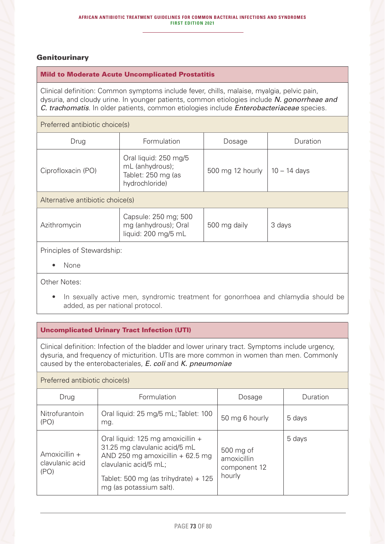# **Genitourinary**

#### Mild to Moderate Acute Uncomplicated Prostatitis

Clinical definition: Common symptoms include fever, chills, malaise, myalgia, pelvic pain, dysuria, and cloudy urine. In younger patients, common etiologies include *N. gonorrheae and C. trachomatis*. In older patients, common etiologies include *Enterobacteriaceae* species.

### Preferred antibiotic choice(s)

| Drug                             | Formulation                                                                      | Dosage           | Duration       |  |
|----------------------------------|----------------------------------------------------------------------------------|------------------|----------------|--|
| Ciprofloxacin (PO)               | Oral liquid: 250 mg/5<br>mL (anhydrous);<br>Tablet: 250 mg (as<br>hydrochloride) | 500 mg 12 hourly | $10 - 14$ days |  |
| Alternative antibiotic choice(s) |                                                                                  |                  |                |  |
|                                  |                                                                                  |                  |                |  |

| Azithromycin | Capsule: 250 mg; 500<br>mg (anhydrous); Oral<br>liquid: 200 mg/5 mL | 500 mg daily | 3 days |
|--------------|---------------------------------------------------------------------|--------------|--------|
|--------------|---------------------------------------------------------------------|--------------|--------|

Principles of Stewardship:

• None

Other Notes:

• In sexually active men, syndromic treatment for gonorrhoea and chlamydia should be added, as per national protocol.

# Uncomplicated Urinary Tract Infection (UTI)

Clinical definition: Infection of the bladder and lower urinary tract. Symptoms include urgency, dysuria, and frequency of micturition. UTIs are more common in women than men. Commonly caused by the enterobacteriales, *E. coli* and *K. pneumoniae*

# Preferred antibiotic choice(s)

| Drug                                     | Formulation                                                                                                                                                                                           | Dosage                                             | Duration |
|------------------------------------------|-------------------------------------------------------------------------------------------------------------------------------------------------------------------------------------------------------|----------------------------------------------------|----------|
| Nitrofurantoin<br>(PO)                   | Oral liquid: 25 mg/5 mL; Tablet: 100<br>mg.                                                                                                                                                           | 50 mg 6 hourly                                     | 5 days   |
| Amoxicillin +<br>clavulanic acid<br>(PO) | Oral liquid: 125 mg amoxicillin +<br>31.25 mg clavulanic acid/5 mL<br>AND 250 mg amoxicillin $+62.5$ mg<br>clavulanic acid/5 mL;<br>Tablet: 500 mg (as trihydrate) $+$ 125<br>mg (as potassium salt). | 500 mg of<br>amoxicillin<br>component 12<br>hourly | 5 days   |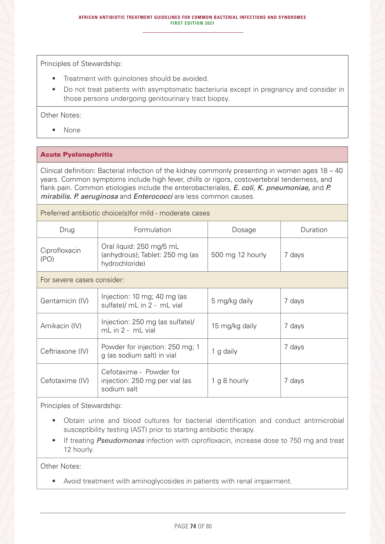Principles of Stewardship:

- Treatment with quinolones should be avoided.
- Do not treat patients with asymptomatic bacteriuria except in pregnancy and consider in those persons undergoing genitourinary tract biopsy.

Other Notes:

• None

#### Acute Pyelonephritis

Clinical definition: Bacterial infection of the kidney commonly presenting in women ages 18 – 40 years. Common symptoms include high fever, chills or rigors, costovertebral tenderness, and flank pain. Common etiologies include the enterobacteriales, *E. coli*, *K. pneumoniae,* and *P. mirabilis. P. aeruginosa* and *Enterococci* are less common causes.

Preferred antibiotic choice(s)for mild - moderate cases

| Drug                       | Formulation                                                                   | Dosage           | Duration |
|----------------------------|-------------------------------------------------------------------------------|------------------|----------|
| Ciprofloxacin<br>(PO)      | Oral liquid: 250 mg/5 mL<br>(anhydrous); Tablet: 250 mg (as<br>hydrochloride) | 500 mg 12 hourly | 7 days   |
| For severe cases consider: |                                                                               |                  |          |
| Gentamicin (IV)            | Injection: 10 mg; 40 mg (as<br>sulfate)/ mL in 2 - mL vial                    | 5 mg/kg daily    | 7 days   |
| Amikacin (IV)              | Injection: 250 mg (as sulfate)/<br>mL in 2 - mL vial                          | 15 mg/kg daily   | 7 days   |
| Ceftriaxone (IV)           | Powder for injection: 250 mg; 1<br>g (as sodium salt) in vial                 | 1 g daily        | 7 days   |
| Cefotaxime (IV)            | Cefotaxime - Powder for<br>injection: 250 mg per vial (as<br>sodium salt      | 1 g 8 hourly     | 7 days   |

Principles of Stewardship:

- Obtain urine and blood cultures for bacterial identification and conduct antimicrobial susceptibility testing (AST) prior to starting antibiotic therapy.
- If treating *Pseudomonas* infection with ciprofloxacin, increase dose to 750 mg and treat 12 hourly.

Other Notes:

• Avoid treatment with aminoglycosides in patients with renal impairment.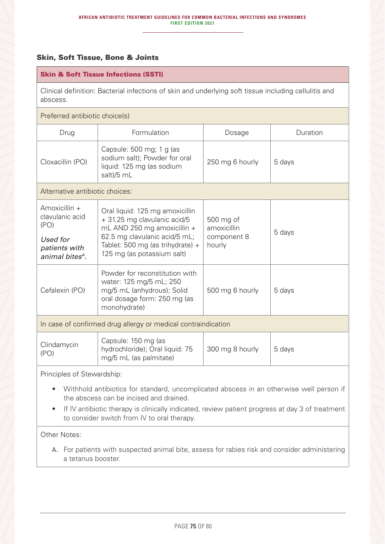# Skin, Soft Tissue, Bone & Joints

## Skin & Soft Tissue Infections (SSTI)

Clinical definition: Bacterial infections of skin and underlying soft tissue including cellulitis and abscess.

#### Preferred antibiotic choice(s)

| Drug                                                                                                 | Formulation                                                                                                                                                                                       | Dosage                                            | Duration |
|------------------------------------------------------------------------------------------------------|---------------------------------------------------------------------------------------------------------------------------------------------------------------------------------------------------|---------------------------------------------------|----------|
| Cloxacillin (PO)                                                                                     | Capsule: 500 mg; 1 g (as<br>sodium salt); Powder for oral<br>liquid: 125 mg (as sodium<br>salt)/5 mL                                                                                              | 250 mg 6 hourly                                   | 5 days   |
| Alternative antibiotic choices:                                                                      |                                                                                                                                                                                                   |                                                   |          |
| Amoxicillin +<br>clavulanic acid<br>(PO)<br>Used for<br>patients with<br>animal bites <sup>4</sup> . | Oral liquid: 125 mg amoxicillin<br>+ 31.25 mg clavulanic acid/5<br>mL AND 250 mg amoxicillin +<br>62.5 mg clavulanic acid/5 mL;<br>Tablet: 500 mg (as trihydrate) +<br>125 mg (as potassium salt) | 500 mg of<br>amoxicillin<br>component 8<br>hourly | 5 days   |
| Cefalexin (PO)                                                                                       | Powder for reconstitution with<br>water: 125 mg/5 mL; 250<br>mg/5 mL (anhydrous); Solid<br>oral dosage form: 250 mg (as<br>monohydrate)                                                           | 500 mg 6 hourly                                   | 5 days   |
| In case of confirmed drug allergy or medical contraindication                                        |                                                                                                                                                                                                   |                                                   |          |
| Clindamycin<br>(PO)                                                                                  | Capsule: 150 mg (as<br>hydrochloride); Oral liquid: 75<br>mg/5 mL (as palmitate)                                                                                                                  | 300 mg 8 hourly                                   | 5 days   |

Principles of Stewardship:

- Withhold antibiotics for standard, uncomplicated abscess in an otherwise well person if the abscess can be incised and drained.
- If IV antibiotic therapy is clinically indicated, review patient progress at day 3 of treatment to consider switch from IV to oral therapy.

Other Notes:

A. For patients with suspected animal bite, assess for rabies risk and consider administering a tetanus booster.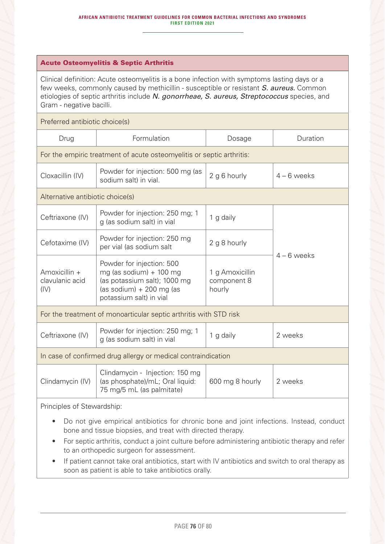#### Acute Osteomyelitis & Septic Arthritis

Clinical definition: Acute osteomyelitis is a bone infection with symptoms lasting days or a few weeks, commonly caused by methicillin - susceptible or resistant *S. aureus.* Common etiologies of septic arthritis include *N. gonorrheae, S. aureus, Streptococcus* species, and Gram - negative bacilli.

Preferred antibiotic choice(s)

| Drug                                                                  | Formulation                                                                                                                                    | Dosage                                   | Duration      |  |
|-----------------------------------------------------------------------|------------------------------------------------------------------------------------------------------------------------------------------------|------------------------------------------|---------------|--|
| For the empiric treatment of acute osteomyelitis or septic arthritis: |                                                                                                                                                |                                          |               |  |
| Cloxacillin (IV)                                                      | Powder for injection: 500 mg (as<br>sodium salt) in vial.                                                                                      | 2 g 6 hourly                             | $4 - 6$ weeks |  |
| Alternative antibiotic choice(s)                                      |                                                                                                                                                |                                          |               |  |
| Ceftriaxone (IV)                                                      | Powder for injection: 250 mg; 1<br>g (as sodium salt) in vial                                                                                  | 1 g daily                                |               |  |
| Cefotaxime (IV)                                                       | Powder for injection: 250 mg<br>per vial (as sodium salt                                                                                       | 2 g 8 hourly                             |               |  |
| Amoxicillin +<br>clavulanic acid<br>(IV)                              | Powder for injection: 500<br>mg (as sodium) $+$ 100 mg<br>(as potassium salt); 1000 mg<br>(as sodium) $+200$ mg (as<br>potassium salt) in vial | 1 g Amoxicillin<br>component 8<br>hourly | $4 - 6$ weeks |  |
| For the treatment of monoarticular septic arthritis with STD risk     |                                                                                                                                                |                                          |               |  |
| Ceftriaxone (IV)                                                      | Powder for injection: 250 mg; 1<br>g (as sodium salt) in vial                                                                                  | 1 g daily                                | 2 weeks       |  |
| In case of confirmed drug allergy or medical contraindication         |                                                                                                                                                |                                          |               |  |
| Clindamycin (IV)                                                      | Clindamycin - Injection: 150 mg<br>(as phosphate)/mL; Oral liquid:<br>75 mg/5 mL (as palmitate)                                                | 600 mg 8 hourly                          | 2 weeks       |  |
| Principles of Stewardship:                                            |                                                                                                                                                |                                          |               |  |

- Do not give empirical antibiotics for chronic bone and joint infections. Instead, conduct bone and tissue biopsies, and treat with directed therapy.
- For septic arthritis, conduct a joint culture before administering antibiotic therapy and refer to an orthopedic surgeon for assessment.
- If patient cannot take oral antibiotics, start with IV antibiotics and switch to oral therapy as soon as patient is able to take antibiotics orally.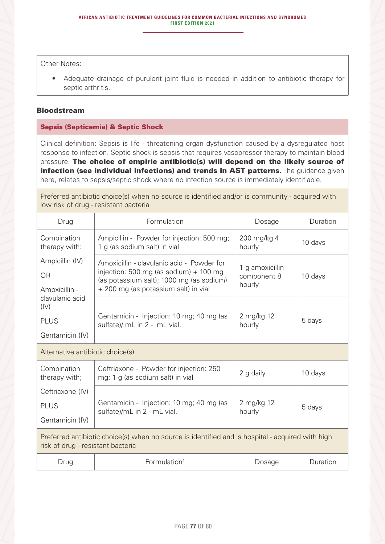Other Notes:

• Adequate drainage of purulent joint fluid is needed in addition to antibiotic therapy for septic arthritis.

### Bloodstream

## Sepsis (Septicemia) & Septic Shock

Clinical definition: Sepsis is life - threatening organ dysfunction caused by a dysregulated host response to infection. Septic shock is sepsis that requires vasopressor therapy to maintain blood pressure. The choice of empiric antibiotic(s) will depend on the likely source of infection (see individual infections) and trends in AST patterns. The guidance given here, relates to sepsis/septic shock where no infection source is immediately identifiable.

Preferred antibiotic choice(s) when no source is identified and/or is community - acquired with low risk of drug - resistant bacteria

| Drug                                                                                                                                  | Formulation                                                                                                                                                                | Dosage                                   | Duration |
|---------------------------------------------------------------------------------------------------------------------------------------|----------------------------------------------------------------------------------------------------------------------------------------------------------------------------|------------------------------------------|----------|
| Combination<br>therapy with:                                                                                                          | Ampicillin - Powder for injection: 500 mg;<br>1 g (as sodium salt) in vial                                                                                                 | 200 mg/kg 4<br>hourly                    | 10 days  |
| Ampicillin (IV)<br><b>OR</b><br>Amoxicillin -                                                                                         | Amoxicillin - clavulanic acid - Powder for<br>injection: 500 mg (as sodium) $+$ 100 mg<br>(as potassium salt); 1000 mg (as sodium)<br>+ 200 mg (as potassium salt) in vial | 1 g amoxicillin<br>component 8<br>hourly | 10 days  |
| clavulanic acid<br>(IV)<br><b>PLUS</b><br>Gentamicin (IV)                                                                             | Gentamicin - Injection: 10 mg; 40 mg (as<br>sulfate)/ mL in 2 - mL vial.                                                                                                   | 2 mg/kg 12<br>hourly                     | 5 days   |
| Alternative antibiotic choice(s)                                                                                                      |                                                                                                                                                                            |                                          |          |
| Combination<br>therapy with;                                                                                                          | Ceftriaxone - Powder for injection: 250<br>mg; 1 g (as sodium salt) in vial                                                                                                | 2 g daily                                | 10 days  |
| Ceftriaxone (IV)                                                                                                                      |                                                                                                                                                                            |                                          |          |
| <b>PLUS</b>                                                                                                                           | Gentamicin - Injection: 10 mg; 40 mg (as<br>sulfate)/mL in 2 - mL vial.                                                                                                    | 2 mg/kg 12<br>hourly                     | 5 days   |
| Gentamicin (IV)                                                                                                                       |                                                                                                                                                                            |                                          |          |
| Preferred antibiotic choice(s) when no source is identified and is hospital - acquired with high<br>risk of drug - resistant bacteria |                                                                                                                                                                            |                                          |          |
| Drug                                                                                                                                  | Formulation <sup>1</sup>                                                                                                                                                   | Dosage                                   | Duration |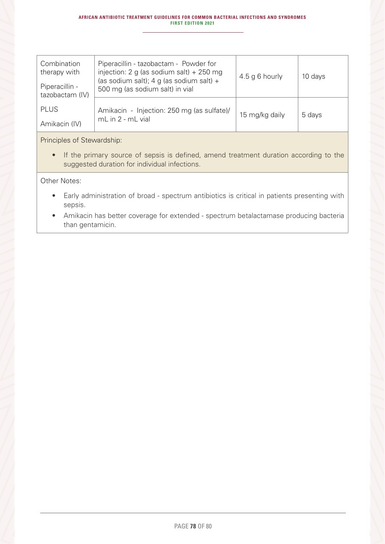| Combination<br>therapy with<br>Piperacillin -<br>tazobactam (IV) | Piperacillin - tazobactam - Powder for<br>injection: 2 g (as sodium salt) + 250 mg<br>(as sodium salt); 4 g (as sodium salt) +<br>500 mg (as sodium salt) in vial | $4.5$ g 6 hourly | 10 days |
|------------------------------------------------------------------|-------------------------------------------------------------------------------------------------------------------------------------------------------------------|------------------|---------|
| <b>PLUS</b><br>Amikacin (IV)                                     | Amikacin - Injection: 250 mg (as sulfate)/<br>mL in 2 - mL vial                                                                                                   | 15 mg/kg daily   | 5 days  |

# Principles of Stewardship:

• If the primary source of sepsis is defined, amend treatment duration according to the suggested duration for individual infections.

Other Notes:

- Early administration of broad spectrum antibiotics is critical in patients presenting with sepsis.
- Amikacin has better coverage for extended spectrum betalactamase producing bacteria than gentamicin.